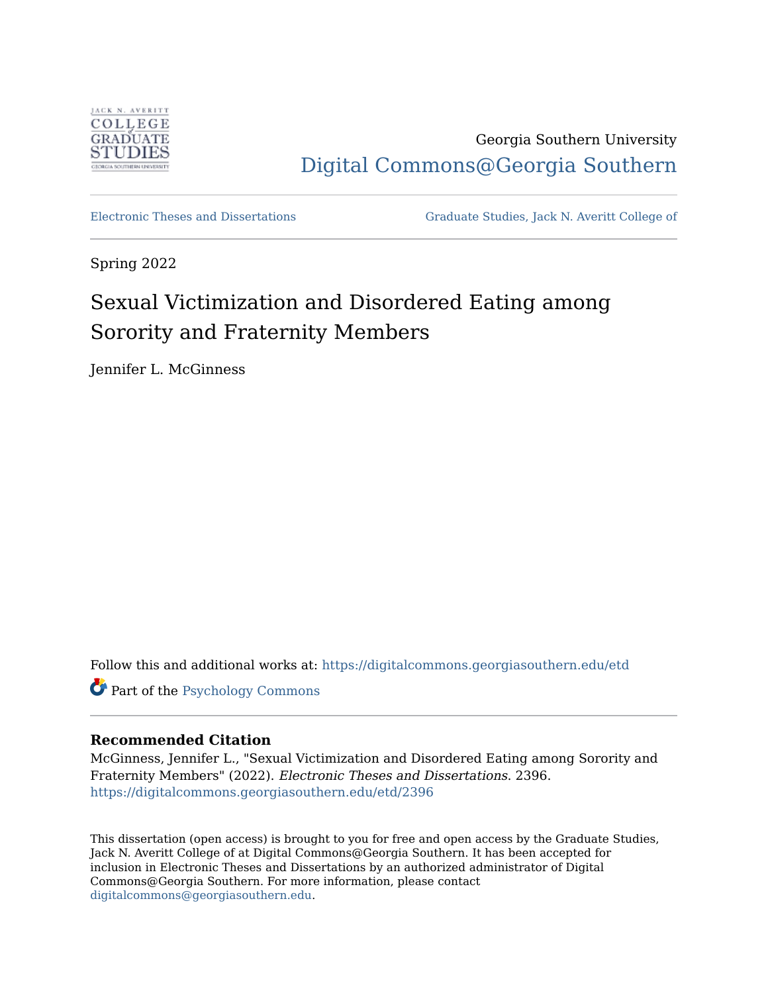

Georgia Southern University [Digital Commons@Georgia Southern](https://digitalcommons.georgiasouthern.edu/) 

[Electronic Theses and Dissertations](https://digitalcommons.georgiasouthern.edu/etd) [Graduate Studies, Jack N. Averitt College of](https://digitalcommons.georgiasouthern.edu/cogs) 

Spring 2022

# Sexual Victimization and Disordered Eating among Sorority and Fraternity Members

Jennifer L. McGinness

Follow this and additional works at: [https://digitalcommons.georgiasouthern.edu/etd](https://digitalcommons.georgiasouthern.edu/etd?utm_source=digitalcommons.georgiasouthern.edu%2Fetd%2F2396&utm_medium=PDF&utm_campaign=PDFCoverPages) 

Part of the [Psychology Commons](https://network.bepress.com/hgg/discipline/404?utm_source=digitalcommons.georgiasouthern.edu%2Fetd%2F2396&utm_medium=PDF&utm_campaign=PDFCoverPages)

### **Recommended Citation**

McGinness, Jennifer L., "Sexual Victimization and Disordered Eating among Sorority and Fraternity Members" (2022). Electronic Theses and Dissertations. 2396. [https://digitalcommons.georgiasouthern.edu/etd/2396](https://digitalcommons.georgiasouthern.edu/etd/2396?utm_source=digitalcommons.georgiasouthern.edu%2Fetd%2F2396&utm_medium=PDF&utm_campaign=PDFCoverPages) 

This dissertation (open access) is brought to you for free and open access by the Graduate Studies, Jack N. Averitt College of at Digital Commons@Georgia Southern. It has been accepted for inclusion in Electronic Theses and Dissertations by an authorized administrator of Digital Commons@Georgia Southern. For more information, please contact [digitalcommons@georgiasouthern.edu.](mailto:digitalcommons@georgiasouthern.edu)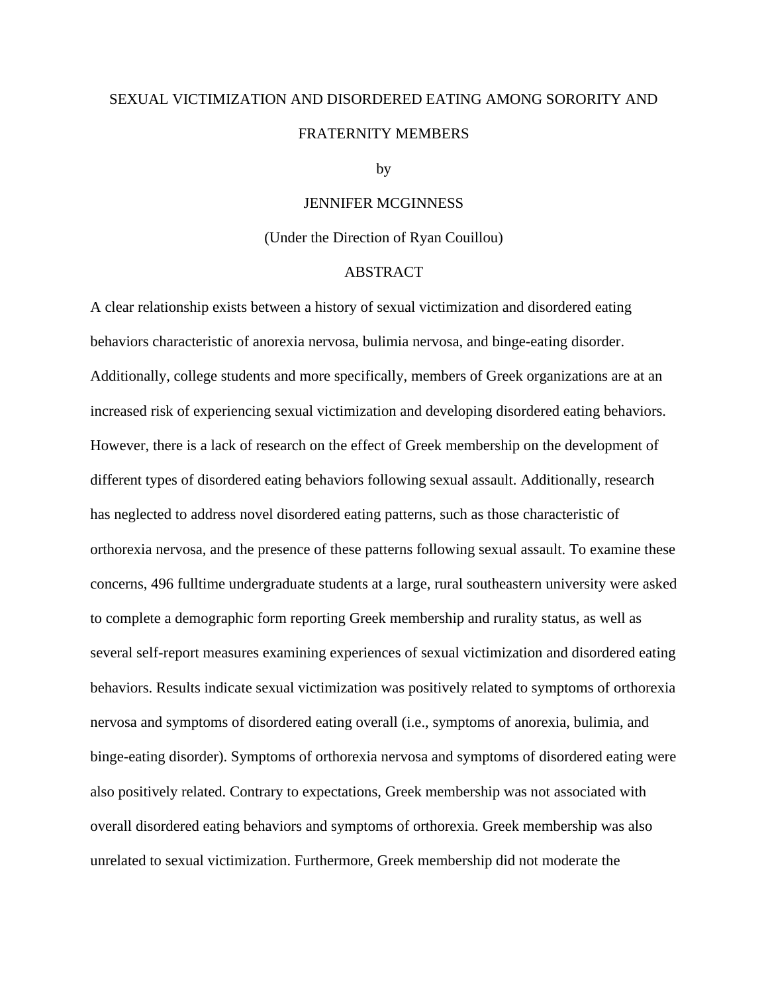# SEXUAL VICTIMIZATION AND DISORDERED EATING AMONG SORORITY AND FRATERNITY MEMBERS

#### by

### JENNIFER MCGINNESS

#### (Under the Direction of Ryan Couillou)

#### ABSTRACT

A clear relationship exists between a history of sexual victimization and disordered eating behaviors characteristic of anorexia nervosa, bulimia nervosa, and binge-eating disorder. Additionally, college students and more specifically, members of Greek organizations are at an increased risk of experiencing sexual victimization and developing disordered eating behaviors. However, there is a lack of research on the effect of Greek membership on the development of different types of disordered eating behaviors following sexual assault. Additionally, research has neglected to address novel disordered eating patterns, such as those characteristic of orthorexia nervosa, and the presence of these patterns following sexual assault. To examine these concerns, 496 fulltime undergraduate students at a large, rural southeastern university were asked to complete a demographic form reporting Greek membership and rurality status, as well as several self-report measures examining experiences of sexual victimization and disordered eating behaviors. Results indicate sexual victimization was positively related to symptoms of orthorexia nervosa and symptoms of disordered eating overall (i.e., symptoms of anorexia, bulimia, and binge-eating disorder). Symptoms of orthorexia nervosa and symptoms of disordered eating were also positively related. Contrary to expectations, Greek membership was not associated with overall disordered eating behaviors and symptoms of orthorexia. Greek membership was also unrelated to sexual victimization. Furthermore, Greek membership did not moderate the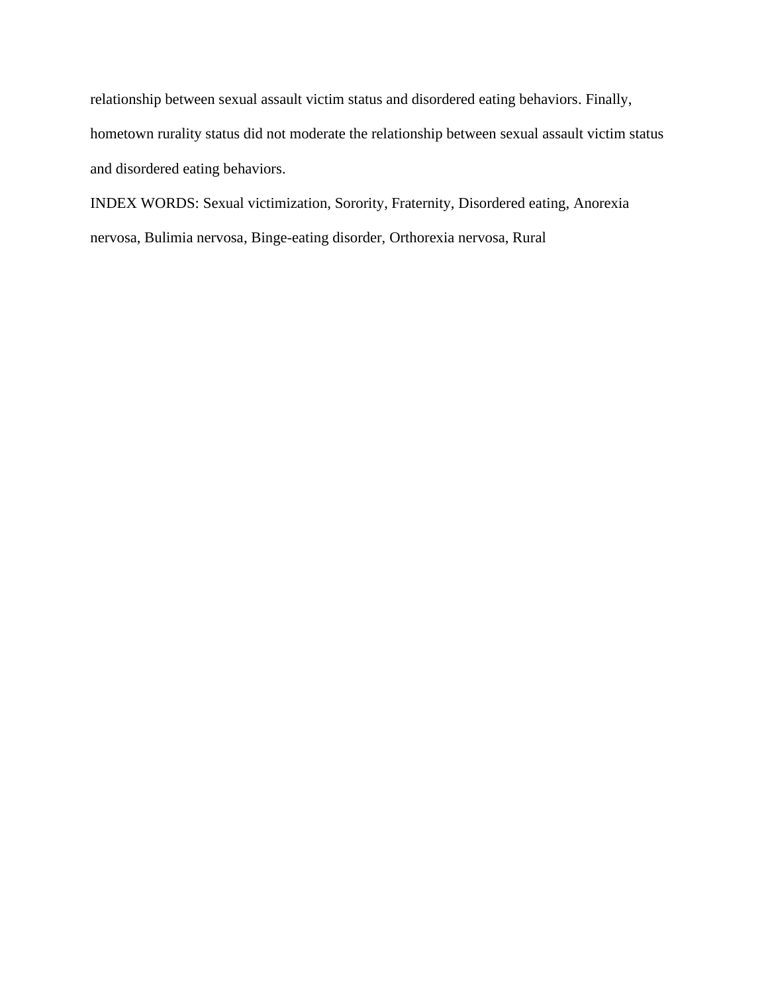relationship between sexual assault victim status and disordered eating behaviors. Finally, hometown rurality status did not moderate the relationship between sexual assault victim status and disordered eating behaviors.

INDEX WORDS: Sexual victimization, Sorority, Fraternity, Disordered eating, Anorexia nervosa, Bulimia nervosa, Binge-eating disorder, Orthorexia nervosa, Rural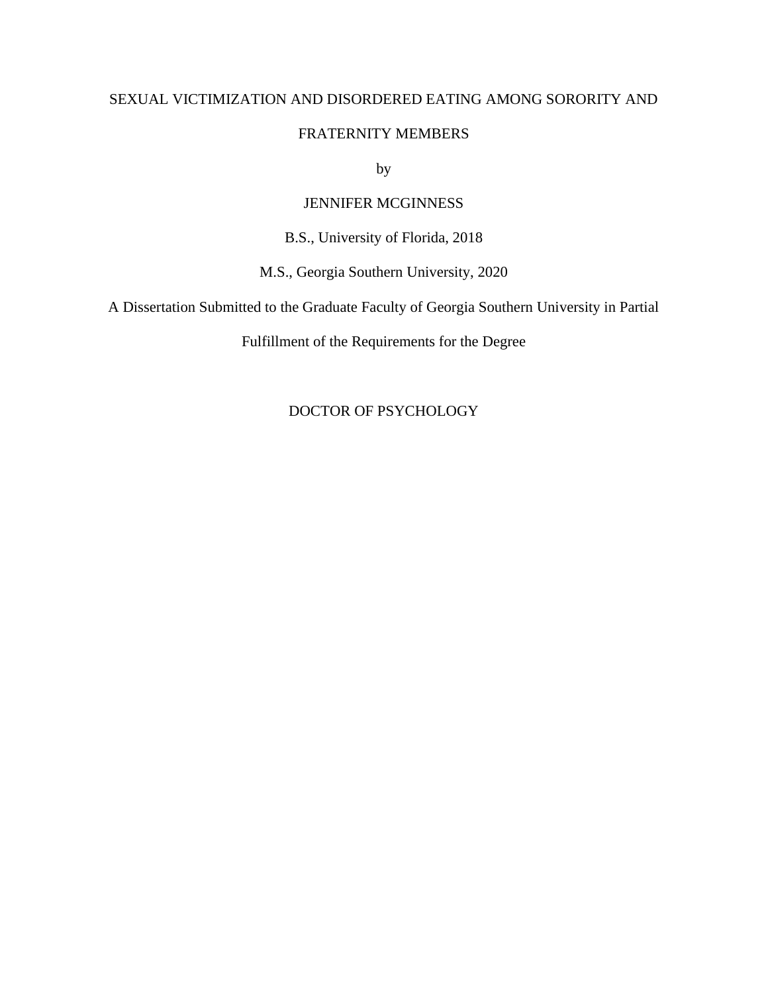# SEXUAL VICTIMIZATION AND DISORDERED EATING AMONG SORORITY AND

## FRATERNITY MEMBERS

by

# JENNIFER MCGINNESS

B.S., University of Florida, 2018

M.S., Georgia Southern University, 2020

A Dissertation Submitted to the Graduate Faculty of Georgia Southern University in Partial

Fulfillment of the Requirements for the Degree

# DOCTOR OF PSYCHOLOGY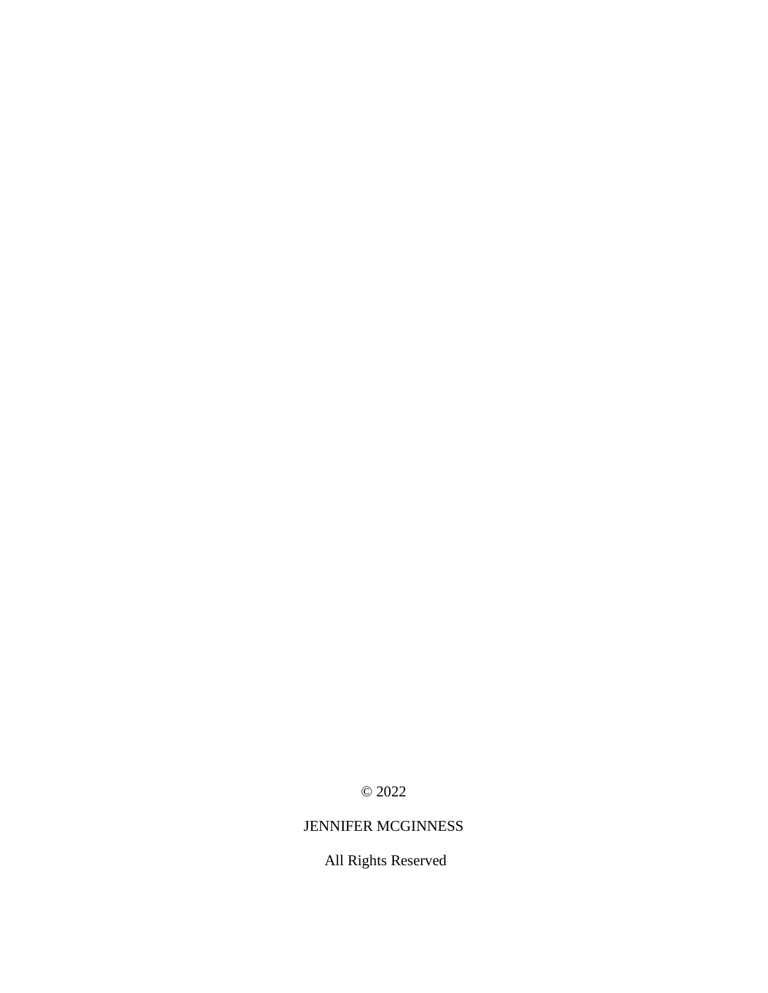© 2022

# JENNIFER MCGINNESS

All Rights Reserved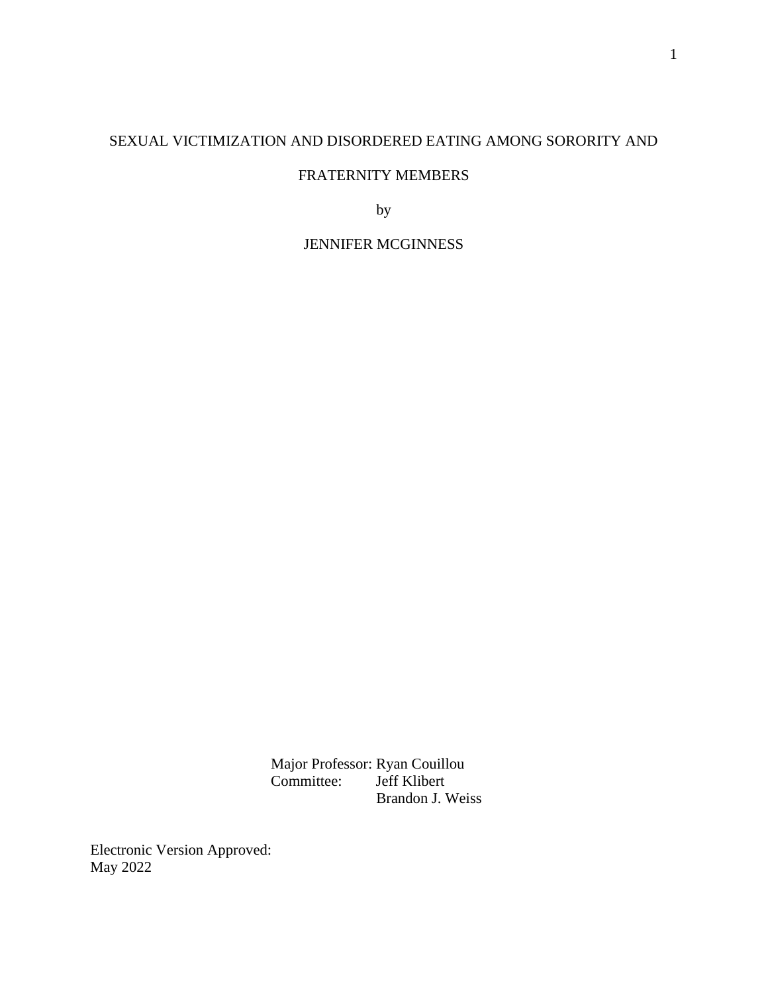# SEXUAL VICTIMIZATION AND DISORDERED EATING AMONG SORORITY AND

## FRATERNITY MEMBERS

by

JENNIFER MCGINNESS

Major Professor: Ryan Couillou<br>Committee: Jeff Klibert Jeff Klibert Brandon J. Weiss

Electronic Version Approved: May 2022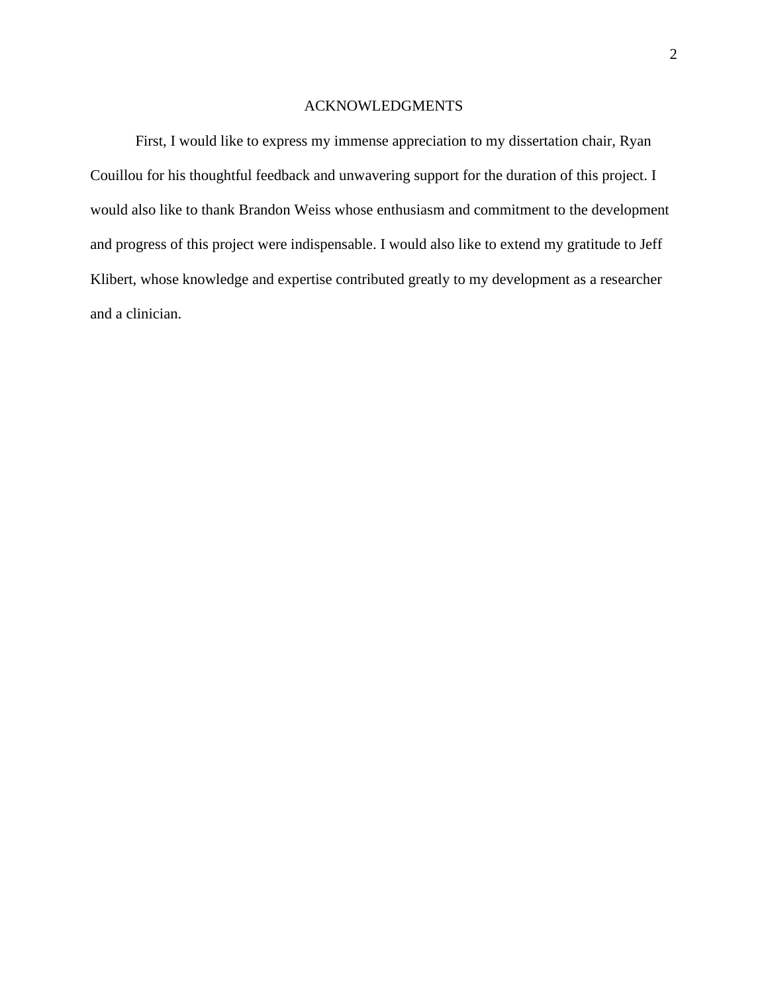### ACKNOWLEDGMENTS

First, I would like to express my immense appreciation to my dissertation chair, Ryan Couillou for his thoughtful feedback and unwavering support for the duration of this project. I would also like to thank Brandon Weiss whose enthusiasm and commitment to the development and progress of this project were indispensable. I would also like to extend my gratitude to Jeff Klibert, whose knowledge and expertise contributed greatly to my development as a researcher and a clinician.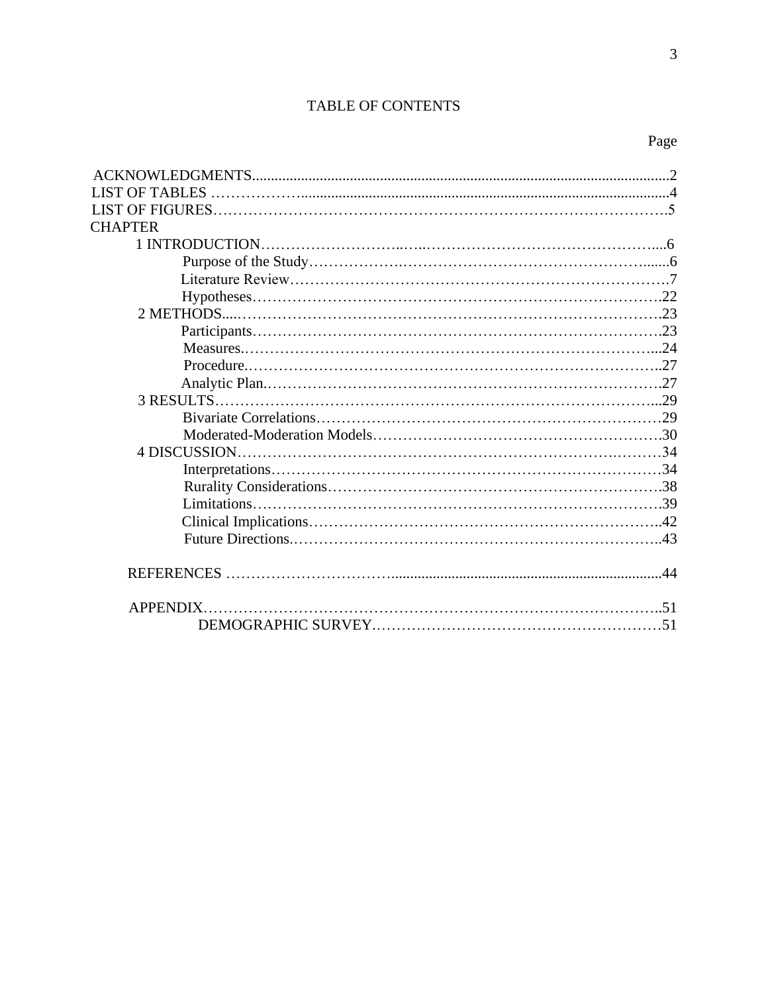# TABLE OF CONTENTS

| <b>CHAPTER</b> |  |
|----------------|--|
|                |  |
|                |  |
|                |  |
|                |  |
|                |  |
|                |  |
|                |  |
|                |  |
|                |  |
|                |  |
|                |  |
|                |  |
|                |  |
|                |  |
|                |  |
|                |  |
|                |  |
|                |  |
|                |  |
|                |  |
|                |  |
|                |  |
|                |  |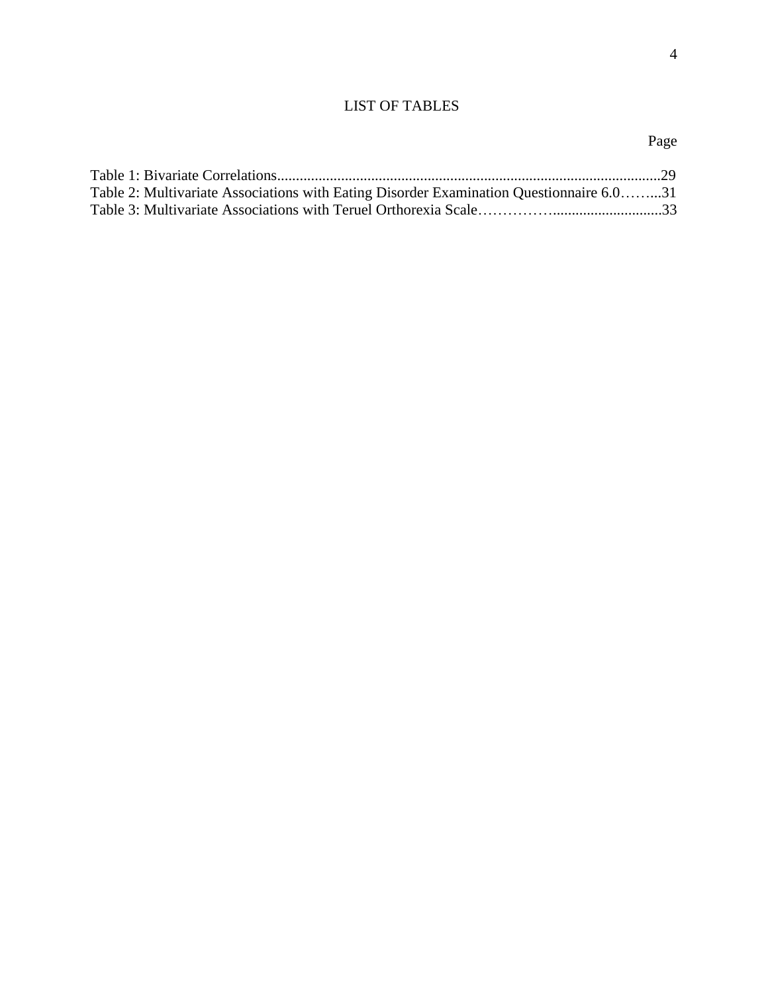# LIST OF TABLES

| Table 2: Multivariate Associations with Eating Disorder Examination Questionnaire 6.031 |  |
|-----------------------------------------------------------------------------------------|--|
|                                                                                         |  |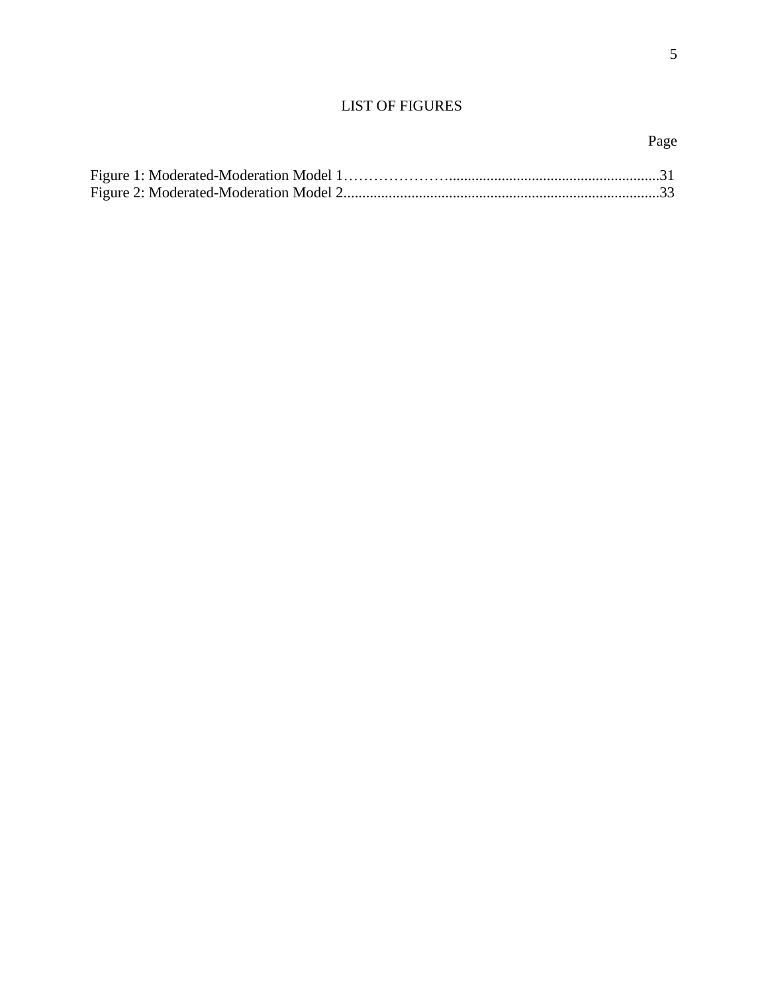# LIST OF FIGURES

#### Page **Page**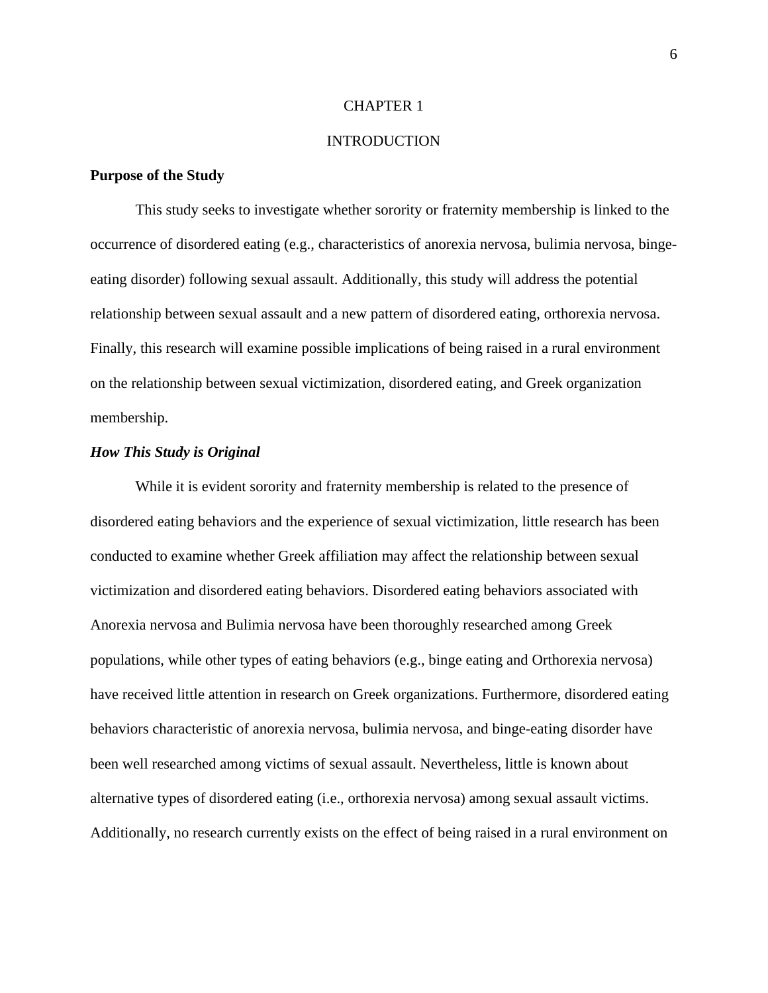#### CHAPTER 1

#### INTRODUCTION

#### **Purpose of the Study**

This study seeks to investigate whether sorority or fraternity membership is linked to the occurrence of disordered eating (e.g., characteristics of anorexia nervosa, bulimia nervosa, bingeeating disorder) following sexual assault. Additionally, this study will address the potential relationship between sexual assault and a new pattern of disordered eating, orthorexia nervosa. Finally, this research will examine possible implications of being raised in a rural environment on the relationship between sexual victimization, disordered eating, and Greek organization membership.

#### *How This Study is Original*

While it is evident sorority and fraternity membership is related to the presence of disordered eating behaviors and the experience of sexual victimization, little research has been conducted to examine whether Greek affiliation may affect the relationship between sexual victimization and disordered eating behaviors. Disordered eating behaviors associated with Anorexia nervosa and Bulimia nervosa have been thoroughly researched among Greek populations, while other types of eating behaviors (e.g., binge eating and Orthorexia nervosa) have received little attention in research on Greek organizations. Furthermore, disordered eating behaviors characteristic of anorexia nervosa, bulimia nervosa, and binge-eating disorder have been well researched among victims of sexual assault. Nevertheless, little is known about alternative types of disordered eating (i.e., orthorexia nervosa) among sexual assault victims. Additionally, no research currently exists on the effect of being raised in a rural environment on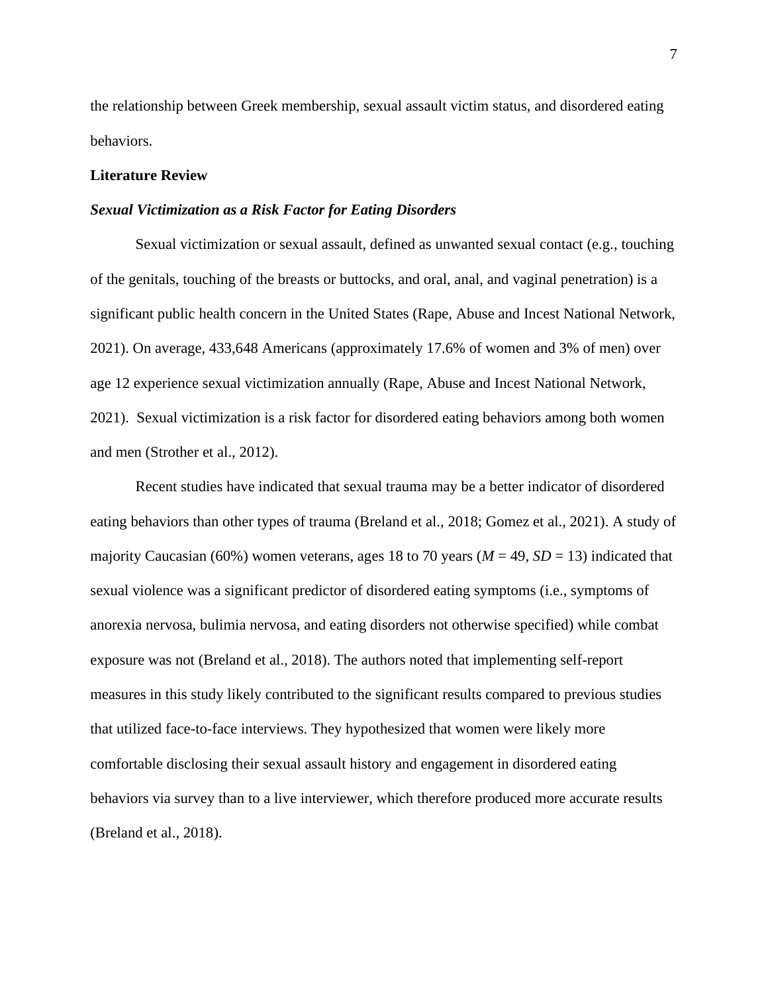the relationship between Greek membership, sexual assault victim status, and disordered eating behaviors.

#### **Literature Review**

#### *Sexual Victimization as a Risk Factor for Eating Disorders*

Sexual victimization or sexual assault, defined as unwanted sexual contact (e.g., touching of the genitals, touching of the breasts or buttocks, and oral, anal, and vaginal penetration) is a significant public health concern in the United States (Rape, Abuse and Incest National Network, 2021). On average, 433,648 Americans (approximately 17.6% of women and 3% of men) over age 12 experience sexual victimization annually (Rape, Abuse and Incest National Network, 2021). Sexual victimization is a risk factor for disordered eating behaviors among both women and men (Strother et al., 2012).

Recent studies have indicated that sexual trauma may be a better indicator of disordered eating behaviors than other types of trauma (Breland et al., 2018; Gomez et al., 2021). A study of majority Caucasian (60%) women veterans, ages 18 to 70 years ( $M = 49$ ,  $SD = 13$ ) indicated that sexual violence was a significant predictor of disordered eating symptoms (i.e., symptoms of anorexia nervosa, bulimia nervosa, and eating disorders not otherwise specified) while combat exposure was not (Breland et al., 2018). The authors noted that implementing self-report measures in this study likely contributed to the significant results compared to previous studies that utilized face-to-face interviews. They hypothesized that women were likely more comfortable disclosing their sexual assault history and engagement in disordered eating behaviors via survey than to a live interviewer, which therefore produced more accurate results (Breland et al., 2018).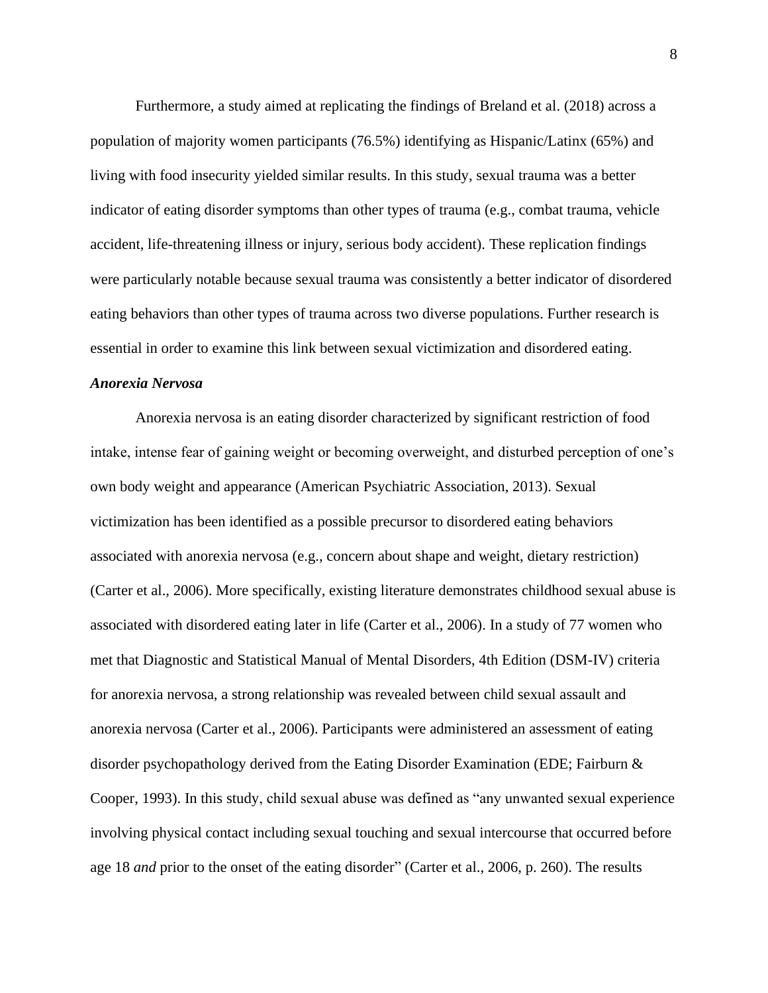Furthermore, a study aimed at replicating the findings of Breland et al. (2018) across a population of majority women participants (76.5%) identifying as Hispanic/Latinx (65%) and living with food insecurity yielded similar results. In this study, sexual trauma was a better indicator of eating disorder symptoms than other types of trauma (e.g., combat trauma, vehicle accident, life-threatening illness or injury, serious body accident). These replication findings were particularly notable because sexual trauma was consistently a better indicator of disordered eating behaviors than other types of trauma across two diverse populations. Further research is essential in order to examine this link between sexual victimization and disordered eating.

### *Anorexia Nervosa*

Anorexia nervosa is an eating disorder characterized by significant restriction of food intake, intense fear of gaining weight or becoming overweight, and disturbed perception of one's own body weight and appearance (American Psychiatric Association, 2013). Sexual victimization has been identified as a possible precursor to disordered eating behaviors associated with anorexia nervosa (e.g., concern about shape and weight, dietary restriction) (Carter et al., 2006). More specifically, existing literature demonstrates childhood sexual abuse is associated with disordered eating later in life (Carter et al., 2006). In a study of 77 women who met that Diagnostic and Statistical Manual of Mental Disorders, 4th Edition (DSM-IV) criteria for anorexia nervosa, a strong relationship was revealed between child sexual assault and anorexia nervosa (Carter et al., 2006). Participants were administered an assessment of eating disorder psychopathology derived from the Eating Disorder Examination (EDE; Fairburn & Cooper, 1993). In this study, child sexual abuse was defined as "any unwanted sexual experience involving physical contact including sexual touching and sexual intercourse that occurred before age 18 *and* prior to the onset of the eating disorder" (Carter et al., 2006, p. 260). The results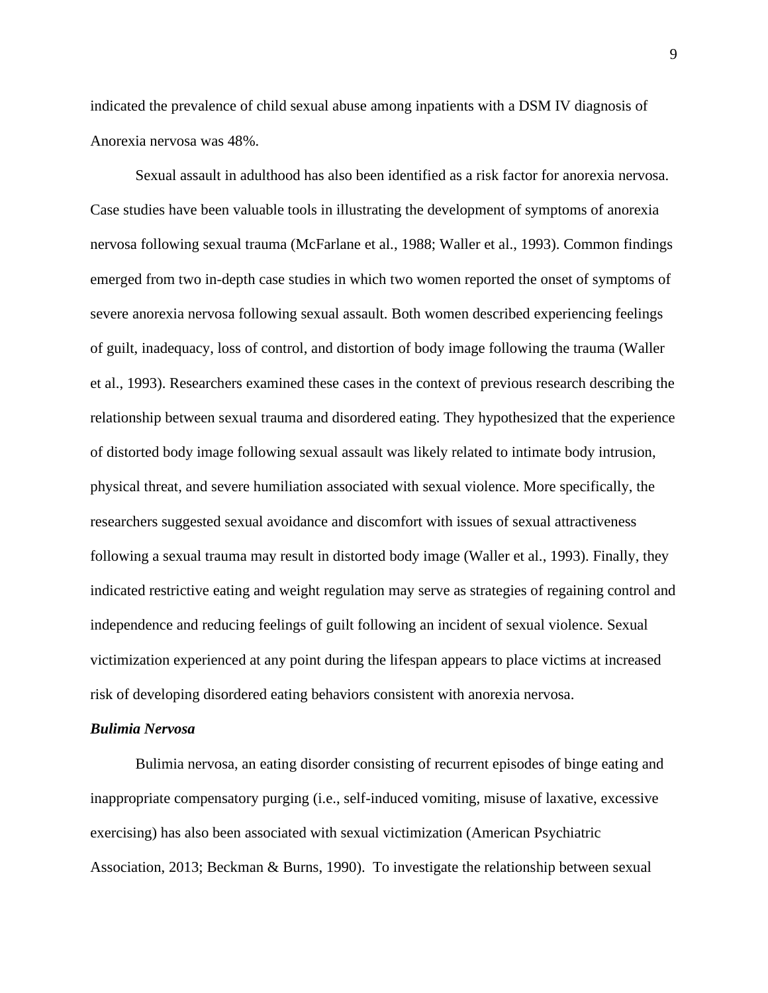indicated the prevalence of child sexual abuse among inpatients with a DSM IV diagnosis of Anorexia nervosa was 48%.

Sexual assault in adulthood has also been identified as a risk factor for anorexia nervosa. Case studies have been valuable tools in illustrating the development of symptoms of anorexia nervosa following sexual trauma (McFarlane et al., 1988; Waller et al., 1993). Common findings emerged from two in-depth case studies in which two women reported the onset of symptoms of severe anorexia nervosa following sexual assault. Both women described experiencing feelings of guilt, inadequacy, loss of control, and distortion of body image following the trauma (Waller et al., 1993). Researchers examined these cases in the context of previous research describing the relationship between sexual trauma and disordered eating. They hypothesized that the experience of distorted body image following sexual assault was likely related to intimate body intrusion, physical threat, and severe humiliation associated with sexual violence. More specifically, the researchers suggested sexual avoidance and discomfort with issues of sexual attractiveness following a sexual trauma may result in distorted body image (Waller et al., 1993). Finally, they indicated restrictive eating and weight regulation may serve as strategies of regaining control and independence and reducing feelings of guilt following an incident of sexual violence. Sexual victimization experienced at any point during the lifespan appears to place victims at increased risk of developing disordered eating behaviors consistent with anorexia nervosa.

### *Bulimia Nervosa*

Bulimia nervosa, an eating disorder consisting of recurrent episodes of binge eating and inappropriate compensatory purging (i.e., self-induced vomiting, misuse of laxative, excessive exercising) has also been associated with sexual victimization (American Psychiatric Association, 2013; Beckman & Burns, 1990). To investigate the relationship between sexual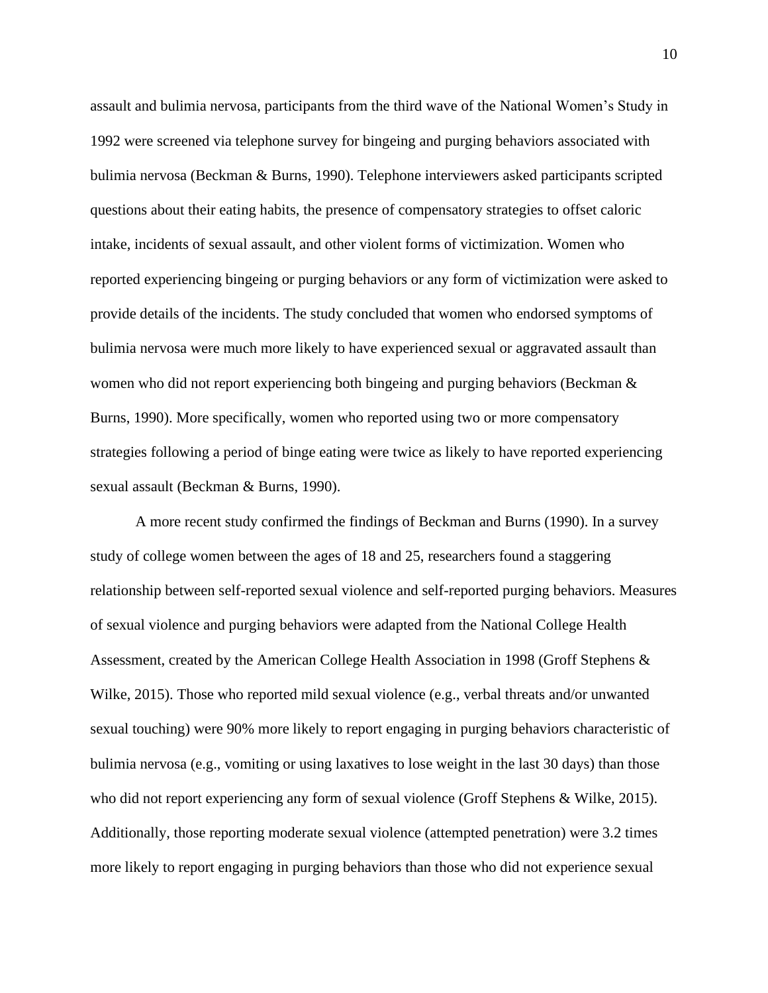assault and bulimia nervosa, participants from the third wave of the National Women's Study in 1992 were screened via telephone survey for bingeing and purging behaviors associated with bulimia nervosa (Beckman & Burns, 1990). Telephone interviewers asked participants scripted questions about their eating habits, the presence of compensatory strategies to offset caloric intake, incidents of sexual assault, and other violent forms of victimization. Women who reported experiencing bingeing or purging behaviors or any form of victimization were asked to provide details of the incidents. The study concluded that women who endorsed symptoms of bulimia nervosa were much more likely to have experienced sexual or aggravated assault than women who did not report experiencing both bingeing and purging behaviors (Beckman & Burns, 1990). More specifically, women who reported using two or more compensatory strategies following a period of binge eating were twice as likely to have reported experiencing sexual assault (Beckman & Burns, 1990).

A more recent study confirmed the findings of Beckman and Burns (1990). In a survey study of college women between the ages of 18 and 25, researchers found a staggering relationship between self-reported sexual violence and self-reported purging behaviors. Measures of sexual violence and purging behaviors were adapted from the National College Health Assessment, created by the American College Health Association in 1998 (Groff Stephens & Wilke, 2015). Those who reported mild sexual violence (e.g., verbal threats and/or unwanted sexual touching) were 90% more likely to report engaging in purging behaviors characteristic of bulimia nervosa (e.g., vomiting or using laxatives to lose weight in the last 30 days) than those who did not report experiencing any form of sexual violence (Groff Stephens & Wilke, 2015). Additionally, those reporting moderate sexual violence (attempted penetration) were 3.2 times more likely to report engaging in purging behaviors than those who did not experience sexual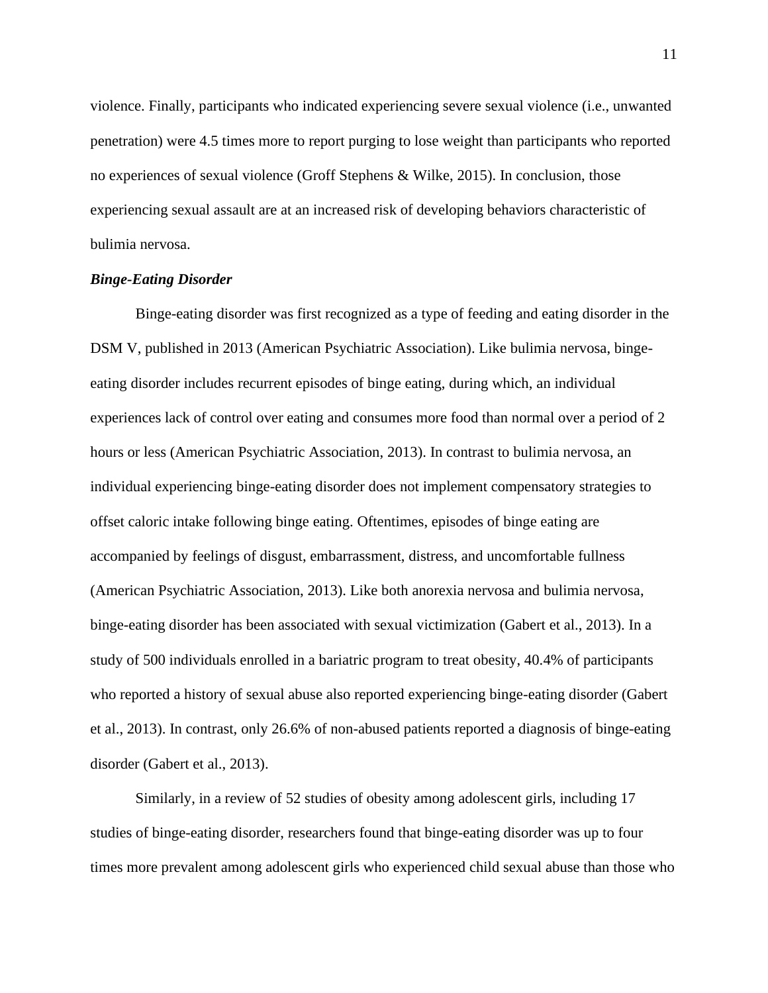violence. Finally, participants who indicated experiencing severe sexual violence (i.e., unwanted penetration) were 4.5 times more to report purging to lose weight than participants who reported no experiences of sexual violence (Groff Stephens & Wilke, 2015). In conclusion, those experiencing sexual assault are at an increased risk of developing behaviors characteristic of bulimia nervosa.

#### *Binge-Eating Disorder*

Binge-eating disorder was first recognized as a type of feeding and eating disorder in the DSM V, published in 2013 (American Psychiatric Association). Like bulimia nervosa, bingeeating disorder includes recurrent episodes of binge eating, during which, an individual experiences lack of control over eating and consumes more food than normal over a period of 2 hours or less (American Psychiatric Association, 2013). In contrast to bulimia nervosa, an individual experiencing binge-eating disorder does not implement compensatory strategies to offset caloric intake following binge eating. Oftentimes, episodes of binge eating are accompanied by feelings of disgust, embarrassment, distress, and uncomfortable fullness (American Psychiatric Association, 2013). Like both anorexia nervosa and bulimia nervosa, binge-eating disorder has been associated with sexual victimization (Gabert et al., 2013). In a study of 500 individuals enrolled in a bariatric program to treat obesity, 40.4% of participants who reported a history of sexual abuse also reported experiencing binge-eating disorder (Gabert et al., 2013). In contrast, only 26.6% of non-abused patients reported a diagnosis of binge-eating disorder (Gabert et al., 2013).

Similarly, in a review of 52 studies of obesity among adolescent girls, including 17 studies of binge-eating disorder, researchers found that binge-eating disorder was up to four times more prevalent among adolescent girls who experienced child sexual abuse than those who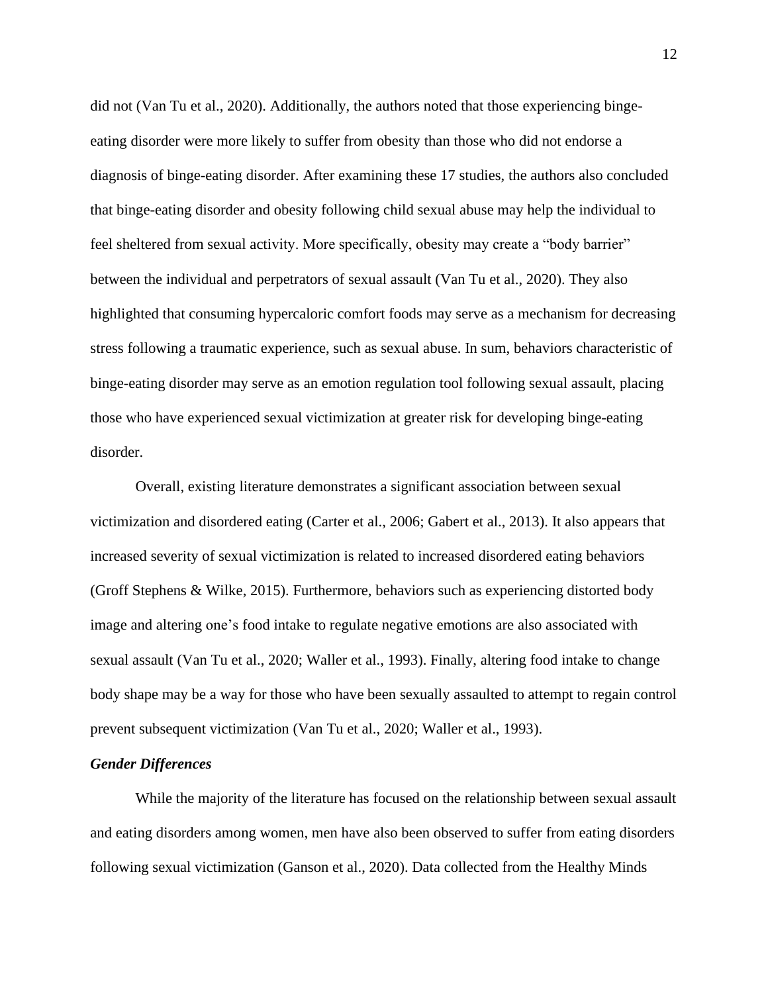did not (Van Tu et al., 2020). Additionally, the authors noted that those experiencing bingeeating disorder were more likely to suffer from obesity than those who did not endorse a diagnosis of binge-eating disorder. After examining these 17 studies, the authors also concluded that binge-eating disorder and obesity following child sexual abuse may help the individual to feel sheltered from sexual activity. More specifically, obesity may create a "body barrier" between the individual and perpetrators of sexual assault (Van Tu et al., 2020). They also highlighted that consuming hypercaloric comfort foods may serve as a mechanism for decreasing stress following a traumatic experience, such as sexual abuse. In sum, behaviors characteristic of binge-eating disorder may serve as an emotion regulation tool following sexual assault, placing those who have experienced sexual victimization at greater risk for developing binge-eating disorder.

Overall, existing literature demonstrates a significant association between sexual victimization and disordered eating (Carter et al., 2006; Gabert et al., 2013). It also appears that increased severity of sexual victimization is related to increased disordered eating behaviors (Groff Stephens & Wilke, 2015). Furthermore, behaviors such as experiencing distorted body image and altering one's food intake to regulate negative emotions are also associated with sexual assault (Van Tu et al., 2020; Waller et al., 1993). Finally, altering food intake to change body shape may be a way for those who have been sexually assaulted to attempt to regain control prevent subsequent victimization (Van Tu et al., 2020; Waller et al., 1993).

#### *Gender Differences*

While the majority of the literature has focused on the relationship between sexual assault and eating disorders among women, men have also been observed to suffer from eating disorders following sexual victimization (Ganson et al., 2020). Data collected from the Healthy Minds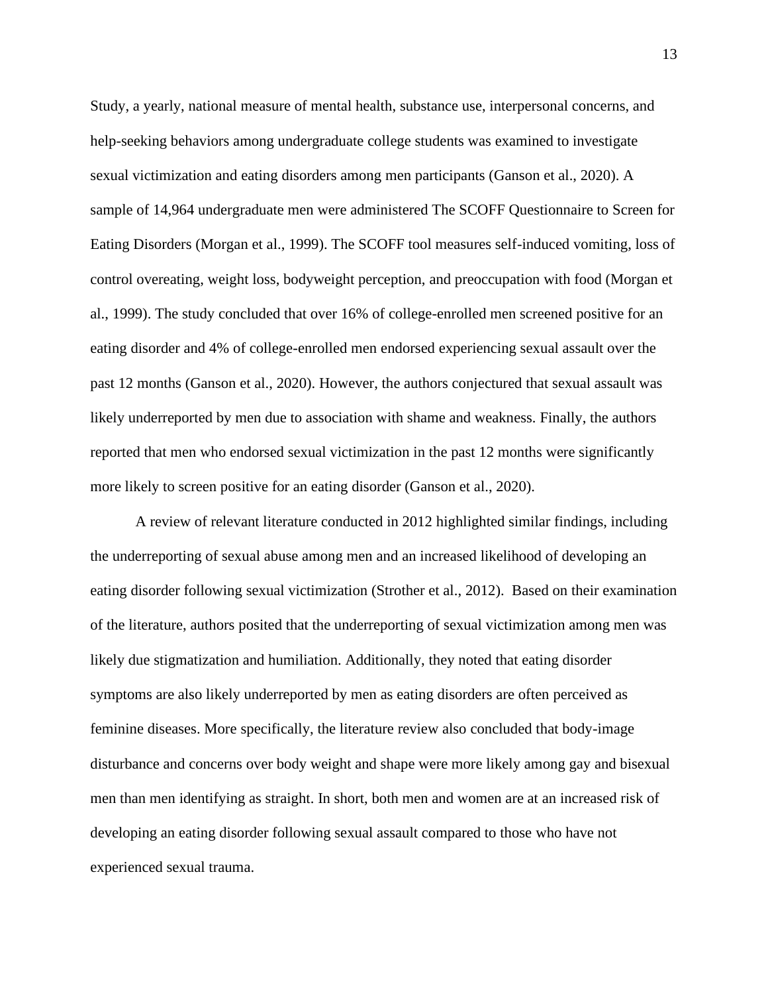Study, a yearly, national measure of mental health, substance use, interpersonal concerns, and help-seeking behaviors among undergraduate college students was examined to investigate sexual victimization and eating disorders among men participants (Ganson et al., 2020). A sample of 14,964 undergraduate men were administered The SCOFF Questionnaire to Screen for Eating Disorders (Morgan et al., 1999). The SCOFF tool measures self-induced vomiting, loss of control overeating, weight loss, bodyweight perception, and preoccupation with food (Morgan et al., 1999). The study concluded that over 16% of college-enrolled men screened positive for an eating disorder and 4% of college-enrolled men endorsed experiencing sexual assault over the past 12 months (Ganson et al., 2020). However, the authors conjectured that sexual assault was likely underreported by men due to association with shame and weakness. Finally, the authors reported that men who endorsed sexual victimization in the past 12 months were significantly more likely to screen positive for an eating disorder (Ganson et al., 2020).

A review of relevant literature conducted in 2012 highlighted similar findings, including the underreporting of sexual abuse among men and an increased likelihood of developing an eating disorder following sexual victimization (Strother et al., 2012). Based on their examination of the literature, authors posited that the underreporting of sexual victimization among men was likely due stigmatization and humiliation. Additionally, they noted that eating disorder symptoms are also likely underreported by men as eating disorders are often perceived as feminine diseases. More specifically, the literature review also concluded that body-image disturbance and concerns over body weight and shape were more likely among gay and bisexual men than men identifying as straight. In short, both men and women are at an increased risk of developing an eating disorder following sexual assault compared to those who have not experienced sexual trauma.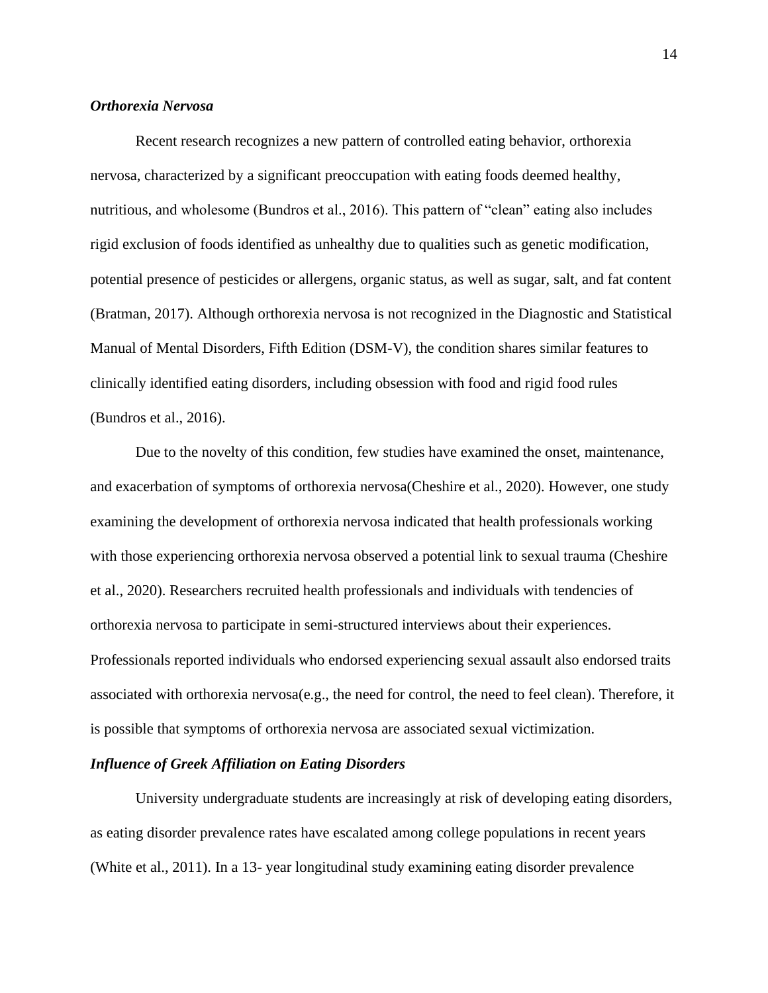### *Orthorexia Nervosa*

Recent research recognizes a new pattern of controlled eating behavior, orthorexia nervosa, characterized by a significant preoccupation with eating foods deemed healthy, nutritious, and wholesome (Bundros et al., 2016). This pattern of "clean" eating also includes rigid exclusion of foods identified as unhealthy due to qualities such as genetic modification, potential presence of pesticides or allergens, organic status, as well as sugar, salt, and fat content (Bratman, 2017). Although orthorexia nervosa is not recognized in the Diagnostic and Statistical Manual of Mental Disorders, Fifth Edition (DSM-V), the condition shares similar features to clinically identified eating disorders, including obsession with food and rigid food rules (Bundros et al., 2016).

Due to the novelty of this condition, few studies have examined the onset, maintenance, and exacerbation of symptoms of orthorexia nervosa(Cheshire et al., 2020). However, one study examining the development of orthorexia nervosa indicated that health professionals working with those experiencing orthorexia nervosa observed a potential link to sexual trauma (Cheshire et al., 2020). Researchers recruited health professionals and individuals with tendencies of orthorexia nervosa to participate in semi-structured interviews about their experiences. Professionals reported individuals who endorsed experiencing sexual assault also endorsed traits associated with orthorexia nervosa(e.g., the need for control, the need to feel clean). Therefore, it is possible that symptoms of orthorexia nervosa are associated sexual victimization.

#### *Influence of Greek Affiliation on Eating Disorders*

University undergraduate students are increasingly at risk of developing eating disorders, as eating disorder prevalence rates have escalated among college populations in recent years (White et al., 2011). In a 13- year longitudinal study examining eating disorder prevalence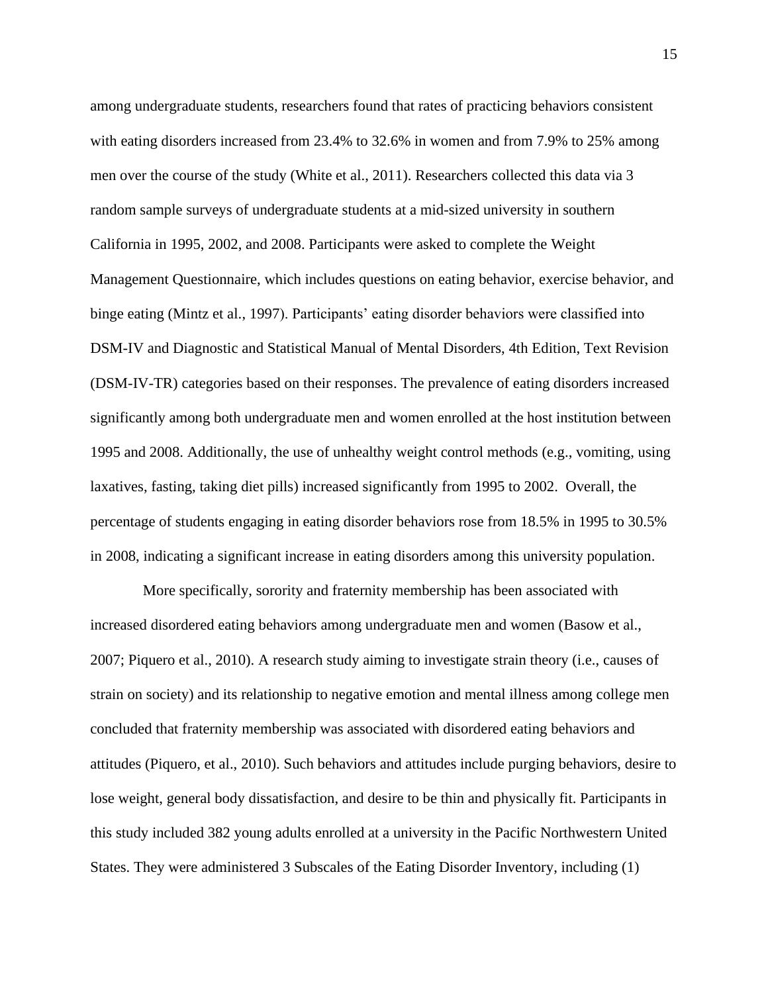among undergraduate students, researchers found that rates of practicing behaviors consistent with eating disorders increased from 23.4% to 32.6% in women and from 7.9% to 25% among men over the course of the study (White et al., 2011). Researchers collected this data via 3 random sample surveys of undergraduate students at a mid-sized university in southern California in 1995, 2002, and 2008. Participants were asked to complete the Weight Management Questionnaire, which includes questions on eating behavior, exercise behavior, and binge eating (Mintz et al., 1997). Participants' eating disorder behaviors were classified into DSM-IV and Diagnostic and Statistical Manual of Mental Disorders, 4th Edition, Text Revision (DSM-IV-TR) categories based on their responses. The prevalence of eating disorders increased significantly among both undergraduate men and women enrolled at the host institution between 1995 and 2008. Additionally, the use of unhealthy weight control methods (e.g., vomiting, using laxatives, fasting, taking diet pills) increased significantly from 1995 to 2002. Overall, the percentage of students engaging in eating disorder behaviors rose from 18.5% in 1995 to 30.5% in 2008, indicating a significant increase in eating disorders among this university population.

 More specifically, sorority and fraternity membership has been associated with increased disordered eating behaviors among undergraduate men and women (Basow et al., 2007; Piquero et al., 2010). A research study aiming to investigate strain theory (i.e., causes of strain on society) and its relationship to negative emotion and mental illness among college men concluded that fraternity membership was associated with disordered eating behaviors and attitudes (Piquero, et al., 2010). Such behaviors and attitudes include purging behaviors, desire to lose weight, general body dissatisfaction, and desire to be thin and physically fit. Participants in this study included 382 young adults enrolled at a university in the Pacific Northwestern United States. They were administered 3 Subscales of the Eating Disorder Inventory, including (1)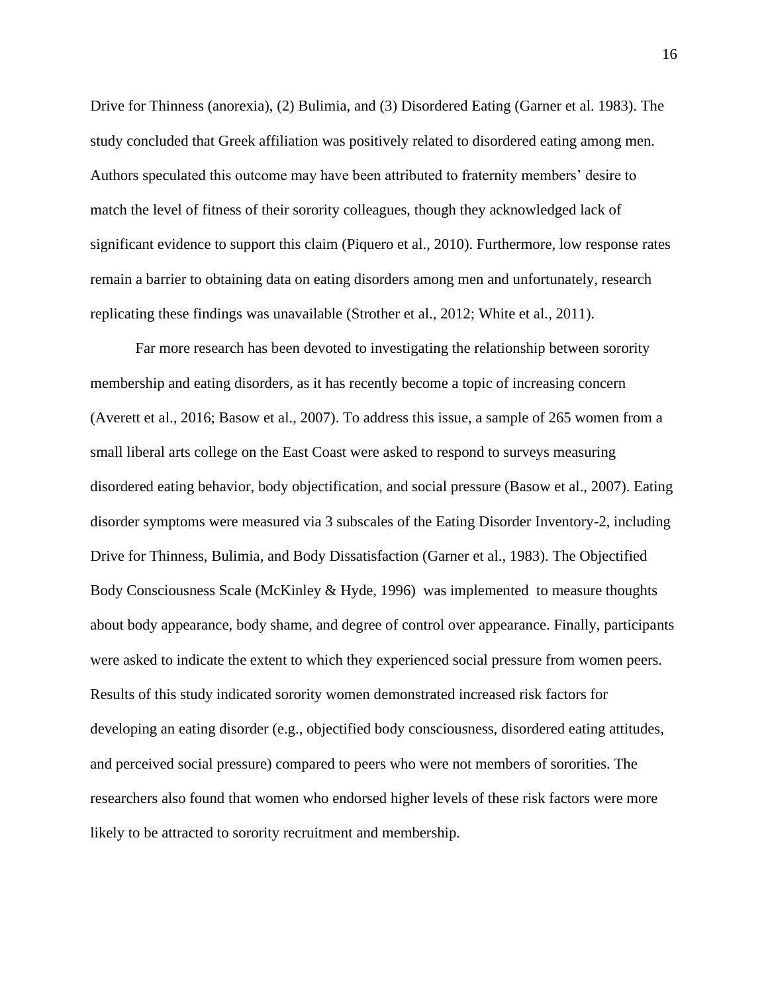Drive for Thinness (anorexia), (2) Bulimia, and (3) Disordered Eating (Garner et al. 1983). The study concluded that Greek affiliation was positively related to disordered eating among men. Authors speculated this outcome may have been attributed to fraternity members' desire to match the level of fitness of their sorority colleagues, though they acknowledged lack of significant evidence to support this claim (Piquero et al., 2010). Furthermore, low response rates remain a barrier to obtaining data on eating disorders among men and unfortunately, research replicating these findings was unavailable (Strother et al., 2012; White et al., 2011).

Far more research has been devoted to investigating the relationship between sorority membership and eating disorders, as it has recently become a topic of increasing concern (Averett et al., 2016; Basow et al., 2007). To address this issue, a sample of 265 women from a small liberal arts college on the East Coast were asked to respond to surveys measuring disordered eating behavior, body objectification, and social pressure (Basow et al., 2007). Eating disorder symptoms were measured via 3 subscales of the Eating Disorder Inventory-2, including Drive for Thinness, Bulimia, and Body Dissatisfaction (Garner et al., 1983). The Objectified Body Consciousness Scale (McKinley & Hyde, 1996) was implemented to measure thoughts about body appearance, body shame, and degree of control over appearance. Finally, participants were asked to indicate the extent to which they experienced social pressure from women peers. Results of this study indicated sorority women demonstrated increased risk factors for developing an eating disorder (e.g., objectified body consciousness, disordered eating attitudes, and perceived social pressure) compared to peers who were not members of sororities. The researchers also found that women who endorsed higher levels of these risk factors were more likely to be attracted to sorority recruitment and membership.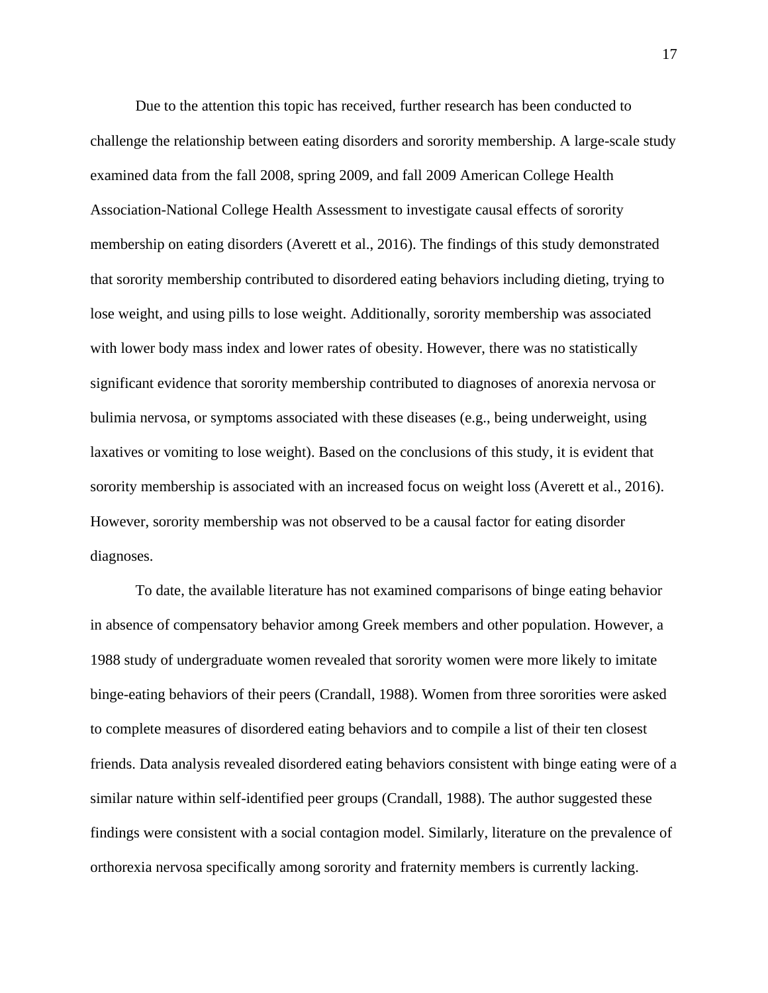Due to the attention this topic has received, further research has been conducted to challenge the relationship between eating disorders and sorority membership. A large-scale study examined data from the fall 2008, spring 2009, and fall 2009 American College Health Association-National College Health Assessment to investigate causal effects of sorority membership on eating disorders (Averett et al., 2016). The findings of this study demonstrated that sorority membership contributed to disordered eating behaviors including dieting, trying to lose weight, and using pills to lose weight. Additionally, sorority membership was associated with lower body mass index and lower rates of obesity. However, there was no statistically significant evidence that sorority membership contributed to diagnoses of anorexia nervosa or bulimia nervosa, or symptoms associated with these diseases (e.g., being underweight, using laxatives or vomiting to lose weight). Based on the conclusions of this study, it is evident that sorority membership is associated with an increased focus on weight loss (Averett et al., 2016). However, sorority membership was not observed to be a causal factor for eating disorder diagnoses.

To date, the available literature has not examined comparisons of binge eating behavior in absence of compensatory behavior among Greek members and other population. However, a 1988 study of undergraduate women revealed that sorority women were more likely to imitate binge-eating behaviors of their peers (Crandall, 1988). Women from three sororities were asked to complete measures of disordered eating behaviors and to compile a list of their ten closest friends. Data analysis revealed disordered eating behaviors consistent with binge eating were of a similar nature within self-identified peer groups (Crandall, 1988). The author suggested these findings were consistent with a social contagion model. Similarly, literature on the prevalence of orthorexia nervosa specifically among sorority and fraternity members is currently lacking.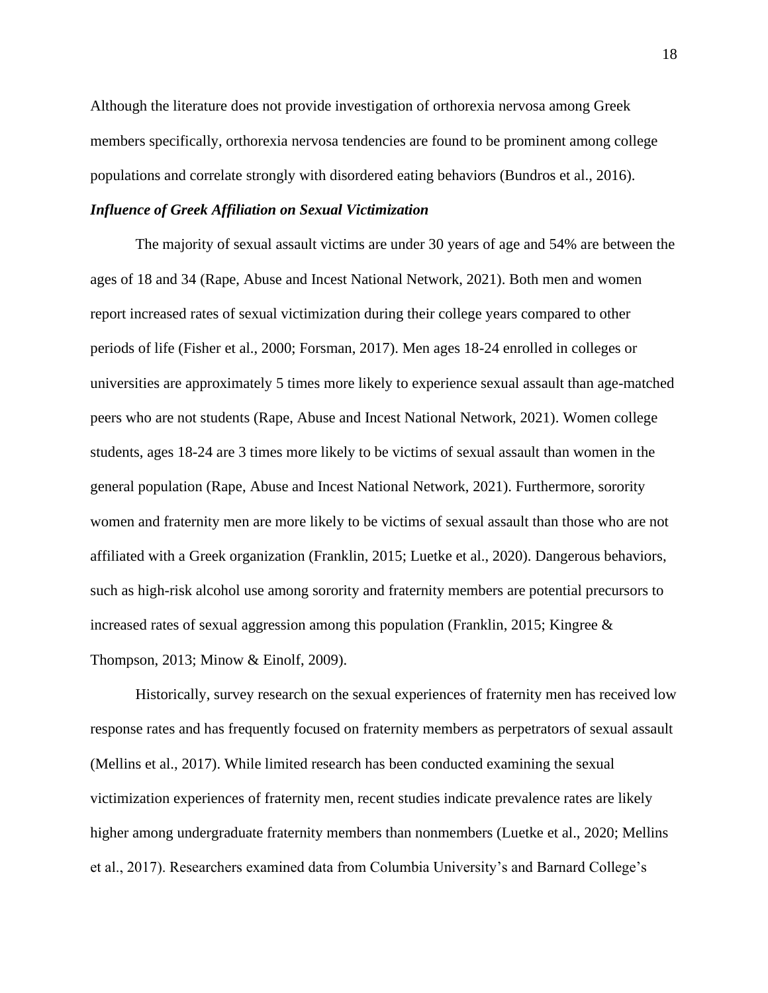Although the literature does not provide investigation of orthorexia nervosa among Greek members specifically, orthorexia nervosa tendencies are found to be prominent among college populations and correlate strongly with disordered eating behaviors (Bundros et al., 2016).

#### *Influence of Greek Affiliation on Sexual Victimization*

The majority of sexual assault victims are under 30 years of age and 54% are between the ages of 18 and 34 (Rape, Abuse and Incest National Network, 2021). Both men and women report increased rates of sexual victimization during their college years compared to other periods of life (Fisher et al., 2000; Forsman, 2017). Men ages 18-24 enrolled in colleges or universities are approximately 5 times more likely to experience sexual assault than age-matched peers who are not students (Rape, Abuse and Incest National Network, 2021). Women college students, ages 18-24 are 3 times more likely to be victims of sexual assault than women in the general population (Rape, Abuse and Incest National Network, 2021). Furthermore, sorority women and fraternity men are more likely to be victims of sexual assault than those who are not affiliated with a Greek organization (Franklin, 2015; Luetke et al., 2020). Dangerous behaviors, such as high-risk alcohol use among sorority and fraternity members are potential precursors to increased rates of sexual aggression among this population (Franklin, 2015; Kingree  $\&$ Thompson, 2013; Minow & Einolf, 2009).

Historically, survey research on the sexual experiences of fraternity men has received low response rates and has frequently focused on fraternity members as perpetrators of sexual assault (Mellins et al., 2017). While limited research has been conducted examining the sexual victimization experiences of fraternity men, recent studies indicate prevalence rates are likely higher among undergraduate fraternity members than nonmembers (Luetke et al., 2020; Mellins et al., 2017). Researchers examined data from Columbia University's and Barnard College's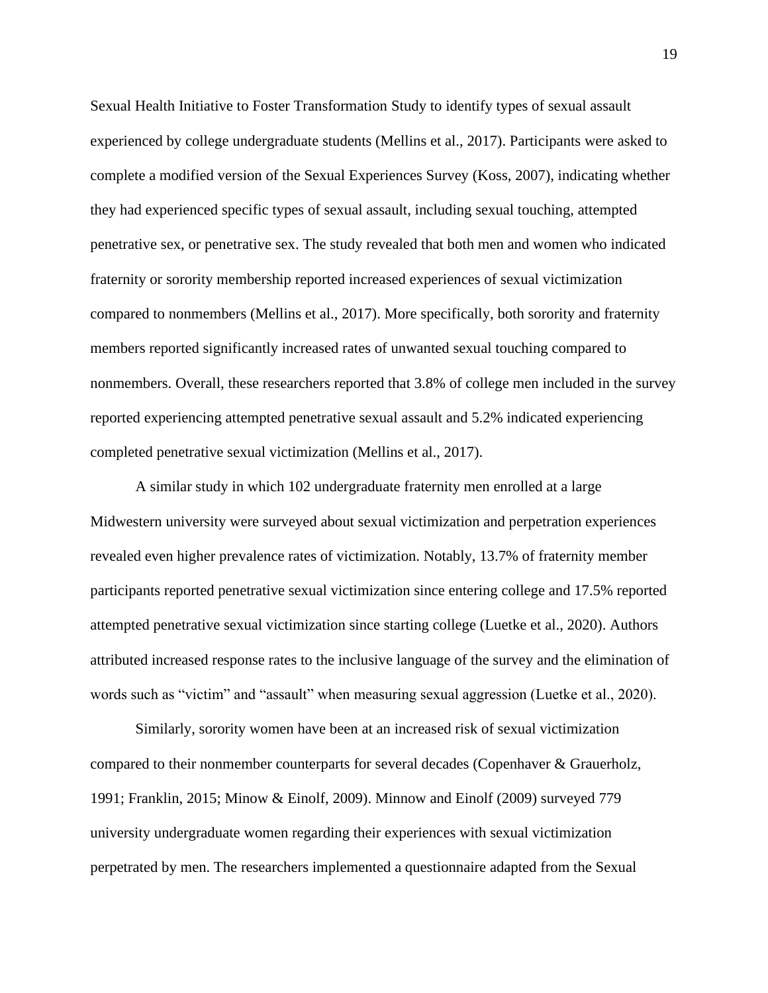Sexual Health Initiative to Foster Transformation Study to identify types of sexual assault experienced by college undergraduate students (Mellins et al., 2017). Participants were asked to complete a modified version of the Sexual Experiences Survey (Koss, 2007), indicating whether they had experienced specific types of sexual assault, including sexual touching, attempted penetrative sex, or penetrative sex. The study revealed that both men and women who indicated fraternity or sorority membership reported increased experiences of sexual victimization compared to nonmembers (Mellins et al., 2017). More specifically, both sorority and fraternity members reported significantly increased rates of unwanted sexual touching compared to nonmembers. Overall, these researchers reported that 3.8% of college men included in the survey reported experiencing attempted penetrative sexual assault and 5.2% indicated experiencing completed penetrative sexual victimization (Mellins et al., 2017).

A similar study in which 102 undergraduate fraternity men enrolled at a large Midwestern university were surveyed about sexual victimization and perpetration experiences revealed even higher prevalence rates of victimization. Notably, 13.7% of fraternity member participants reported penetrative sexual victimization since entering college and 17.5% reported attempted penetrative sexual victimization since starting college (Luetke et al., 2020). Authors attributed increased response rates to the inclusive language of the survey and the elimination of words such as "victim" and "assault" when measuring sexual aggression (Luetke et al., 2020).

Similarly, sorority women have been at an increased risk of sexual victimization compared to their nonmember counterparts for several decades (Copenhaver & Grauerholz, 1991; Franklin, 2015; Minow & Einolf, 2009). Minnow and Einolf (2009) surveyed 779 university undergraduate women regarding their experiences with sexual victimization perpetrated by men. The researchers implemented a questionnaire adapted from the Sexual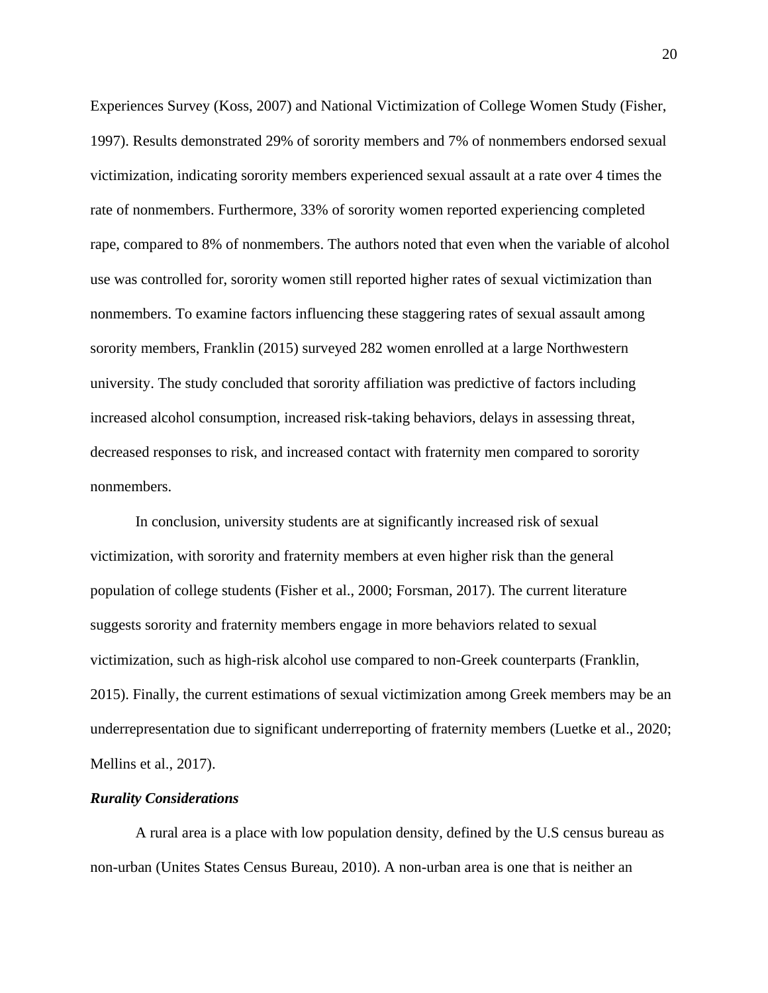Experiences Survey (Koss, 2007) and National Victimization of College Women Study (Fisher, 1997). Results demonstrated 29% of sorority members and 7% of nonmembers endorsed sexual victimization, indicating sorority members experienced sexual assault at a rate over 4 times the rate of nonmembers. Furthermore, 33% of sorority women reported experiencing completed rape, compared to 8% of nonmembers. The authors noted that even when the variable of alcohol use was controlled for, sorority women still reported higher rates of sexual victimization than nonmembers. To examine factors influencing these staggering rates of sexual assault among sorority members, Franklin (2015) surveyed 282 women enrolled at a large Northwestern university. The study concluded that sorority affiliation was predictive of factors including increased alcohol consumption, increased risk-taking behaviors, delays in assessing threat, decreased responses to risk, and increased contact with fraternity men compared to sorority nonmembers.

In conclusion, university students are at significantly increased risk of sexual victimization, with sorority and fraternity members at even higher risk than the general population of college students (Fisher et al., 2000; Forsman, 2017). The current literature suggests sorority and fraternity members engage in more behaviors related to sexual victimization, such as high-risk alcohol use compared to non-Greek counterparts (Franklin, 2015). Finally, the current estimations of sexual victimization among Greek members may be an underrepresentation due to significant underreporting of fraternity members (Luetke et al., 2020; Mellins et al., 2017).

#### *Rurality Considerations*

A rural area is a place with low population density, defined by the U.S census bureau as non-urban (Unites States Census Bureau, 2010). A non-urban area is one that is neither an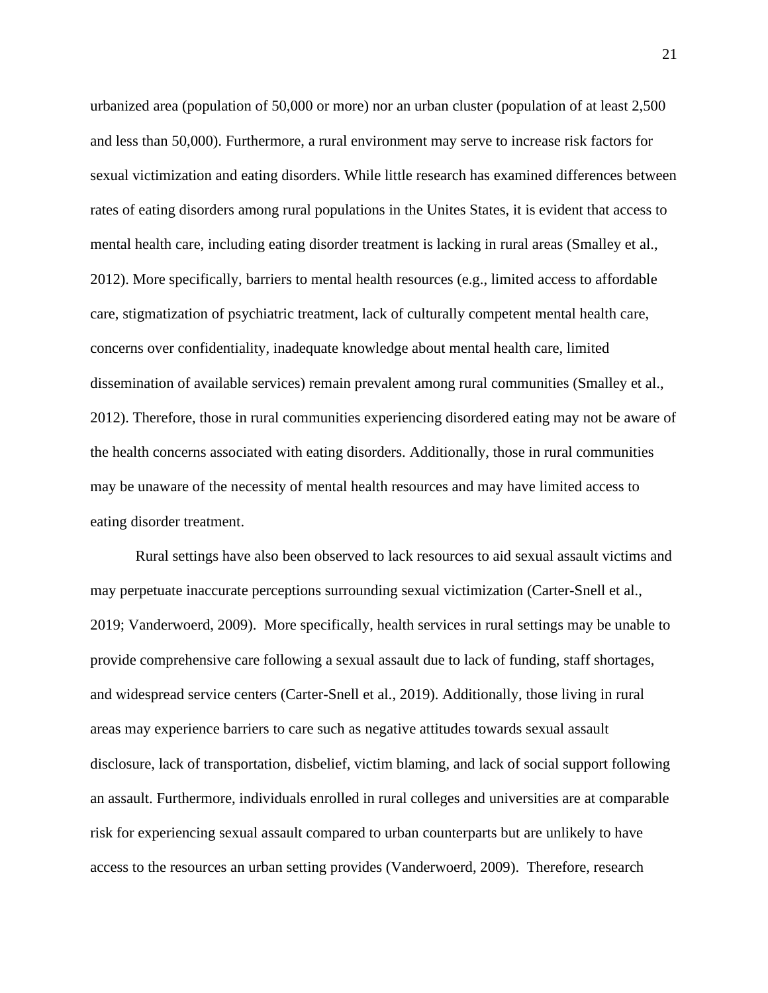urbanized area (population of 50,000 or more) nor an urban cluster (population of at least 2,500 and less than 50,000). Furthermore, a rural environment may serve to increase risk factors for sexual victimization and eating disorders. While little research has examined differences between rates of eating disorders among rural populations in the Unites States, it is evident that access to mental health care, including eating disorder treatment is lacking in rural areas (Smalley et al., 2012). More specifically, barriers to mental health resources (e.g., limited access to affordable care, stigmatization of psychiatric treatment, lack of culturally competent mental health care, concerns over confidentiality, inadequate knowledge about mental health care, limited dissemination of available services) remain prevalent among rural communities (Smalley et al., 2012). Therefore, those in rural communities experiencing disordered eating may not be aware of the health concerns associated with eating disorders. Additionally, those in rural communities may be unaware of the necessity of mental health resources and may have limited access to eating disorder treatment.

Rural settings have also been observed to lack resources to aid sexual assault victims and may perpetuate inaccurate perceptions surrounding sexual victimization (Carter-Snell et al., 2019; Vanderwoerd, 2009). More specifically, health services in rural settings may be unable to provide comprehensive care following a sexual assault due to lack of funding, staff shortages, and widespread service centers (Carter-Snell et al., 2019). Additionally, those living in rural areas may experience barriers to care such as negative attitudes towards sexual assault disclosure, lack of transportation, disbelief, victim blaming, and lack of social support following an assault. Furthermore, individuals enrolled in rural colleges and universities are at comparable risk for experiencing sexual assault compared to urban counterparts but are unlikely to have access to the resources an urban setting provides (Vanderwoerd, 2009). Therefore, research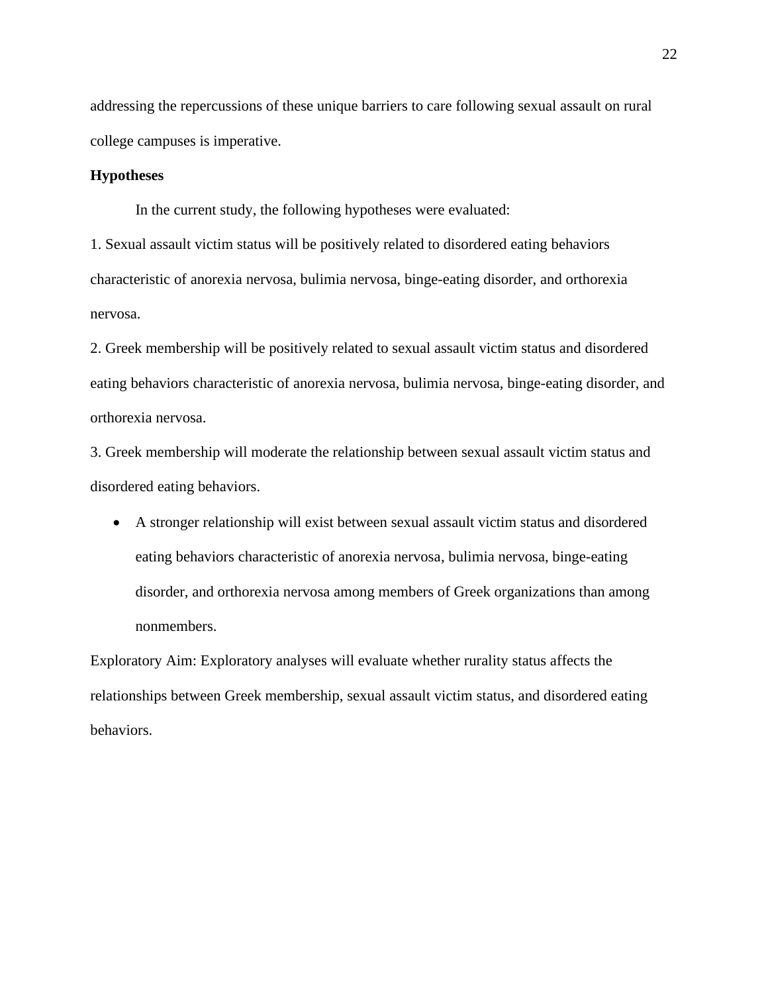addressing the repercussions of these unique barriers to care following sexual assault on rural college campuses is imperative.

### **Hypotheses**

In the current study, the following hypotheses were evaluated:

1. Sexual assault victim status will be positively related to disordered eating behaviors characteristic of anorexia nervosa, bulimia nervosa, binge-eating disorder, and orthorexia nervosa.

2. Greek membership will be positively related to sexual assault victim status and disordered eating behaviors characteristic of anorexia nervosa, bulimia nervosa, binge-eating disorder, and orthorexia nervosa.

3. Greek membership will moderate the relationship between sexual assault victim status and disordered eating behaviors.

• A stronger relationship will exist between sexual assault victim status and disordered eating behaviors characteristic of anorexia nervosa, bulimia nervosa, binge-eating disorder, and orthorexia nervosa among members of Greek organizations than among nonmembers.

Exploratory Aim: Exploratory analyses will evaluate whether rurality status affects the relationships between Greek membership, sexual assault victim status, and disordered eating behaviors.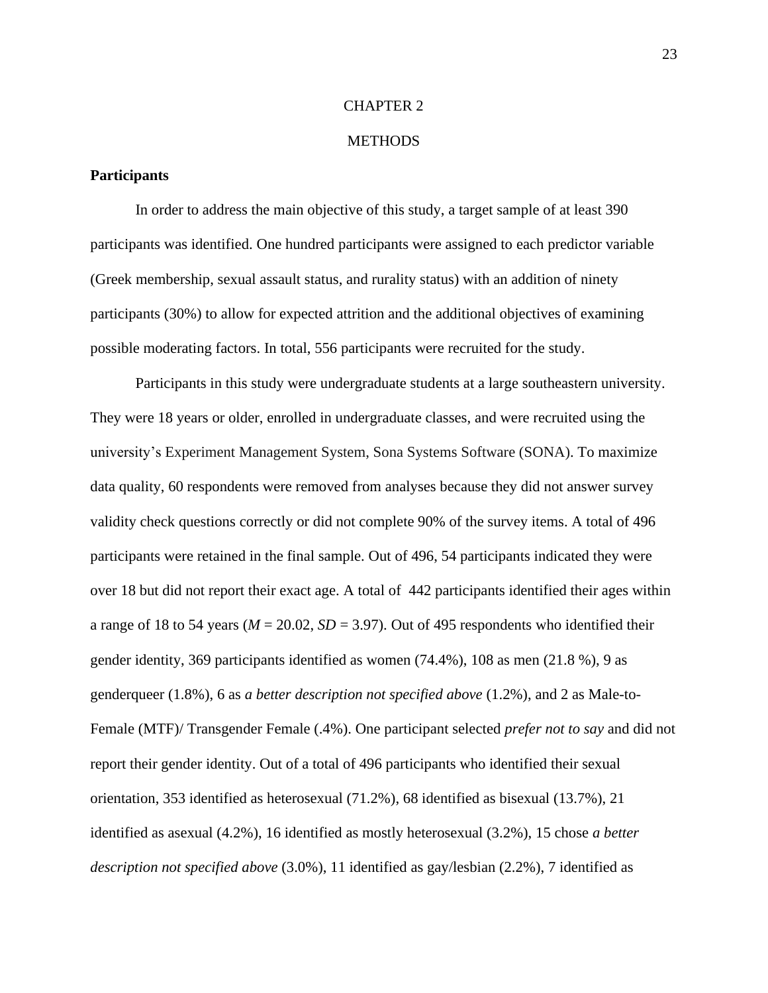#### CHAPTER 2

#### **METHODS**

### **Participants**

In order to address the main objective of this study, a target sample of at least 390 participants was identified. One hundred participants were assigned to each predictor variable (Greek membership, sexual assault status, and rurality status) with an addition of ninety participants (30%) to allow for expected attrition and the additional objectives of examining possible moderating factors. In total, 556 participants were recruited for the study.

Participants in this study were undergraduate students at a large southeastern university. They were 18 years or older, enrolled in undergraduate classes, and were recruited using the university's Experiment Management System, Sona Systems Software (SONA). To maximize data quality, 60 respondents were removed from analyses because they did not answer survey validity check questions correctly or did not complete 90% of the survey items. A total of 496 participants were retained in the final sample. Out of 496, 54 participants indicated they were over 18 but did not report their exact age. A total of 442 participants identified their ages within a range of 18 to 54 years ( $M = 20.02$ ,  $SD = 3.97$ ). Out of 495 respondents who identified their gender identity, 369 participants identified as women (74.4%), 108 as men (21.8 %), 9 as genderqueer (1.8%), 6 as *a better description not specified above* (1.2%), and 2 as Male-to-Female (MTF)/ Transgender Female (.4%). One participant selected *prefer not to say* and did not report their gender identity. Out of a total of 496 participants who identified their sexual orientation, 353 identified as heterosexual (71.2%), 68 identified as bisexual (13.7%), 21 identified as asexual (4.2%), 16 identified as mostly heterosexual (3.2%), 15 chose *a better description not specified above* (3.0%), 11 identified as gay/lesbian (2.2%), 7 identified as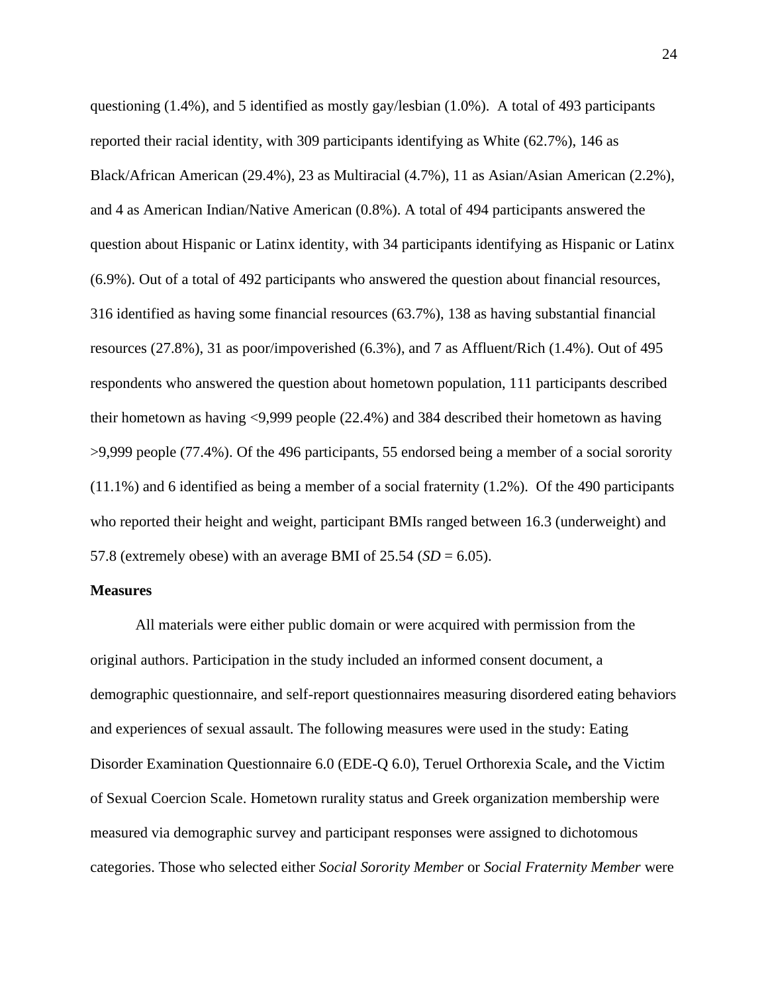questioning  $(1.4\%)$ , and 5 identified as mostly gay/lesbian  $(1.0\%)$ . A total of 493 participants reported their racial identity, with 309 participants identifying as White (62.7%), 146 as Black/African American (29.4%), 23 as Multiracial (4.7%), 11 as Asian/Asian American (2.2%), and 4 as American Indian/Native American (0.8%). A total of 494 participants answered the question about Hispanic or Latinx identity, with 34 participants identifying as Hispanic or Latinx (6.9%). Out of a total of 492 participants who answered the question about financial resources, 316 identified as having some financial resources (63.7%), 138 as having substantial financial resources (27.8%), 31 as poor/impoverished (6.3%), and 7 as Affluent/Rich (1.4%). Out of 495 respondents who answered the question about hometown population, 111 participants described their hometown as having <9,999 people (22.4%) and 384 described their hometown as having >9,999 people (77.4%). Of the 496 participants, 55 endorsed being a member of a social sorority (11.1%) and 6 identified as being a member of a social fraternity (1.2%). Of the 490 participants who reported their height and weight, participant BMIs ranged between 16.3 (underweight) and 57.8 (extremely obese) with an average BMI of  $25.54$  ( $SD = 6.05$ ).

#### **Measures**

All materials were either public domain or were acquired with permission from the original authors. Participation in the study included an informed consent document, a demographic questionnaire, and self-report questionnaires measuring disordered eating behaviors and experiences of sexual assault. The following measures were used in the study: Eating Disorder Examination Questionnaire 6.0 (EDE-Q 6.0), Teruel Orthorexia Scale**,** and the Victim of Sexual Coercion Scale. Hometown rurality status and Greek organization membership were measured via demographic survey and participant responses were assigned to dichotomous categories. Those who selected either *Social Sorority Member* or *Social Fraternity Member* were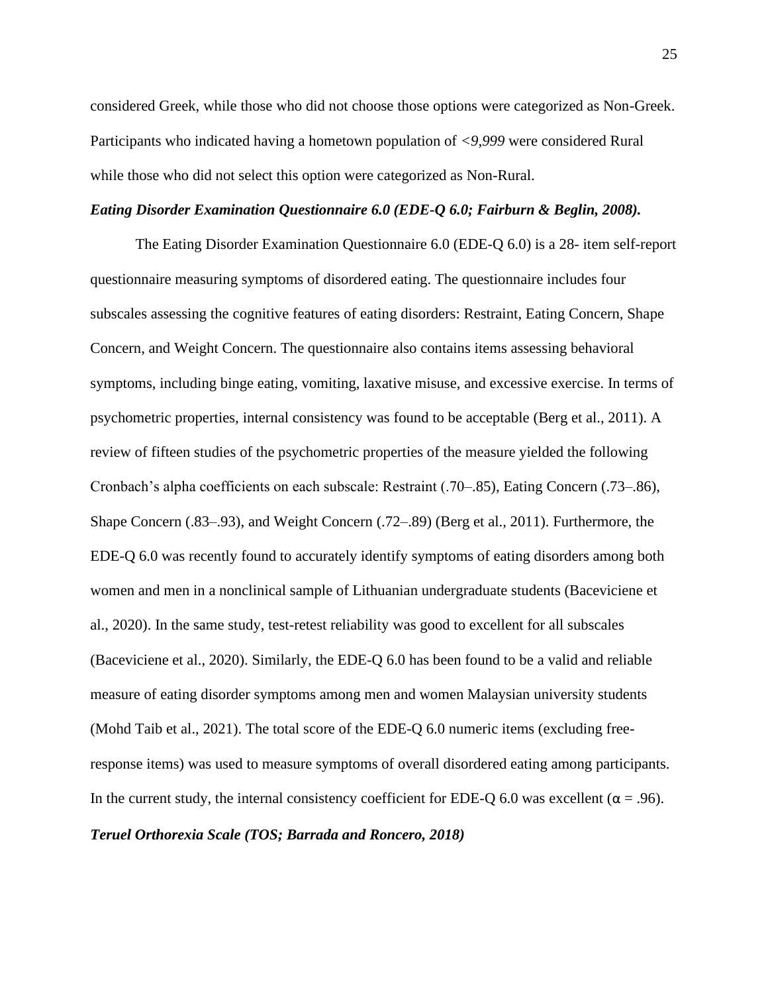considered Greek, while those who did not choose those options were categorized as Non-Greek. Participants who indicated having a hometown population of *<9,999* were considered Rural while those who did not select this option were categorized as Non-Rural.

#### *Eating Disorder Examination Questionnaire 6.0 (EDE-Q 6.0; Fairburn & Beglin, 2008).*

The Eating Disorder Examination Questionnaire 6.0 (EDE-Q 6.0) is a 28- item self-report questionnaire measuring symptoms of disordered eating. The questionnaire includes four subscales assessing the cognitive features of eating disorders: Restraint, Eating Concern, Shape Concern, and Weight Concern. The questionnaire also contains items assessing behavioral symptoms, including binge eating, vomiting, laxative misuse, and excessive exercise. In terms of psychometric properties, internal consistency was found to be acceptable (Berg et al., 2011). A review of fifteen studies of the psychometric properties of the measure yielded the following Cronbach's alpha coefficients on each subscale: Restraint (.70–.85), Eating Concern (.73–.86), Shape Concern (.83–.93), and Weight Concern (.72–.89) (Berg et al., 2011). Furthermore, the EDE-Q 6.0 was recently found to accurately identify symptoms of eating disorders among both women and men in a nonclinical sample of Lithuanian undergraduate students (Baceviciene et al., 2020). In the same study, test-retest reliability was good to excellent for all subscales (Baceviciene et al., 2020). Similarly, the EDE-Q 6.0 has been found to be a valid and reliable measure of eating disorder symptoms among men and women Malaysian university students (Mohd Taib et al., 2021). The total score of the EDE-Q 6.0 numeric items (excluding freeresponse items) was used to measure symptoms of overall disordered eating among participants. In the current study, the internal consistency coefficient for EDE-Q 6.0 was excellent ( $\alpha$  = .96). *Teruel Orthorexia Scale (TOS; Barrada and Roncero, 2018)*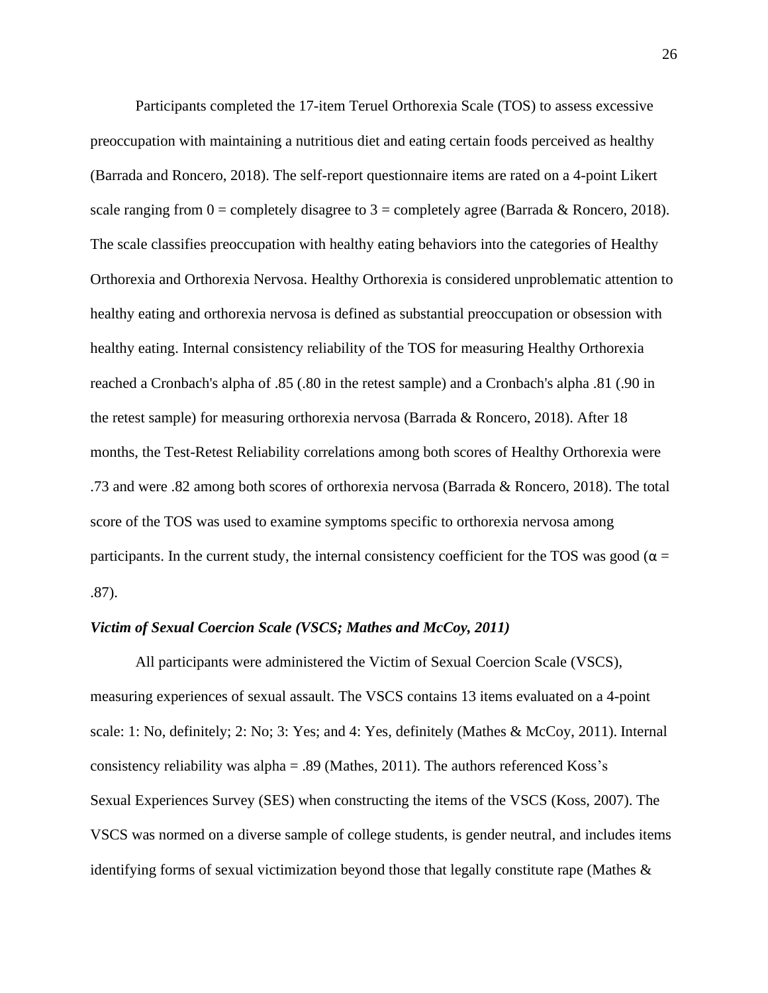Participants completed the 17-item Teruel Orthorexia Scale (TOS) to assess excessive preoccupation with maintaining a nutritious diet and eating certain foods perceived as healthy (Barrada and Roncero, 2018). The self-report questionnaire items are rated on a 4-point Likert scale ranging from  $0 =$  completely disagree to  $3 =$  completely agree (Barrada & Roncero, 2018). The scale classifies preoccupation with healthy eating behaviors into the categories of Healthy Orthorexia and Orthorexia Nervosa. Healthy Orthorexia is considered unproblematic attention to healthy eating and orthorexia nervosa is defined as substantial preoccupation or obsession with healthy eating. Internal consistency reliability of the TOS for measuring Healthy Orthorexia reached a Cronbach's alpha of .85 (.80 in the retest sample) and a Cronbach's alpha .81 (.90 in the retest sample) for measuring orthorexia nervosa (Barrada & Roncero, 2018). After 18 months, the Test-Retest Reliability correlations among both scores of Healthy Orthorexia were .73 and were .82 among both scores of orthorexia nervosa (Barrada & Roncero, 2018). The total score of the TOS was used to examine symptoms specific to orthorexia nervosa among participants. In the current study, the internal consistency coefficient for the TOS was good ( $\alpha$  = .87).

#### *Victim of Sexual Coercion Scale (VSCS; Mathes and McCoy, 2011)*

All participants were administered the Victim of Sexual Coercion Scale (VSCS), measuring experiences of sexual assault. The VSCS contains 13 items evaluated on a 4-point scale: 1: No, definitely; 2: No; 3: Yes; and 4: Yes, definitely (Mathes & McCoy, 2011). Internal consistency reliability was alpha = .89 (Mathes, 2011). The authors referenced Koss's Sexual Experiences Survey (SES) when constructing the items of the VSCS (Koss, 2007). The VSCS was normed on a diverse sample of college students, is gender neutral, and includes items identifying forms of sexual victimization beyond those that legally constitute rape (Mathes  $\&$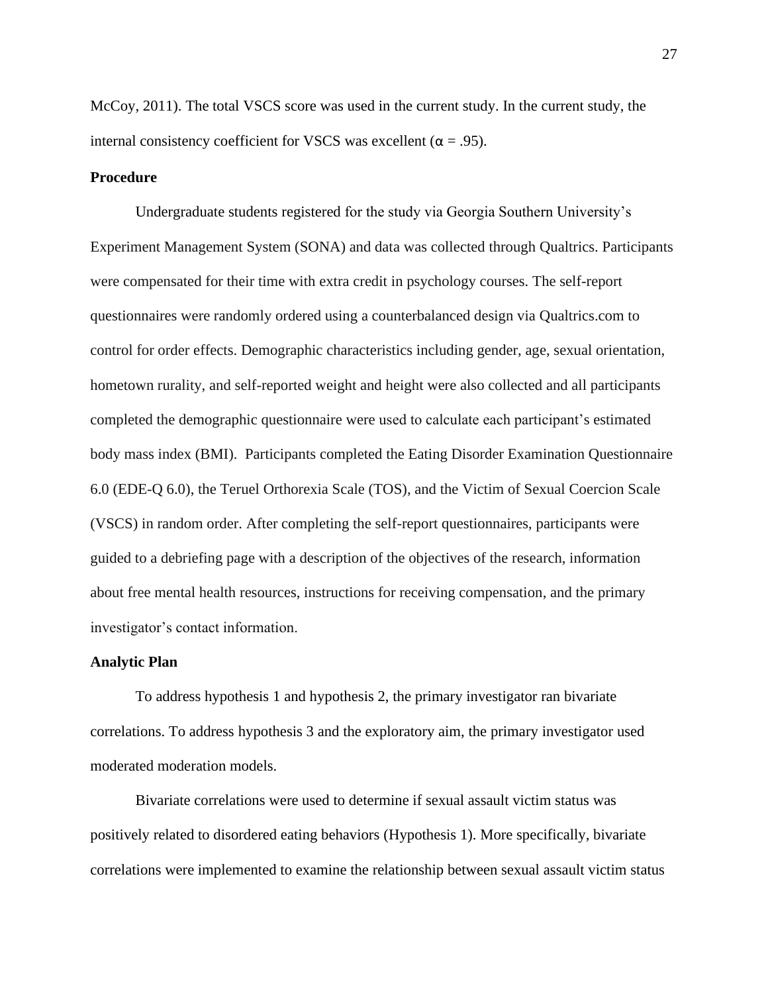McCoy, 2011). The total VSCS score was used in the current study. In the current study, the internal consistency coefficient for VSCS was excellent ( $\alpha = .95$ ).

#### **Procedure**

Undergraduate students registered for the study via Georgia Southern University's Experiment Management System (SONA) and data was collected through Qualtrics. Participants were compensated for their time with extra credit in psychology courses. The self-report questionnaires were randomly ordered using a counterbalanced design via Qualtrics.com to control for order effects. Demographic characteristics including gender, age, sexual orientation, hometown rurality, and self-reported weight and height were also collected and all participants completed the demographic questionnaire were used to calculate each participant's estimated body mass index (BMI). Participants completed the Eating Disorder Examination Questionnaire 6.0 (EDE-Q 6.0), the Teruel Orthorexia Scale (TOS), and the Victim of Sexual Coercion Scale (VSCS) in random order. After completing the self-report questionnaires, participants were guided to a debriefing page with a description of the objectives of the research, information about free mental health resources, instructions for receiving compensation, and the primary investigator's contact information.

### **Analytic Plan**

To address hypothesis 1 and hypothesis 2, the primary investigator ran bivariate correlations. To address hypothesis 3 and the exploratory aim, the primary investigator used moderated moderation models.

Bivariate correlations were used to determine if sexual assault victim status was positively related to disordered eating behaviors (Hypothesis 1). More specifically, bivariate correlations were implemented to examine the relationship between sexual assault victim status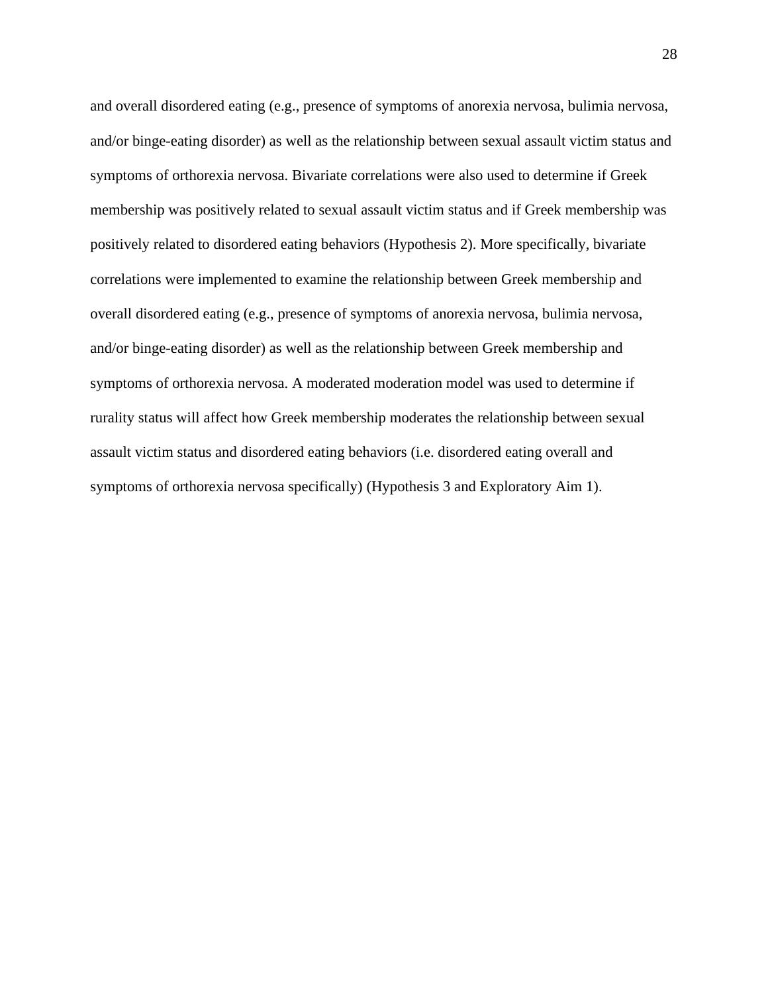and overall disordered eating (e.g., presence of symptoms of anorexia nervosa, bulimia nervosa, and/or binge-eating disorder) as well as the relationship between sexual assault victim status and symptoms of orthorexia nervosa. Bivariate correlations were also used to determine if Greek membership was positively related to sexual assault victim status and if Greek membership was positively related to disordered eating behaviors (Hypothesis 2). More specifically, bivariate correlations were implemented to examine the relationship between Greek membership and overall disordered eating (e.g., presence of symptoms of anorexia nervosa, bulimia nervosa, and/or binge-eating disorder) as well as the relationship between Greek membership and symptoms of orthorexia nervosa. A moderated moderation model was used to determine if rurality status will affect how Greek membership moderates the relationship between sexual assault victim status and disordered eating behaviors (i.e. disordered eating overall and symptoms of orthorexia nervosa specifically) (Hypothesis 3 and Exploratory Aim 1).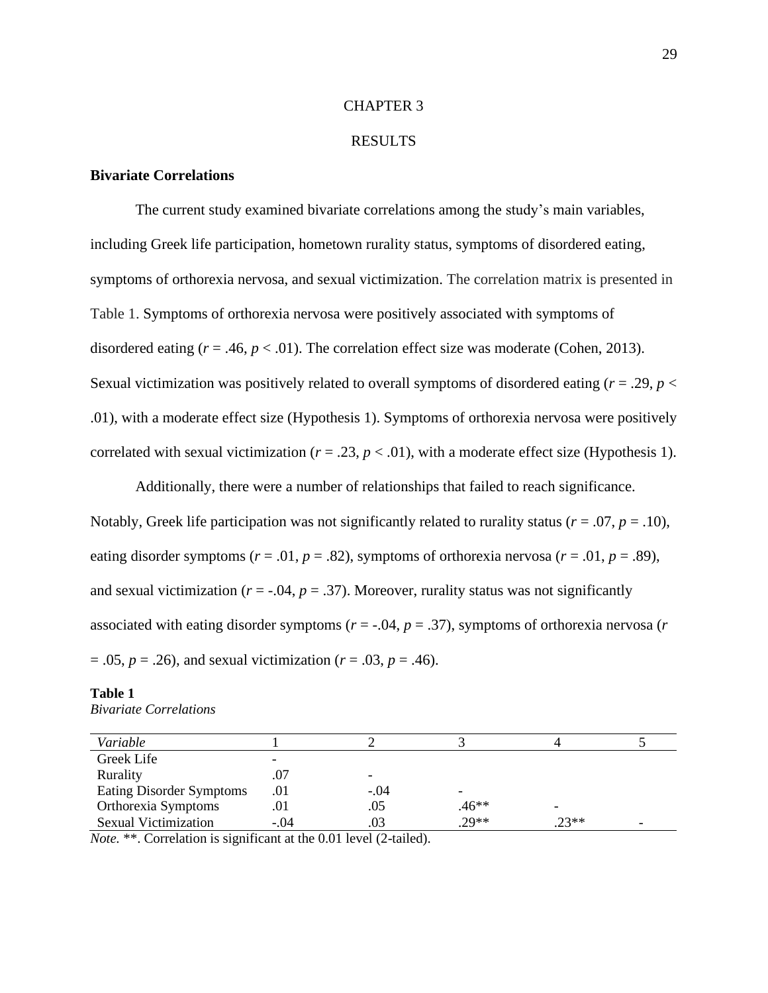#### CHAPTER 3

#### RESULTS

### **Bivariate Correlations**

The current study examined bivariate correlations among the study's main variables, including Greek life participation, hometown rurality status, symptoms of disordered eating, symptoms of orthorexia nervosa, and sexual victimization. The correlation matrix is presented in Table 1. Symptoms of orthorexia nervosa were positively associated with symptoms of disordered eating  $(r = .46, p < .01)$ . The correlation effect size was moderate (Cohen, 2013). Sexual victimization was positively related to overall symptoms of disordered eating  $(r = .29, p <$ .01), with a moderate effect size (Hypothesis 1). Symptoms of orthorexia nervosa were positively correlated with sexual victimization ( $r = .23$ ,  $p < .01$ ), with a moderate effect size (Hypothesis 1).

Additionally, there were a number of relationships that failed to reach significance. Notably, Greek life participation was not significantly related to rurality status ( $r = .07$ ,  $p = .10$ ), eating disorder symptoms ( $r = .01$ ,  $p = .82$ ), symptoms of orthorexia nervosa ( $r = .01$ ,  $p = .89$ ), and sexual victimization ( $r = -0.04$ ,  $p = 0.37$ ). Moreover, rurality status was not significantly associated with eating disorder symptoms (*r* = -.04, *p* = .37), symptoms of orthorexia nervosa (*r* = .05, *p* = .26), and sexual victimization (*r* = .03, *p* = .46).

#### **Table 1** *Bivariate Correlations*

| Variable                    |        |        |         |         |                          |
|-----------------------------|--------|--------|---------|---------|--------------------------|
| Greek Life                  | -      |        |         |         |                          |
| Rurality                    | .07    |        |         |         |                          |
| Eating Disorder Symptoms    | .01    | $-.04$ |         |         |                          |
| Orthorexia Symptoms         | .01    | .05    | $.46**$ |         |                          |
| <b>Sexual Victimization</b> | $-.04$ | .03    | $.29**$ | $.23**$ | $\overline{\phantom{a}}$ |

*Note.* \*\*. Correlation is significant at the 0.01 level (2-tailed).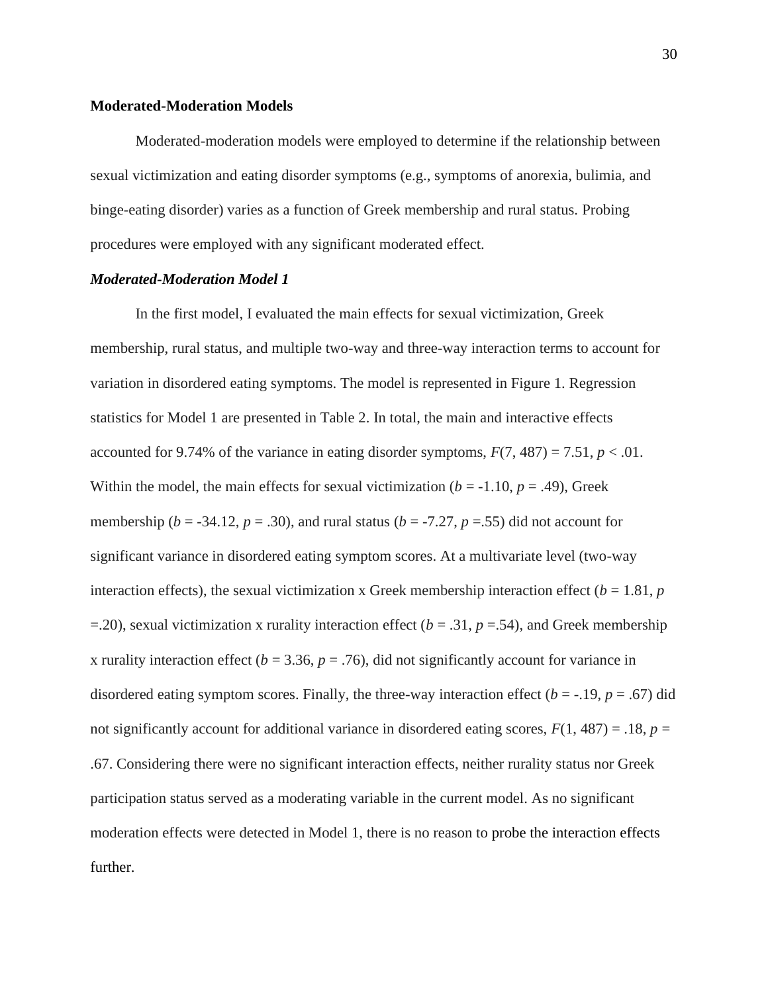#### **Moderated-Moderation Models**

Moderated-moderation models were employed to determine if the relationship between sexual victimization and eating disorder symptoms (e.g., symptoms of anorexia, bulimia, and binge-eating disorder) varies as a function of Greek membership and rural status. Probing procedures were employed with any significant moderated effect.

#### *Moderated-Moderation Model 1*

In the first model, I evaluated the main effects for sexual victimization, Greek membership, rural status, and multiple two-way and three-way interaction terms to account for variation in disordered eating symptoms. The model is represented in Figure 1. Regression statistics for Model 1 are presented in Table 2. In total, the main and interactive effects accounted for 9.74% of the variance in eating disorder symptoms,  $F(7, 487) = 7.51$ ,  $p < .01$ . Within the model, the main effects for sexual victimization ( $b = -1.10$ ,  $p = .49$ ), Greek membership ( $b = -34.12$ ,  $p = .30$ ), and rural status ( $b = -7.27$ ,  $p = .55$ ) did not account for significant variance in disordered eating symptom scores. At a multivariate level (two-way interaction effects), the sexual victimization x Greek membership interaction effect ( $b = 1.81$ ,  $p$ )  $=$  =.20), sexual victimization x rurality interaction effect ( $b = .31$ ,  $p = .54$ ), and Greek membership x rurality interaction effect ( $b = 3.36$ ,  $p = .76$ ), did not significantly account for variance in disordered eating symptom scores. Finally, the three-way interaction effect ( $b = -19$ ,  $p = .67$ ) did not significantly account for additional variance in disordered eating scores,  $F(1, 487) = .18$ ,  $p =$ .67. Considering there were no significant interaction effects, neither rurality status nor Greek participation status served as a moderating variable in the current model. As no significant moderation effects were detected in Model 1, there is no reason to probe the interaction effects further.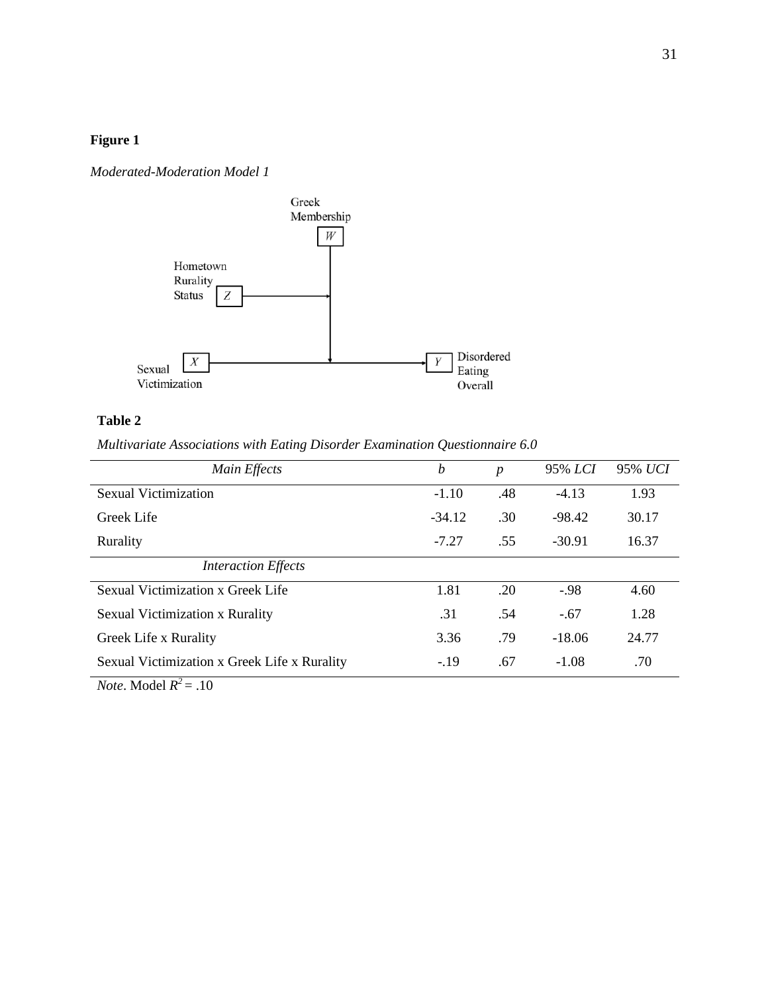# **Figure 1**

### *Moderated-Moderation Model 1*



# **Table 2**

*Multivariate Associations with Eating Disorder Examination Questionnaire 6.0*

| Main Effects                                 | b        | $\boldsymbol{p}$ | 95% LCI  | 95% UCI |
|----------------------------------------------|----------|------------------|----------|---------|
| <b>Sexual Victimization</b>                  | $-1.10$  | .48              | $-4.13$  | 1.93    |
| Greek Life                                   | $-34.12$ | .30              | $-98.42$ | 30.17   |
| Rurality                                     | $-7.27$  | .55              | $-30.91$ | 16.37   |
| <b>Interaction Effects</b>                   |          |                  |          |         |
| Sexual Victimization x Greek Life            | 1.81     | .20              | $-98$    | 4.60    |
| <b>Sexual Victimization x Rurality</b>       | .31      | .54              | $-.67$   | 1.28    |
| Greek Life x Rurality                        | 3.36     | .79              | $-18.06$ | 24.77   |
| Sexual Victimization x Greek Life x Rurality | $-19$    | .67              | $-1.08$  | .70     |

*Note*. Model  $R^2 = .10$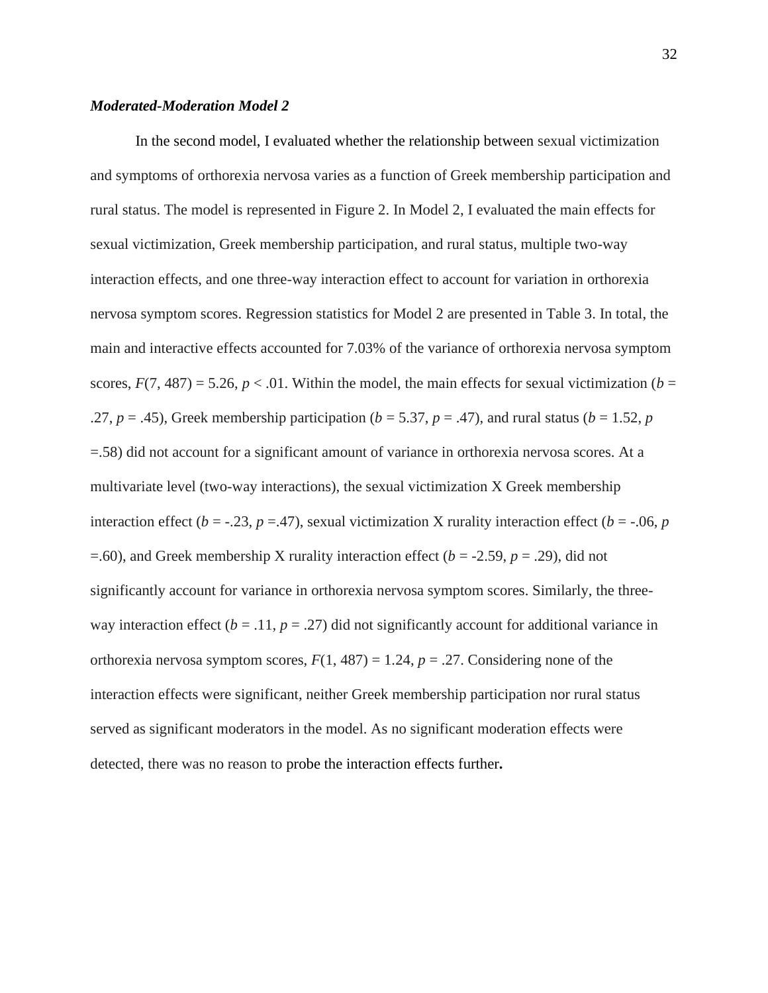#### *Moderated-Moderation Model 2*

In the second model, I evaluated whether the relationship between sexual victimization and symptoms of orthorexia nervosa varies as a function of Greek membership participation and rural status. The model is represented in Figure 2. In Model 2, I evaluated the main effects for sexual victimization, Greek membership participation, and rural status, multiple two-way interaction effects, and one three-way interaction effect to account for variation in orthorexia nervosa symptom scores. Regression statistics for Model 2 are presented in Table 3. In total, the main and interactive effects accounted for 7.03% of the variance of orthorexia nervosa symptom scores,  $F(7, 487) = 5.26$ ,  $p < .01$ . Within the model, the main effects for sexual victimization (*b* = .27,  $p = .45$ ), Greek membership participation ( $b = 5.37$ ,  $p = .47$ ), and rural status ( $b = 1.52$ ,  $p = .47$ ) =.58) did not account for a significant amount of variance in orthorexia nervosa scores. At a multivariate level (two-way interactions), the sexual victimization X Greek membership interaction effect ( $b = -0.23$ ,  $p = 0.47$ ), sexual victimization X rurality interaction effect ( $b = -0.06$ ,  $p = 0.76$ =.60), and Greek membership X rurality interaction effect (*b* = -2.59, *p* = .29), did not significantly account for variance in orthorexia nervosa symptom scores. Similarly, the threeway interaction effect  $(b = .11, p = .27)$  did not significantly account for additional variance in orthorexia nervosa symptom scores,  $F(1, 487) = 1.24$ ,  $p = .27$ . Considering none of the interaction effects were significant, neither Greek membership participation nor rural status served as significant moderators in the model. As no significant moderation effects were detected, there was no reason to probe the interaction effects further**.**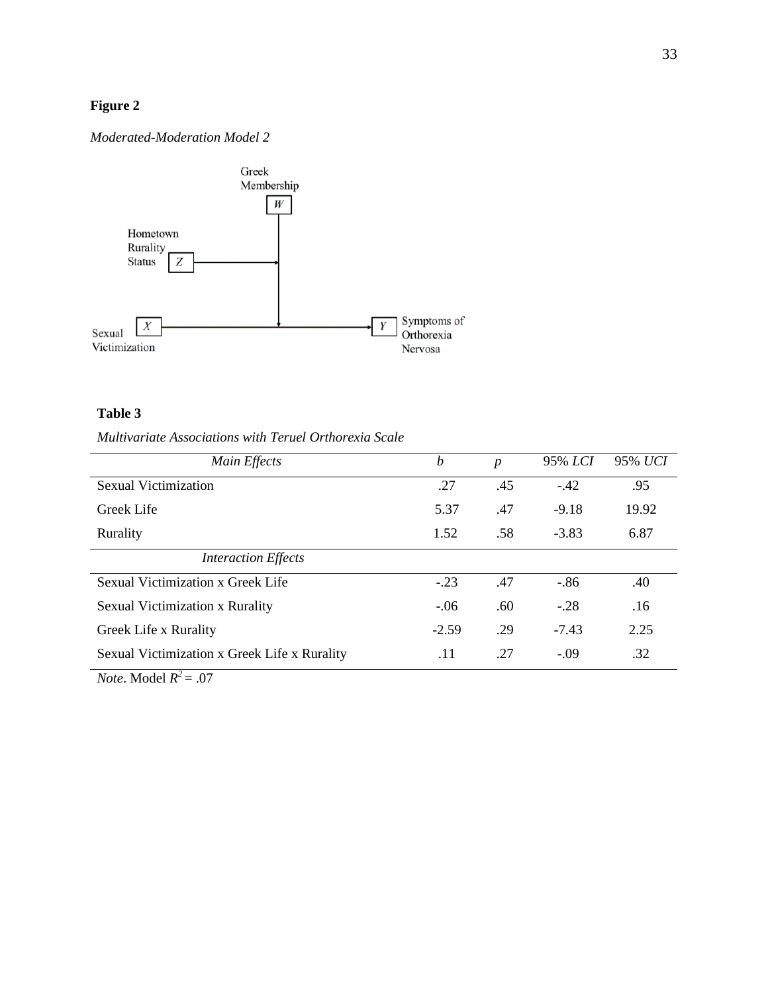# **Figure 2**

#### *Moderated-Moderation Model 2*



### **Table 3**

# *Multivariate Associations with Teruel Orthorexia Scale*

| Main Effects                                 | $\boldsymbol{b}$ | $\boldsymbol{p}$ | 95% LCI | 95% UCI |
|----------------------------------------------|------------------|------------------|---------|---------|
| <b>Sexual Victimization</b>                  | .27              | .45              | $-.42$  | .95     |
| Greek Life                                   | 5.37             | .47              | $-9.18$ | 19.92   |
| Rurality                                     | 1.52             | .58              | $-3.83$ | 6.87    |
| <b>Interaction Effects</b>                   |                  |                  |         |         |
| Sexual Victimization x Greek Life            | $-.23$           | .47              | $-.86$  | .40     |
| <b>Sexual Victimization x Rurality</b>       | $-.06$           | .60              | $-.28$  | .16     |
| Greek Life x Rurality                        | $-2.59$          | .29              | $-7.43$ | 2.25    |
| Sexual Victimization x Greek Life x Rurality | .11              | .27              | $-.09$  | .32     |

*Note*. Model  $R^2 = .07$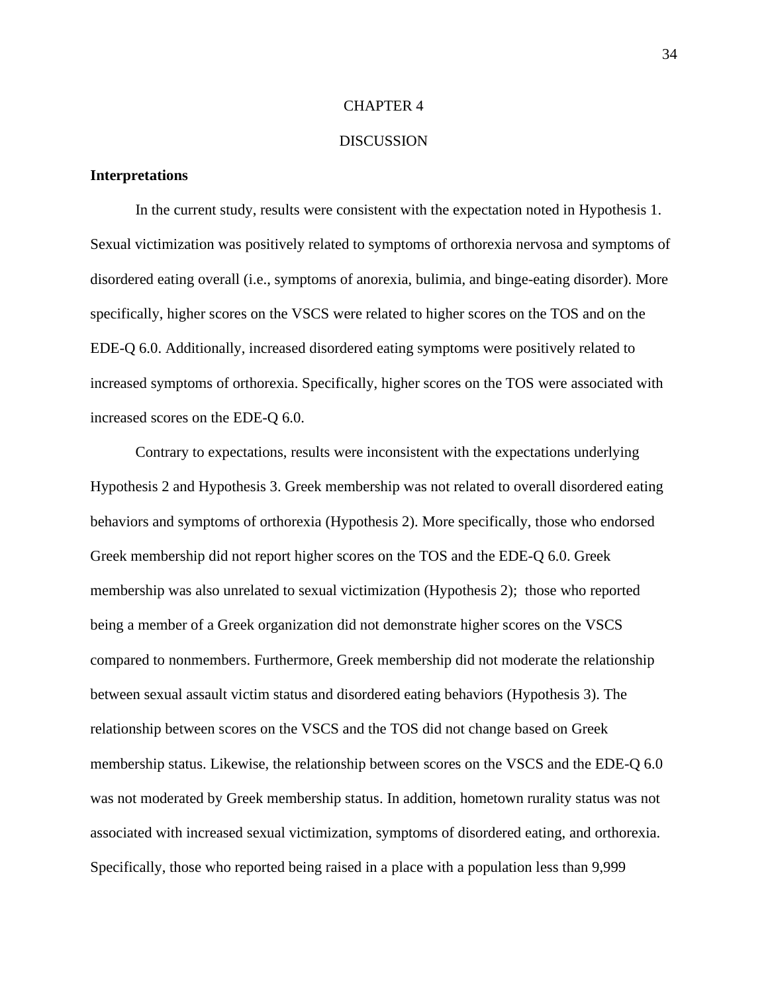#### CHAPTER 4

#### **DISCUSSION**

#### **Interpretations**

In the current study, results were consistent with the expectation noted in Hypothesis 1. Sexual victimization was positively related to symptoms of orthorexia nervosa and symptoms of disordered eating overall (i.e., symptoms of anorexia, bulimia, and binge-eating disorder). More specifically, higher scores on the VSCS were related to higher scores on the TOS and on the EDE-Q 6.0. Additionally, increased disordered eating symptoms were positively related to increased symptoms of orthorexia. Specifically, higher scores on the TOS were associated with increased scores on the EDE-Q 6.0.

Contrary to expectations, results were inconsistent with the expectations underlying Hypothesis 2 and Hypothesis 3. Greek membership was not related to overall disordered eating behaviors and symptoms of orthorexia (Hypothesis 2). More specifically, those who endorsed Greek membership did not report higher scores on the TOS and the EDE-Q 6.0. Greek membership was also unrelated to sexual victimization (Hypothesis 2); those who reported being a member of a Greek organization did not demonstrate higher scores on the VSCS compared to nonmembers. Furthermore, Greek membership did not moderate the relationship between sexual assault victim status and disordered eating behaviors (Hypothesis 3). The relationship between scores on the VSCS and the TOS did not change based on Greek membership status. Likewise, the relationship between scores on the VSCS and the EDE-Q 6.0 was not moderated by Greek membership status. In addition, hometown rurality status was not associated with increased sexual victimization, symptoms of disordered eating, and orthorexia. Specifically, those who reported being raised in a place with a population less than 9,999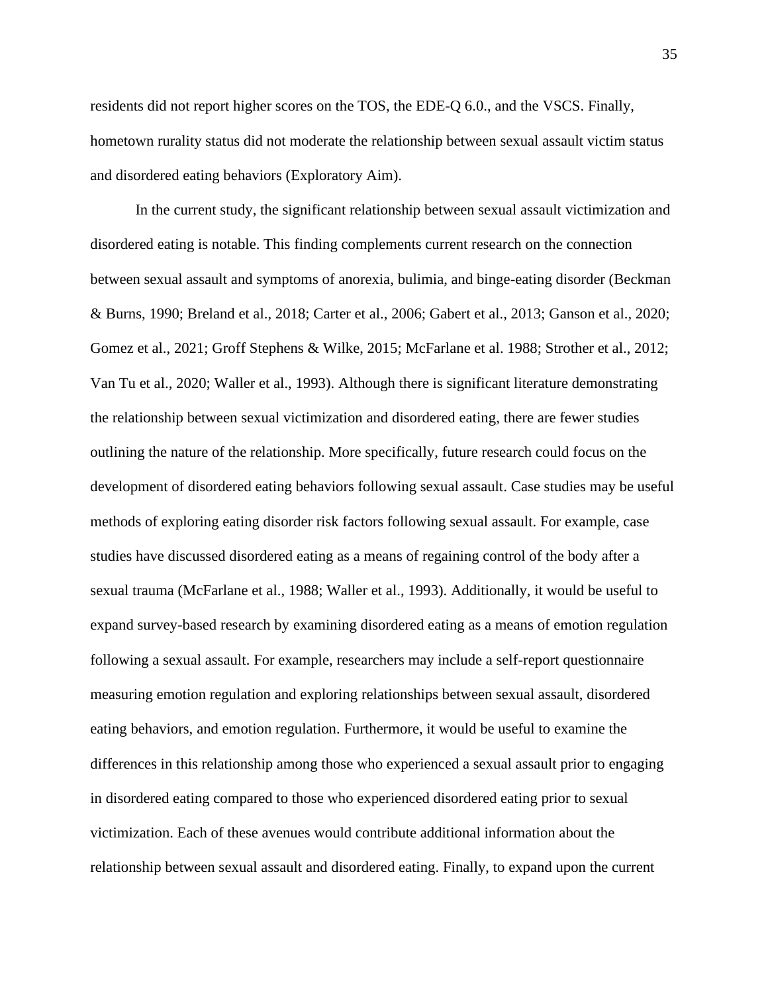residents did not report higher scores on the TOS, the EDE-Q 6.0., and the VSCS. Finally, hometown rurality status did not moderate the relationship between sexual assault victim status and disordered eating behaviors (Exploratory Aim).

In the current study, the significant relationship between sexual assault victimization and disordered eating is notable. This finding complements current research on the connection between sexual assault and symptoms of anorexia, bulimia, and binge-eating disorder (Beckman & Burns, 1990; Breland et al., 2018; Carter et al., 2006; Gabert et al., 2013; Ganson et al., 2020; Gomez et al., 2021; Groff Stephens & Wilke, 2015; McFarlane et al. 1988; Strother et al., 2012; Van Tu et al., 2020; Waller et al., 1993). Although there is significant literature demonstrating the relationship between sexual victimization and disordered eating, there are fewer studies outlining the nature of the relationship. More specifically, future research could focus on the development of disordered eating behaviors following sexual assault. Case studies may be useful methods of exploring eating disorder risk factors following sexual assault. For example, case studies have discussed disordered eating as a means of regaining control of the body after a sexual trauma (McFarlane et al., 1988; Waller et al., 1993). Additionally, it would be useful to expand survey-based research by examining disordered eating as a means of emotion regulation following a sexual assault. For example, researchers may include a self-report questionnaire measuring emotion regulation and exploring relationships between sexual assault, disordered eating behaviors, and emotion regulation. Furthermore, it would be useful to examine the differences in this relationship among those who experienced a sexual assault prior to engaging in disordered eating compared to those who experienced disordered eating prior to sexual victimization. Each of these avenues would contribute additional information about the relationship between sexual assault and disordered eating. Finally, to expand upon the current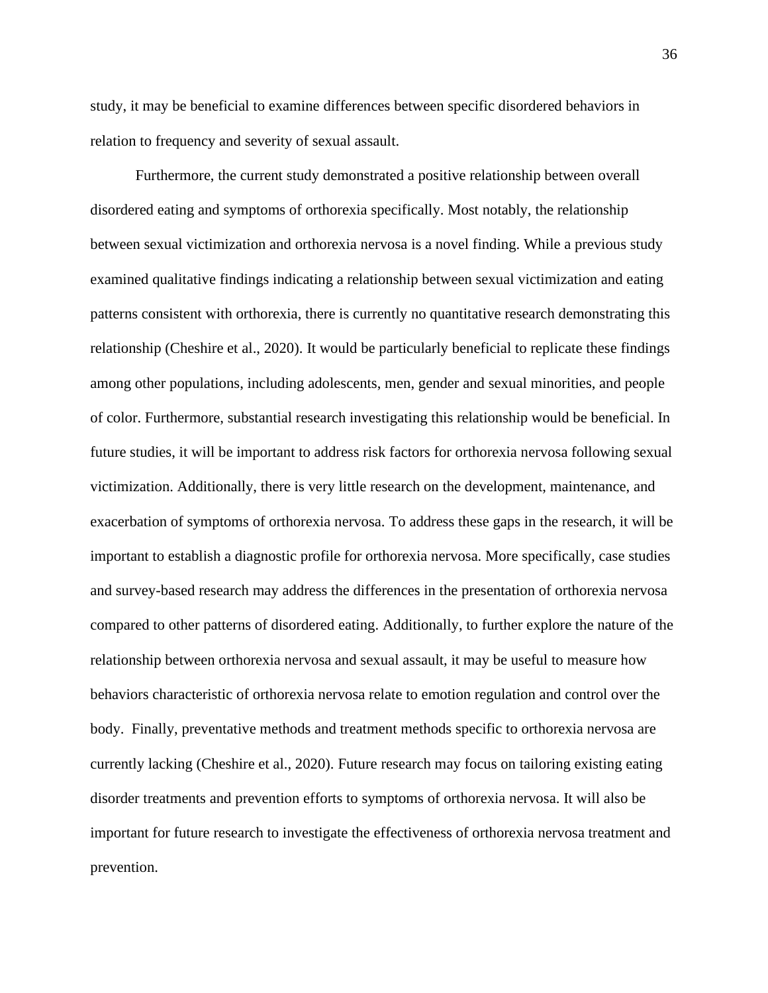study, it may be beneficial to examine differences between specific disordered behaviors in relation to frequency and severity of sexual assault.

Furthermore, the current study demonstrated a positive relationship between overall disordered eating and symptoms of orthorexia specifically. Most notably, the relationship between sexual victimization and orthorexia nervosa is a novel finding. While a previous study examined qualitative findings indicating a relationship between sexual victimization and eating patterns consistent with orthorexia, there is currently no quantitative research demonstrating this relationship (Cheshire et al., 2020). It would be particularly beneficial to replicate these findings among other populations, including adolescents, men, gender and sexual minorities, and people of color. Furthermore, substantial research investigating this relationship would be beneficial. In future studies, it will be important to address risk factors for orthorexia nervosa following sexual victimization. Additionally, there is very little research on the development, maintenance, and exacerbation of symptoms of orthorexia nervosa. To address these gaps in the research, it will be important to establish a diagnostic profile for orthorexia nervosa. More specifically, case studies and survey-based research may address the differences in the presentation of orthorexia nervosa compared to other patterns of disordered eating. Additionally, to further explore the nature of the relationship between orthorexia nervosa and sexual assault, it may be useful to measure how behaviors characteristic of orthorexia nervosa relate to emotion regulation and control over the body. Finally, preventative methods and treatment methods specific to orthorexia nervosa are currently lacking (Cheshire et al., 2020). Future research may focus on tailoring existing eating disorder treatments and prevention efforts to symptoms of orthorexia nervosa. It will also be important for future research to investigate the effectiveness of orthorexia nervosa treatment and prevention.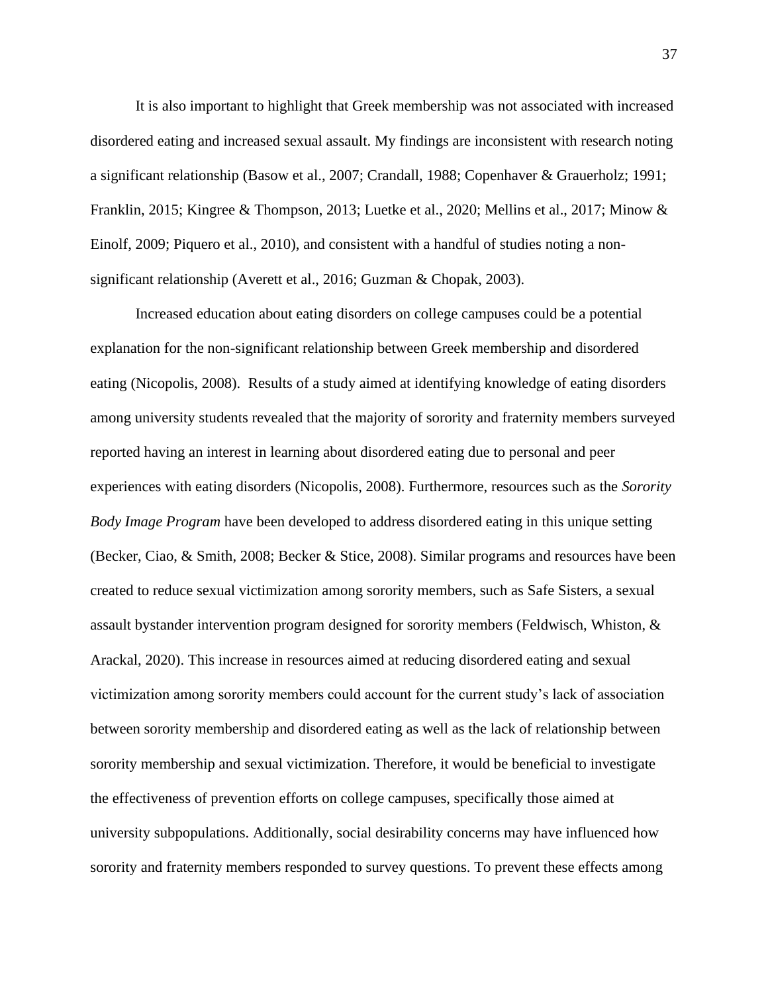It is also important to highlight that Greek membership was not associated with increased disordered eating and increased sexual assault. My findings are inconsistent with research noting a significant relationship (Basow et al., 2007; Crandall, 1988; Copenhaver & Grauerholz; 1991; Franklin, 2015; Kingree & Thompson, 2013; Luetke et al., 2020; Mellins et al., 2017; Minow & Einolf, 2009; Piquero et al., 2010), and consistent with a handful of studies noting a nonsignificant relationship (Averett et al., 2016; Guzman & Chopak, 2003).

Increased education about eating disorders on college campuses could be a potential explanation for the non-significant relationship between Greek membership and disordered eating (Nicopolis, 2008). Results of a study aimed at identifying knowledge of eating disorders among university students revealed that the majority of sorority and fraternity members surveyed reported having an interest in learning about disordered eating due to personal and peer experiences with eating disorders (Nicopolis, 2008). Furthermore, resources such as the *Sorority Body Image Program* have been developed to address disordered eating in this unique setting (Becker, Ciao, & Smith, 2008; Becker & Stice, 2008). Similar programs and resources have been created to reduce sexual victimization among sorority members, such as Safe Sisters, a sexual assault bystander intervention program designed for sorority members (Feldwisch, Whiston, & Arackal, 2020). This increase in resources aimed at reducing disordered eating and sexual victimization among sorority members could account for the current study's lack of association between sorority membership and disordered eating as well as the lack of relationship between sorority membership and sexual victimization. Therefore, it would be beneficial to investigate the effectiveness of prevention efforts on college campuses, specifically those aimed at university subpopulations. Additionally, social desirability concerns may have influenced how sorority and fraternity members responded to survey questions. To prevent these effects among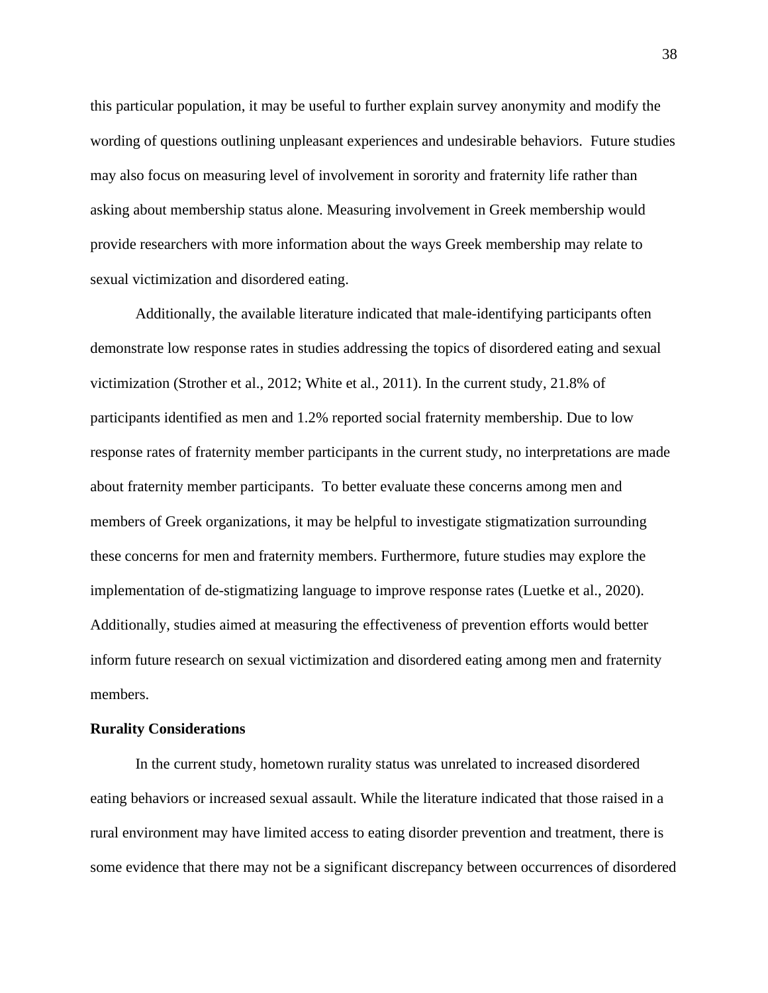this particular population, it may be useful to further explain survey anonymity and modify the wording of questions outlining unpleasant experiences and undesirable behaviors. Future studies may also focus on measuring level of involvement in sorority and fraternity life rather than asking about membership status alone. Measuring involvement in Greek membership would provide researchers with more information about the ways Greek membership may relate to sexual victimization and disordered eating.

Additionally, the available literature indicated that male-identifying participants often demonstrate low response rates in studies addressing the topics of disordered eating and sexual victimization (Strother et al., 2012; White et al., 2011). In the current study, 21.8% of participants identified as men and 1.2% reported social fraternity membership. Due to low response rates of fraternity member participants in the current study, no interpretations are made about fraternity member participants. To better evaluate these concerns among men and members of Greek organizations, it may be helpful to investigate stigmatization surrounding these concerns for men and fraternity members. Furthermore, future studies may explore the implementation of de-stigmatizing language to improve response rates (Luetke et al., 2020). Additionally, studies aimed at measuring the effectiveness of prevention efforts would better inform future research on sexual victimization and disordered eating among men and fraternity members.

#### **Rurality Considerations**

In the current study, hometown rurality status was unrelated to increased disordered eating behaviors or increased sexual assault. While the literature indicated that those raised in a rural environment may have limited access to eating disorder prevention and treatment, there is some evidence that there may not be a significant discrepancy between occurrences of disordered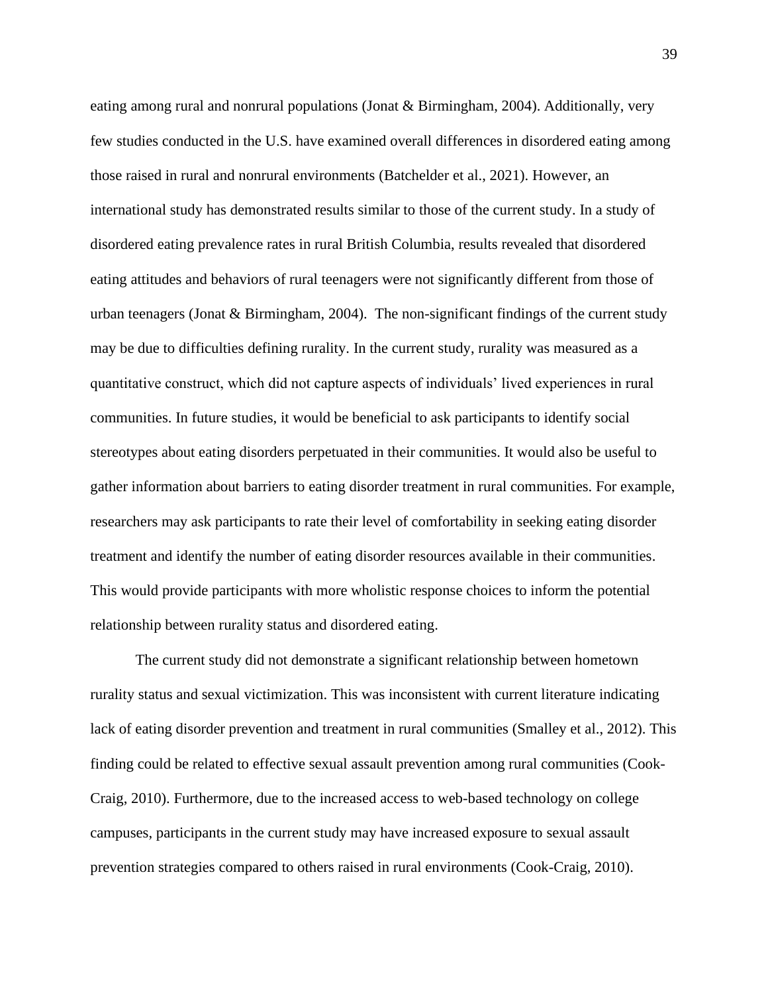eating among rural and nonrural populations (Jonat & Birmingham, 2004). Additionally, very few studies conducted in the U.S. have examined overall differences in disordered eating among those raised in rural and nonrural environments (Batchelder et al., 2021). However, an international study has demonstrated results similar to those of the current study. In a study of disordered eating prevalence rates in rural British Columbia, results revealed that disordered eating attitudes and behaviors of rural teenagers were not significantly different from those of urban teenagers (Jonat & Birmingham, 2004). The non-significant findings of the current study may be due to difficulties defining rurality. In the current study, rurality was measured as a quantitative construct, which did not capture aspects of individuals' lived experiences in rural communities. In future studies, it would be beneficial to ask participants to identify social stereotypes about eating disorders perpetuated in their communities. It would also be useful to gather information about barriers to eating disorder treatment in rural communities. For example, researchers may ask participants to rate their level of comfortability in seeking eating disorder treatment and identify the number of eating disorder resources available in their communities. This would provide participants with more wholistic response choices to inform the potential relationship between rurality status and disordered eating.

The current study did not demonstrate a significant relationship between hometown rurality status and sexual victimization. This was inconsistent with current literature indicating lack of eating disorder prevention and treatment in rural communities (Smalley et al., 2012). This finding could be related to effective sexual assault prevention among rural communities (Cook-Craig, 2010). Furthermore, due to the increased access to web-based technology on college campuses, participants in the current study may have increased exposure to sexual assault prevention strategies compared to others raised in rural environments (Cook-Craig, 2010).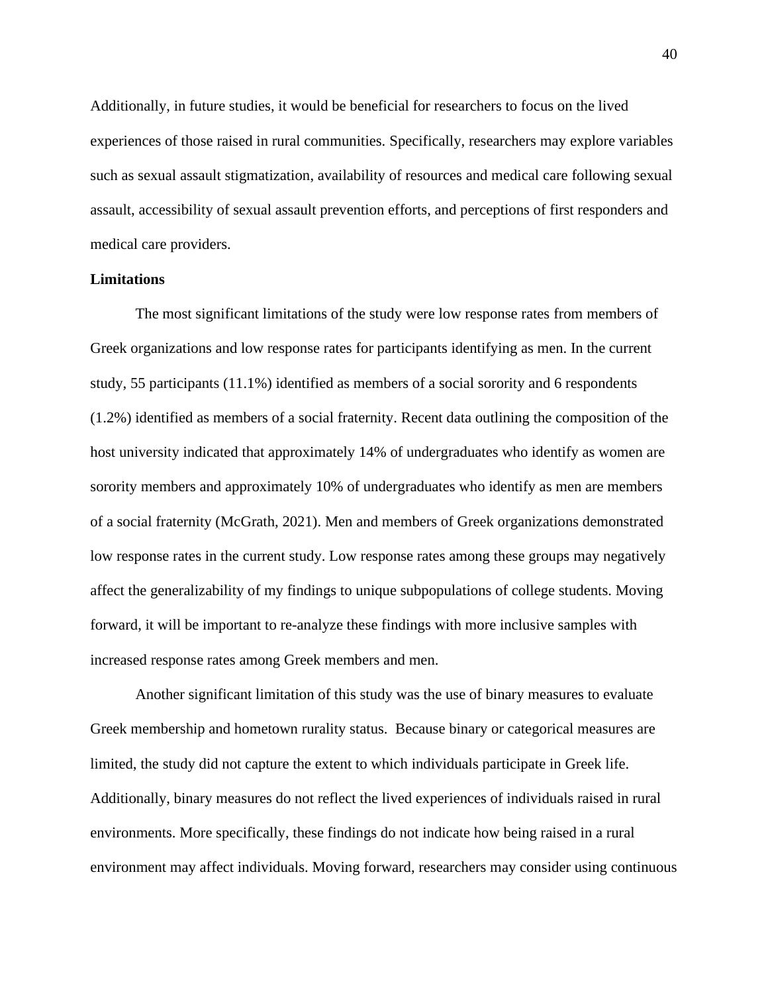Additionally, in future studies, it would be beneficial for researchers to focus on the lived experiences of those raised in rural communities. Specifically, researchers may explore variables such as sexual assault stigmatization, availability of resources and medical care following sexual assault, accessibility of sexual assault prevention efforts, and perceptions of first responders and medical care providers.

#### **Limitations**

The most significant limitations of the study were low response rates from members of Greek organizations and low response rates for participants identifying as men. In the current study, 55 participants (11.1%) identified as members of a social sorority and 6 respondents (1.2%) identified as members of a social fraternity. Recent data outlining the composition of the host university indicated that approximately 14% of undergraduates who identify as women are sorority members and approximately 10% of undergraduates who identify as men are members of a social fraternity (McGrath, 2021). Men and members of Greek organizations demonstrated low response rates in the current study. Low response rates among these groups may negatively affect the generalizability of my findings to unique subpopulations of college students. Moving forward, it will be important to re-analyze these findings with more inclusive samples with increased response rates among Greek members and men.

Another significant limitation of this study was the use of binary measures to evaluate Greek membership and hometown rurality status. Because binary or categorical measures are limited, the study did not capture the extent to which individuals participate in Greek life. Additionally, binary measures do not reflect the lived experiences of individuals raised in rural environments. More specifically, these findings do not indicate how being raised in a rural environment may affect individuals. Moving forward, researchers may consider using continuous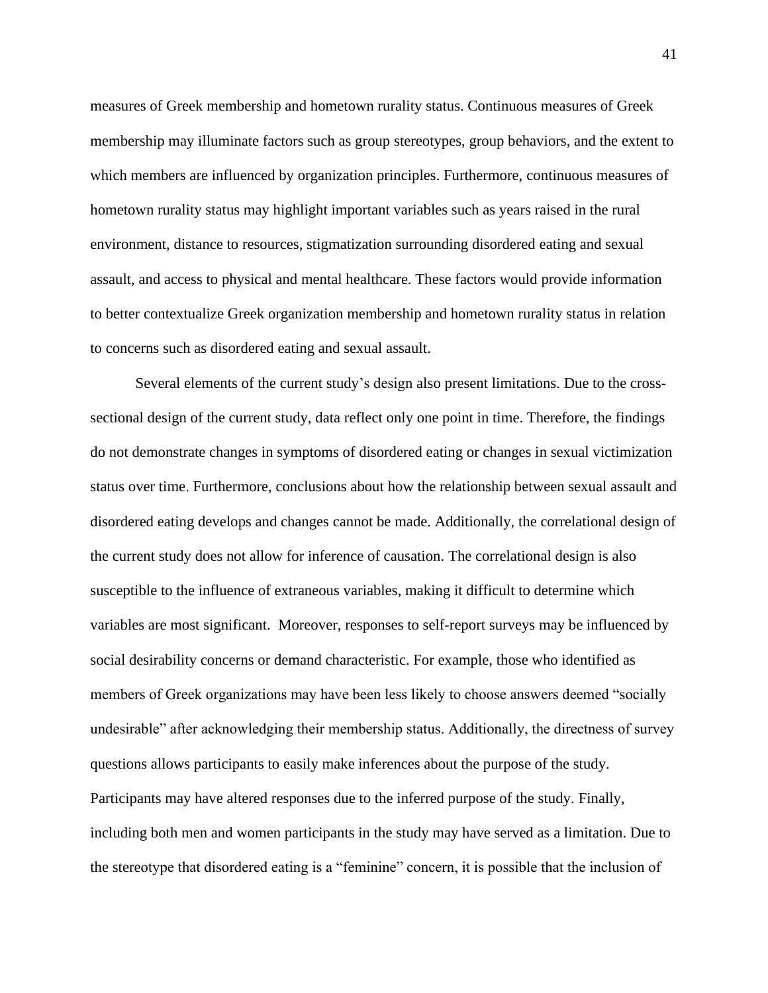measures of Greek membership and hometown rurality status. Continuous measures of Greek membership may illuminate factors such as group stereotypes, group behaviors, and the extent to which members are influenced by organization principles. Furthermore, continuous measures of hometown rurality status may highlight important variables such as years raised in the rural environment, distance to resources, stigmatization surrounding disordered eating and sexual assault, and access to physical and mental healthcare. These factors would provide information to better contextualize Greek organization membership and hometown rurality status in relation to concerns such as disordered eating and sexual assault.

Several elements of the current study's design also present limitations. Due to the crosssectional design of the current study, data reflect only one point in time. Therefore, the findings do not demonstrate changes in symptoms of disordered eating or changes in sexual victimization status over time. Furthermore, conclusions about how the relationship between sexual assault and disordered eating develops and changes cannot be made. Additionally, the correlational design of the current study does not allow for inference of causation. The correlational design is also susceptible to the influence of extraneous variables, making it difficult to determine which variables are most significant. Moreover, responses to self-report surveys may be influenced by social desirability concerns or demand characteristic. For example, those who identified as members of Greek organizations may have been less likely to choose answers deemed "socially undesirable" after acknowledging their membership status. Additionally, the directness of survey questions allows participants to easily make inferences about the purpose of the study. Participants may have altered responses due to the inferred purpose of the study. Finally, including both men and women participants in the study may have served as a limitation. Due to the stereotype that disordered eating is a "feminine" concern, it is possible that the inclusion of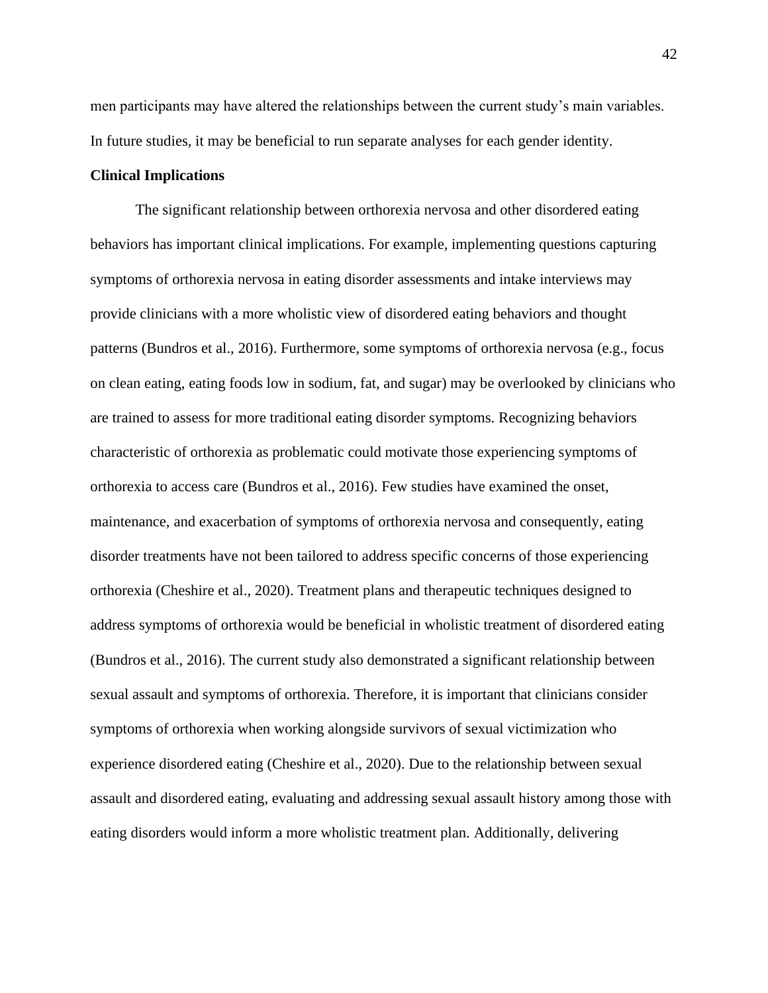men participants may have altered the relationships between the current study's main variables. In future studies, it may be beneficial to run separate analyses for each gender identity.

#### **Clinical Implications**

The significant relationship between orthorexia nervosa and other disordered eating behaviors has important clinical implications. For example, implementing questions capturing symptoms of orthorexia nervosa in eating disorder assessments and intake interviews may provide clinicians with a more wholistic view of disordered eating behaviors and thought patterns (Bundros et al., 2016). Furthermore, some symptoms of orthorexia nervosa (e.g., focus on clean eating, eating foods low in sodium, fat, and sugar) may be overlooked by clinicians who are trained to assess for more traditional eating disorder symptoms. Recognizing behaviors characteristic of orthorexia as problematic could motivate those experiencing symptoms of orthorexia to access care (Bundros et al., 2016). Few studies have examined the onset, maintenance, and exacerbation of symptoms of orthorexia nervosa and consequently, eating disorder treatments have not been tailored to address specific concerns of those experiencing orthorexia (Cheshire et al., 2020). Treatment plans and therapeutic techniques designed to address symptoms of orthorexia would be beneficial in wholistic treatment of disordered eating (Bundros et al., 2016). The current study also demonstrated a significant relationship between sexual assault and symptoms of orthorexia. Therefore, it is important that clinicians consider symptoms of orthorexia when working alongside survivors of sexual victimization who experience disordered eating (Cheshire et al., 2020). Due to the relationship between sexual assault and disordered eating, evaluating and addressing sexual assault history among those with eating disorders would inform a more wholistic treatment plan. Additionally, delivering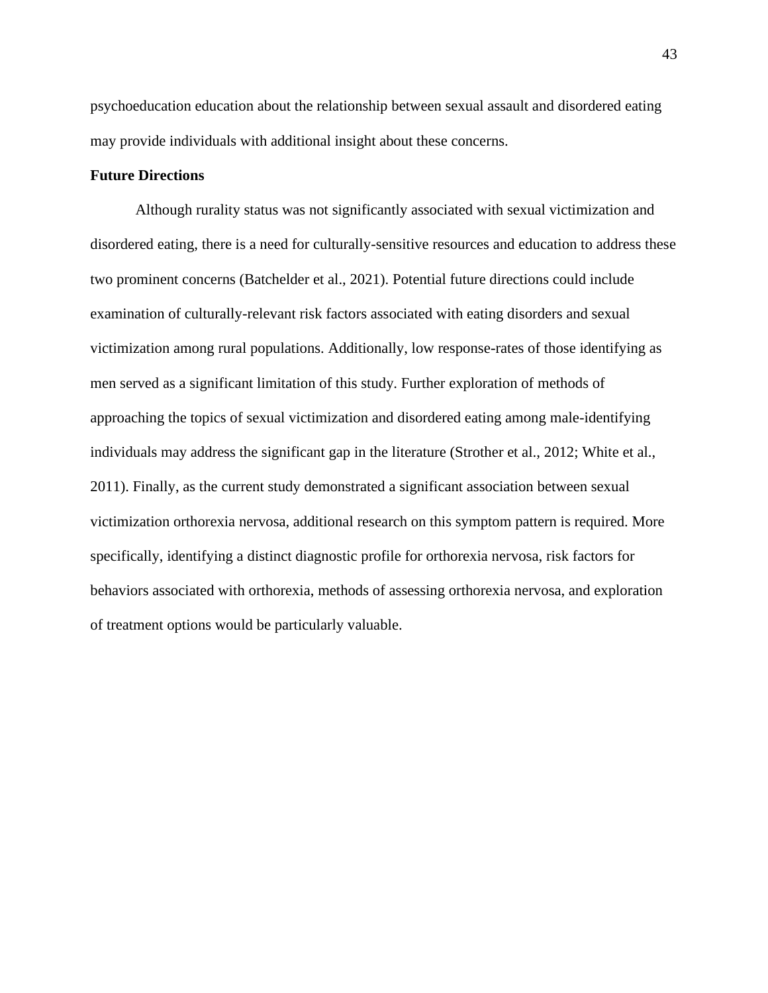psychoeducation education about the relationship between sexual assault and disordered eating may provide individuals with additional insight about these concerns.

### **Future Directions**

Although rurality status was not significantly associated with sexual victimization and disordered eating, there is a need for culturally-sensitive resources and education to address these two prominent concerns (Batchelder et al., 2021). Potential future directions could include examination of culturally-relevant risk factors associated with eating disorders and sexual victimization among rural populations. Additionally, low response-rates of those identifying as men served as a significant limitation of this study. Further exploration of methods of approaching the topics of sexual victimization and disordered eating among male-identifying individuals may address the significant gap in the literature (Strother et al., 2012; White et al., 2011). Finally, as the current study demonstrated a significant association between sexual victimization orthorexia nervosa, additional research on this symptom pattern is required. More specifically, identifying a distinct diagnostic profile for orthorexia nervosa, risk factors for behaviors associated with orthorexia, methods of assessing orthorexia nervosa, and exploration of treatment options would be particularly valuable.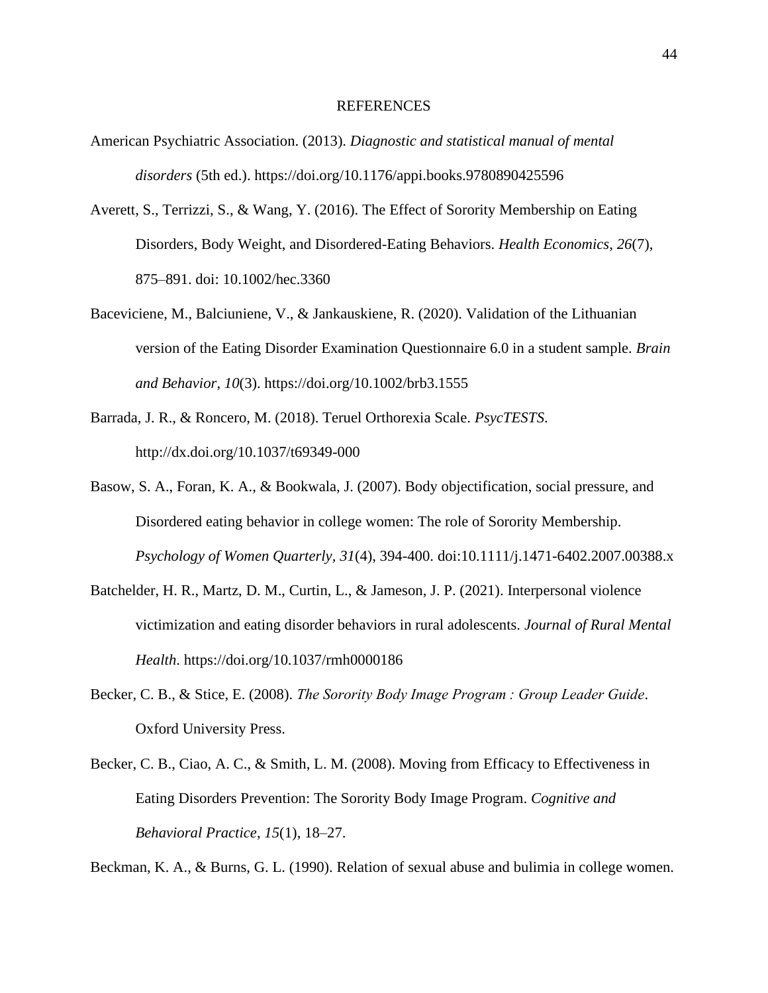#### REFERENCES

- American Psychiatric Association. (2013). *Diagnostic and statistical manual of mental disorders* (5th ed.). https://doi.org/10.1176/appi.books.9780890425596
- Averett, S., Terrizzi, S., & Wang, Y. (2016). The Effect of Sorority Membership on Eating Disorders, Body Weight, and Disordered-Eating Behaviors. *Health Economics*, *26*(7), 875–891. doi: 10.1002/hec.3360
- Baceviciene, M., Balciuniene, V., & Jankauskiene, R. (2020). Validation of the Lithuanian version of the Eating Disorder Examination Questionnaire 6.0 in a student sample. *Brain and Behavior*, *10*(3). https://doi.org/10.1002/brb3.1555
- Barrada, J. R., & Roncero, M. (2018). Teruel Orthorexia Scale. *PsycTESTS*. http://dx.doi.org/10.1037/t69349-000
- Basow, S. A., Foran, K. A., & Bookwala, J. (2007). Body objectification, social pressure, and Disordered eating behavior in college women: The role of Sorority Membership. *Psychology of Women Quarterly, 31*(4), 394-400. doi:10.1111/j.1471-6402.2007.00388.x
- Batchelder, H. R., Martz, D. M., Curtin, L., & Jameson, J. P. (2021). Interpersonal violence victimization and eating disorder behaviors in rural adolescents. *Journal of Rural Mental Health*. https://doi.org/10.1037/rmh0000186
- Becker, C. B., & Stice, E. (2008). *The Sorority Body Image Program : Group Leader Guide*. Oxford University Press.
- Becker, C. B., Ciao, A. C., & Smith, L. M. (2008). Moving from Efficacy to Effectiveness in Eating Disorders Prevention: The Sorority Body Image Program. *Cognitive and Behavioral Practice*, *15*(1), 18–27.

Beckman, K. A., & Burns, G. L. (1990). Relation of sexual abuse and bulimia in college women.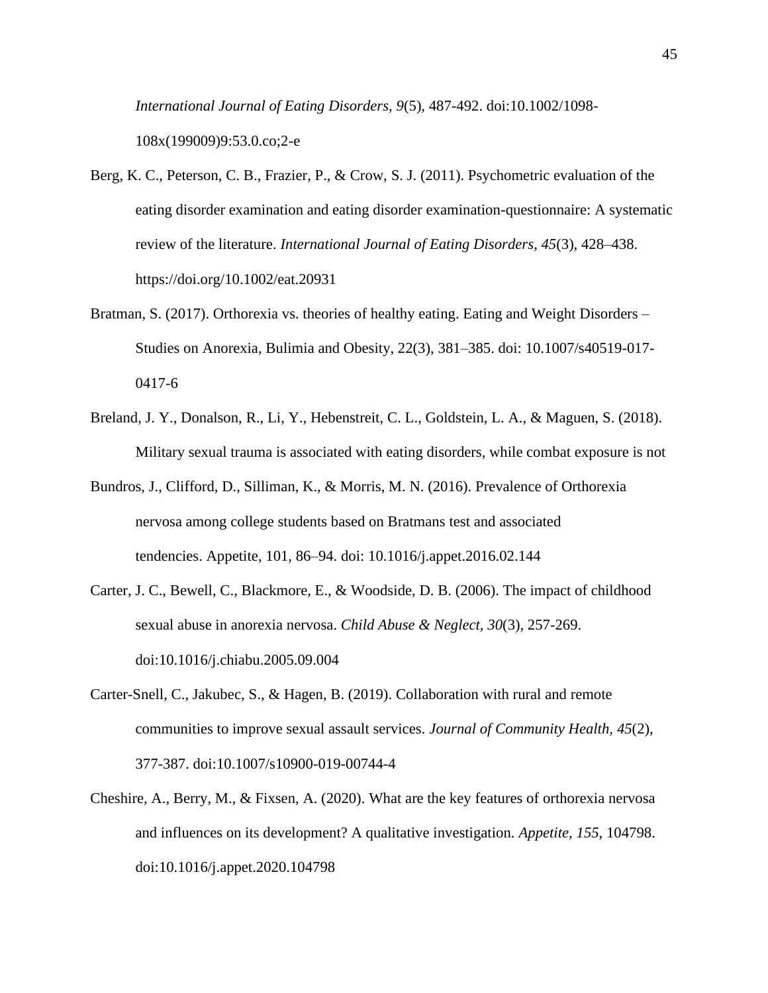*International Journal of Eating Disorders, 9*(5), 487-492. doi:10.1002/1098- 108x(199009)9:53.0.co;2-e

- Berg, K. C., Peterson, C. B., Frazier, P., & Crow, S. J. (2011). Psychometric evaluation of the eating disorder examination and eating disorder examination-questionnaire: A systematic review of the literature. *International Journal of Eating Disorders*, *45*(3), 428–438. https://doi.org/10.1002/eat.20931
- Bratman, S. (2017). Orthorexia vs. theories of healthy eating. Eating and Weight Disorders Studies on Anorexia, Bulimia and Obesity, 22(3), 381–385. doi: 10.1007/s40519-017- 0417-6
- Breland, J. Y., Donalson, R., Li, Y., Hebenstreit, C. L., Goldstein, L. A., & Maguen, S. (2018). Military sexual trauma is associated with eating disorders, while combat exposure is not
- Bundros, J., Clifford, D., Silliman, K., & Morris, M. N. (2016). Prevalence of Orthorexia nervosa among college students based on Bratmans test and associated tendencies. Appetite, 101, 86–94. doi: 10.1016/j.appet.2016.02.144
- Carter, J. C., Bewell, C., Blackmore, E., & Woodside, D. B. (2006). The impact of childhood sexual abuse in anorexia nervosa. *Child Abuse & Neglect, 30*(3), 257-269. doi:10.1016/j.chiabu.2005.09.004
- Carter-Snell, C., Jakubec, S., & Hagen, B. (2019). Collaboration with rural and remote communities to improve sexual assault services. *Journal of Community Health, 45*(2), 377-387. doi:10.1007/s10900-019-00744-4
- Cheshire, A., Berry, M., & Fixsen, A. (2020). What are the key features of orthorexia nervosa and influences on its development? A qualitative investigation. *Appetite, 155*, 104798. doi:10.1016/j.appet.2020.104798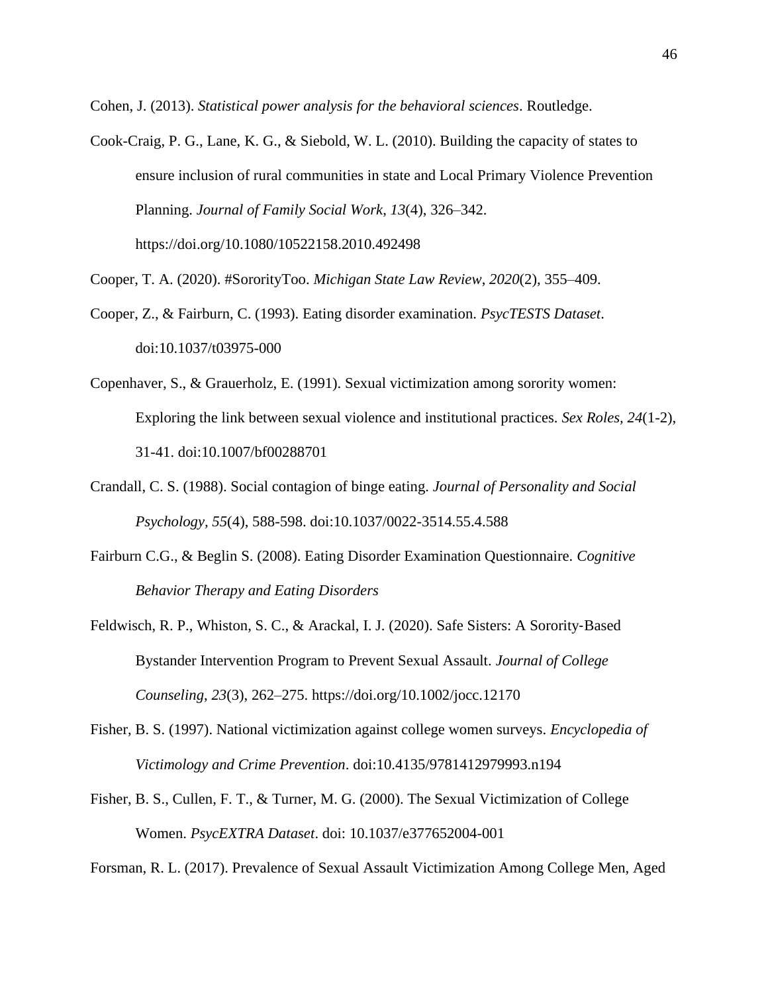Cohen, J. (2013). *Statistical power analysis for the behavioral sciences*. Routledge.

- Cook-Craig, P. G., Lane, K. G., & Siebold, W. L. (2010). Building the capacity of states to ensure inclusion of rural communities in state and Local Primary Violence Prevention Planning. *Journal of Family Social Work*, *13*(4), 326–342. https://doi.org/10.1080/10522158.2010.492498
- Cooper, T. A. (2020). #SororityToo. *Michigan State Law Review*, *2020*(2), 355–409.
- Cooper, Z., & Fairburn, C. (1993). Eating disorder examination. *PsycTESTS Dataset*. doi:10.1037/t03975-000
- Copenhaver, S., & Grauerholz, E. (1991). Sexual victimization among sorority women: Exploring the link between sexual violence and institutional practices. *Sex Roles, 24*(1-2), 31-41. doi:10.1007/bf00288701
- Crandall, C. S. (1988). Social contagion of binge eating. *Journal of Personality and Social Psychology, 55*(4), 588-598. doi:10.1037/0022-3514.55.4.588
- Fairburn C.G., & Beglin S. (2008). Eating Disorder Examination Questionnaire. *Cognitive Behavior Therapy and Eating Disorders*
- Feldwisch, R. P., Whiston, S. C., & Arackal, I. J. (2020). Safe Sisters: A Sorority‐Based Bystander Intervention Program to Prevent Sexual Assault. *Journal of College Counseling*, *23*(3), 262–275. https://doi.org/10.1002/jocc.12170
- Fisher, B. S. (1997). National victimization against college women surveys. *Encyclopedia of Victimology and Crime Prevention*. doi:10.4135/9781412979993.n194
- Fisher, B. S., Cullen, F. T., & Turner, M. G. (2000). The Sexual Victimization of College Women. *PsycEXTRA Dataset*. doi: 10.1037/e377652004-001

Forsman, R. L. (2017). Prevalence of Sexual Assault Victimization Among College Men, Aged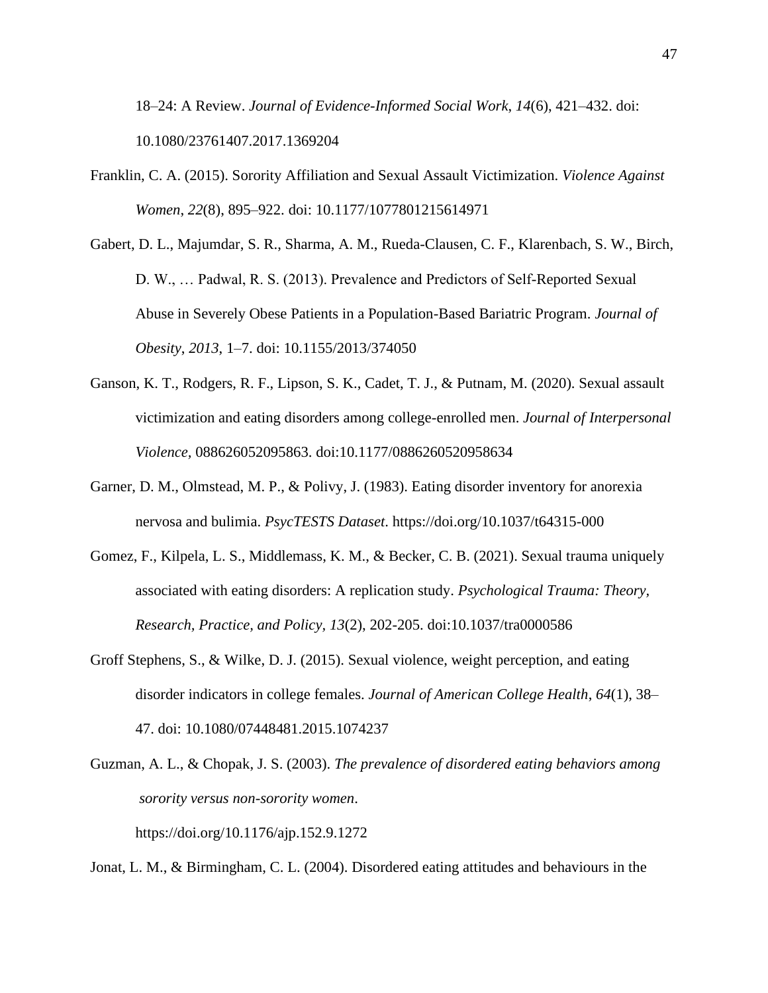18–24: A Review. *Journal of Evidence-Informed Social Work*, *14*(6), 421–432. doi: 10.1080/23761407.2017.1369204

- Franklin, C. A. (2015). Sorority Affiliation and Sexual Assault Victimization. *Violence Against Women*, *22*(8), 895–922. doi: 10.1177/1077801215614971
- Gabert, D. L., Majumdar, S. R., Sharma, A. M., Rueda-Clausen, C. F., Klarenbach, S. W., Birch, D. W., … Padwal, R. S. (2013). Prevalence and Predictors of Self-Reported Sexual Abuse in Severely Obese Patients in a Population-Based Bariatric Program. *Journal of Obesity*, *2013*, 1–7. doi: 10.1155/2013/374050
- Ganson, K. T., Rodgers, R. F., Lipson, S. K., Cadet, T. J., & Putnam, M. (2020). Sexual assault victimization and eating disorders among college-enrolled men. *Journal of Interpersonal Violence,* 088626052095863. doi:10.1177/0886260520958634
- Garner, D. M., Olmstead, M. P., & Polivy, J. (1983). Eating disorder inventory for anorexia nervosa and bulimia. *PsycTESTS Dataset*. https://doi.org/10.1037/t64315-000
- Gomez, F., Kilpela, L. S., Middlemass, K. M., & Becker, C. B. (2021). Sexual trauma uniquely associated with eating disorders: A replication study. *Psychological Trauma: Theory, Research, Practice, and Policy, 13*(2), 202-205. doi:10.1037/tra0000586
- Groff Stephens, S., & Wilke, D. J. (2015). Sexual violence, weight perception, and eating disorder indicators in college females. *Journal of American College Health*, *64*(1), 38– 47. doi: 10.1080/07448481.2015.1074237
- Guzman, A. L., & Chopak, J. S. (2003). *The prevalence of disordered eating behaviors among sorority versus non-sorority women*. https://doi.org/10.1176/ajp.152.9.1272

Jonat, L. M., & Birmingham, C. L. (2004). Disordered eating attitudes and behaviours in the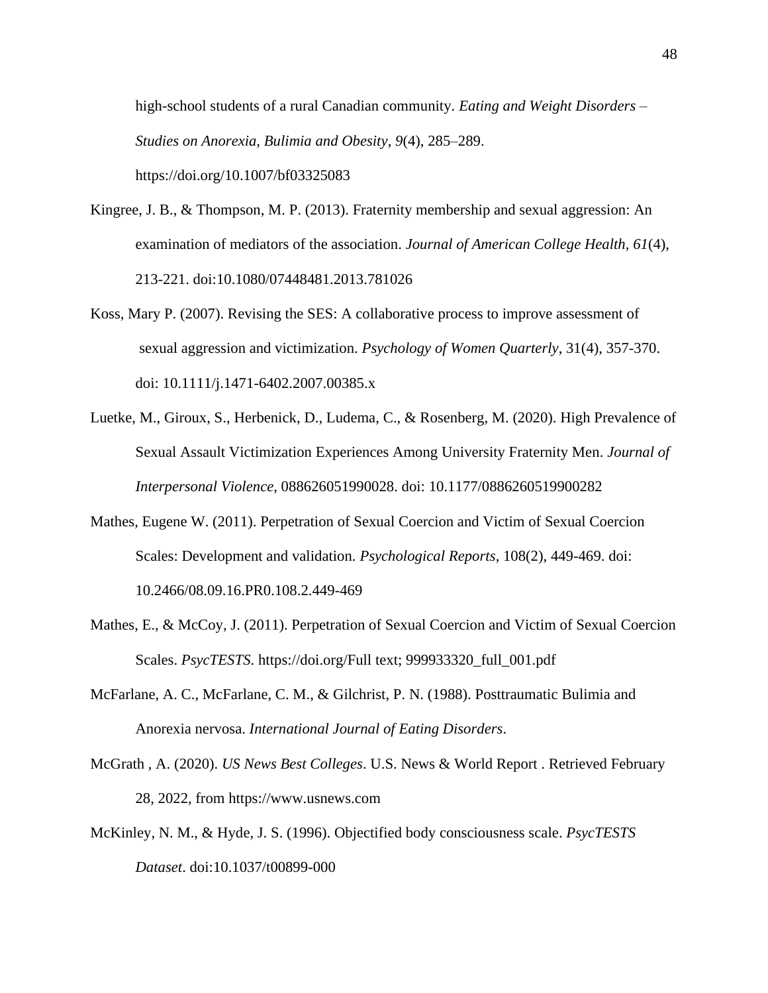high-school students of a rural Canadian community. *Eating and Weight Disorders – Studies on Anorexia, Bulimia and Obesity*, *9*(4), 285–289. https://doi.org/10.1007/bf03325083

- Kingree, J. B., & Thompson, M. P. (2013). Fraternity membership and sexual aggression: An examination of mediators of the association. *Journal of American College Health, 61*(4), 213-221. doi:10.1080/07448481.2013.781026
- Koss, Mary P. (2007). Revising the SES: A collaborative process to improve assessment of sexual aggression and victimization. *Psychology of Women Quarterly*, 31(4), 357-370. doi: 10.1111/j.1471-6402.2007.00385.x
- Luetke, M., Giroux, S., Herbenick, D., Ludema, C., & Rosenberg, M. (2020). High Prevalence of Sexual Assault Victimization Experiences Among University Fraternity Men. *Journal of Interpersonal Violence*, 088626051990028. doi: 10.1177/0886260519900282
- Mathes, Eugene W. (2011). Perpetration of Sexual Coercion and Victim of Sexual Coercion Scales: Development and validation. *Psychological Reports*, 108(2), 449-469. doi: 10.2466/08.09.16.PR0.108.2.449-469
- Mathes, E., & McCoy, J. (2011). Perpetration of Sexual Coercion and Victim of Sexual Coercion Scales. *PsycTESTS*. https://doi.org/Full text; 999933320\_full\_001.pdf
- McFarlane, A. C., McFarlane, C. M., & Gilchrist, P. N. (1988). Posttraumatic Bulimia and Anorexia nervosa. *International Journal of Eating Disorders*.
- McGrath , A. (2020). *US News Best Colleges*. U.S. News & World Report . Retrieved February 28, 2022, from https://www.usnews.com
- McKinley, N. M., & Hyde, J. S. (1996). Objectified body consciousness scale. *PsycTESTS Dataset*. doi:10.1037/t00899-000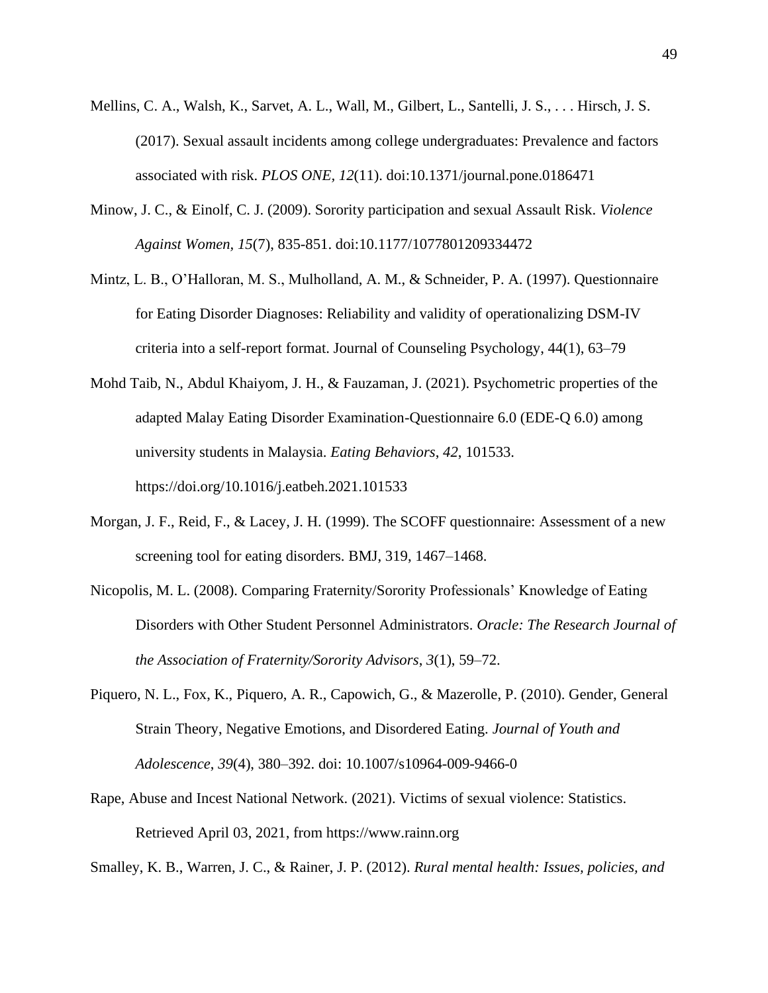- Mellins, C. A., Walsh, K., Sarvet, A. L., Wall, M., Gilbert, L., Santelli, J. S., . . . Hirsch, J. S. (2017). Sexual assault incidents among college undergraduates: Prevalence and factors associated with risk. *PLOS ONE, 12*(11). doi:10.1371/journal.pone.0186471
- Minow, J. C., & Einolf, C. J. (2009). Sorority participation and sexual Assault Risk. *Violence Against Women, 15*(7), 835-851. doi:10.1177/1077801209334472
- Mintz, L. B., O'Halloran, M. S., Mulholland, A. M., & Schneider, P. A. (1997). Questionnaire for Eating Disorder Diagnoses: Reliability and validity of operationalizing DSM-IV criteria into a self-report format. Journal of Counseling Psychology, 44(1), 63–79
- Mohd Taib, N., Abdul Khaiyom, J. H., & Fauzaman, J. (2021). Psychometric properties of the adapted Malay Eating Disorder Examination-Questionnaire 6.0 (EDE-Q 6.0) among university students in Malaysia. *Eating Behaviors*, *42*, 101533. https://doi.org/10.1016/j.eatbeh.2021.101533
- Morgan, J. F., Reid, F., & Lacey, J. H. (1999). The SCOFF questionnaire: Assessment of a new screening tool for eating disorders. BMJ, 319, 1467–1468.
- Nicopolis, M. L. (2008). Comparing Fraternity/Sorority Professionals' Knowledge of Eating Disorders with Other Student Personnel Administrators. *Oracle: The Research Journal of the Association of Fraternity/Sorority Advisors*, *3*(1), 59–72.
- Piquero, N. L., Fox, K., Piquero, A. R., Capowich, G., & Mazerolle, P. (2010). Gender, General Strain Theory, Negative Emotions, and Disordered Eating. *Journal of Youth and Adolescence*, *39*(4), 380–392. doi: 10.1007/s10964-009-9466-0
- Rape, Abuse and Incest National Network. (2021). Victims of sexual violence: Statistics. Retrieved April 03, 2021, from https://www.rainn.org

Smalley, K. B., Warren, J. C., & Rainer, J. P. (2012). *Rural mental health: Issues, policies, and*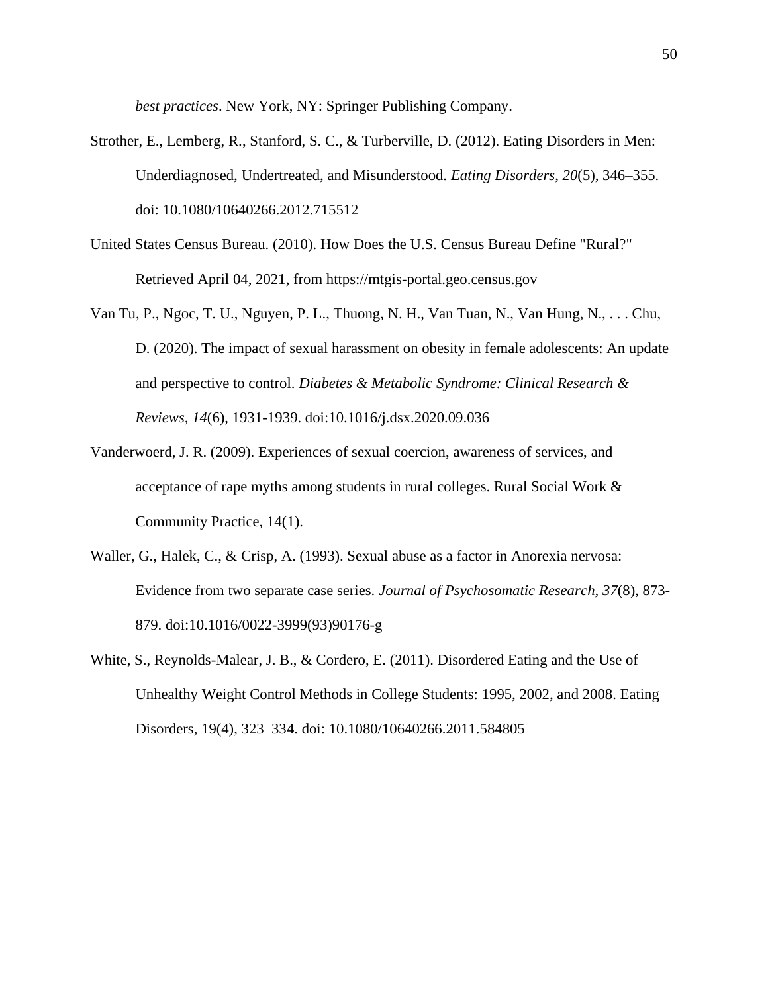*best practices*. New York, NY: Springer Publishing Company.

- Strother, E., Lemberg, R., Stanford, S. C., & Turberville, D. (2012). Eating Disorders in Men: Underdiagnosed, Undertreated, and Misunderstood. *Eating Disorders*, *20*(5), 346–355. doi: 10.1080/10640266.2012.715512
- United States Census Bureau. (2010). How Does the U.S. Census Bureau Define "Rural?" Retrieved April 04, 2021, from https://mtgis-portal.geo.census.gov
- Van Tu, P., Ngoc, T. U., Nguyen, P. L., Thuong, N. H., Van Tuan, N., Van Hung, N., . . . Chu, D. (2020). The impact of sexual harassment on obesity in female adolescents: An update and perspective to control. *Diabetes & Metabolic Syndrome: Clinical Research & Reviews, 14*(6), 1931-1939. doi:10.1016/j.dsx.2020.09.036
- Vanderwoerd, J. R. (2009). Experiences of sexual coercion, awareness of services, and acceptance of rape myths among students in rural colleges. Rural Social Work & Community Practice, 14(1).
- Waller, G., Halek, C., & Crisp, A. (1993). Sexual abuse as a factor in Anorexia nervosa: Evidence from two separate case series. *Journal of Psychosomatic Research, 37*(8), 873- 879. doi:10.1016/0022-3999(93)90176-g
- White, S., Reynolds-Malear, J. B., & Cordero, E. (2011). Disordered Eating and the Use of Unhealthy Weight Control Methods in College Students: 1995, 2002, and 2008. Eating Disorders, 19(4), 323–334. doi: 10.1080/10640266.2011.584805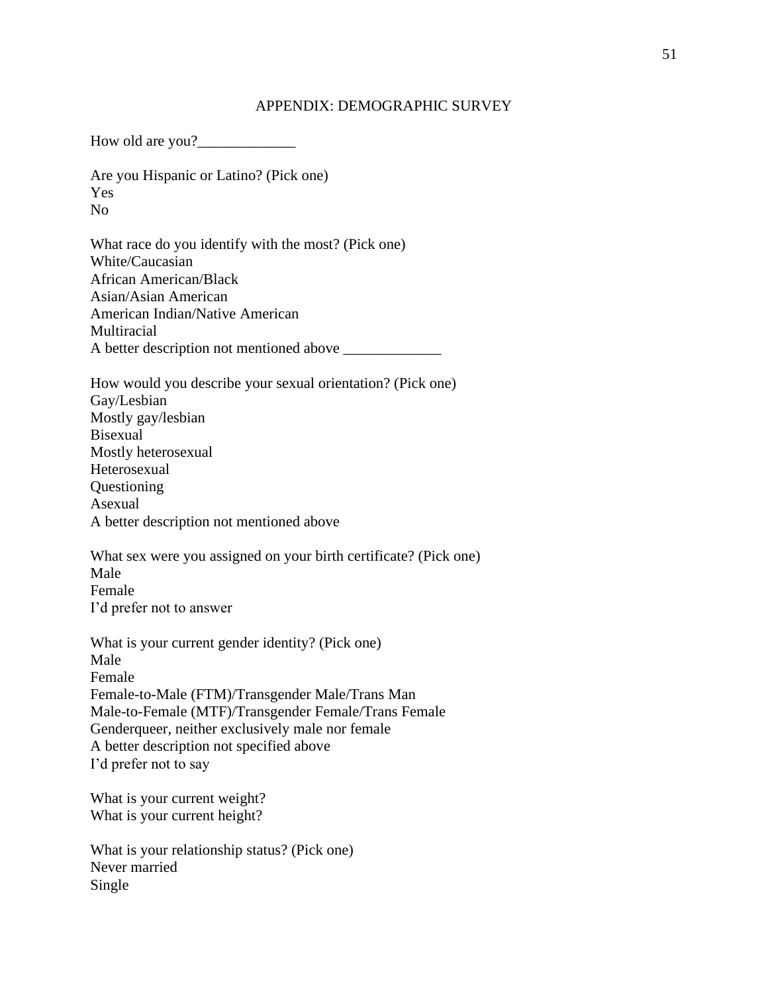#### APPENDIX: DEMOGRAPHIC SURVEY

How old are you? Are you Hispanic or Latino? (Pick one) Yes No What race do you identify with the most? (Pick one) White/Caucasian African American/Black Asian/Asian American American Indian/Native American Multiracial A better description not mentioned above \_\_\_\_\_\_\_\_\_\_\_\_\_ How would you describe your sexual orientation? (Pick one) Gay/Lesbian Mostly gay/lesbian Bisexual Mostly heterosexual Heterosexual Questioning Asexual A better description not mentioned above What sex were you assigned on your birth certificate? (Pick one) Male Female I'd prefer not to answer What is your current gender identity? (Pick one) Male Female Female-to-Male (FTM)/Transgender Male/Trans Man Male-to-Female (MTF)/Transgender Female/Trans Female Genderqueer, neither exclusively male nor female A better description not specified above I'd prefer not to say What is your current weight? What is your current height?

What is your relationship status? (Pick one) Never married Single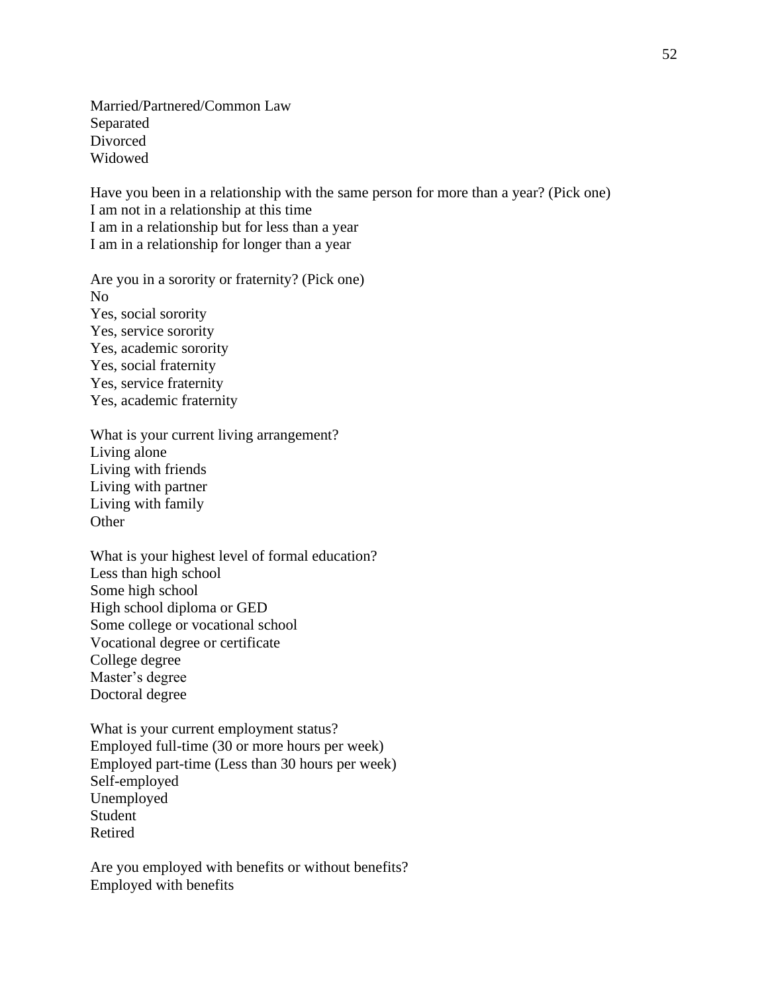Married/Partnered/Common Law Separated Divorced Widowed

Have you been in a relationship with the same person for more than a year? (Pick one) I am not in a relationship at this time I am in a relationship but for less than a year I am in a relationship for longer than a year

Are you in a sorority or fraternity? (Pick one) No Yes, social sorority Yes, service sorority Yes, academic sorority Yes, social fraternity Yes, service fraternity Yes, academic fraternity

What is your current living arrangement? Living alone Living with friends Living with partner Living with family **Other** 

What is your highest level of formal education? Less than high school Some high school High school diploma or GED Some college or vocational school Vocational degree or certificate College degree Master's degree Doctoral degree

What is your current employment status? Employed full-time (30 or more hours per week) Employed part-time (Less than 30 hours per week) Self-employed Unemployed Student Retired

Are you employed with benefits or without benefits? Employed with benefits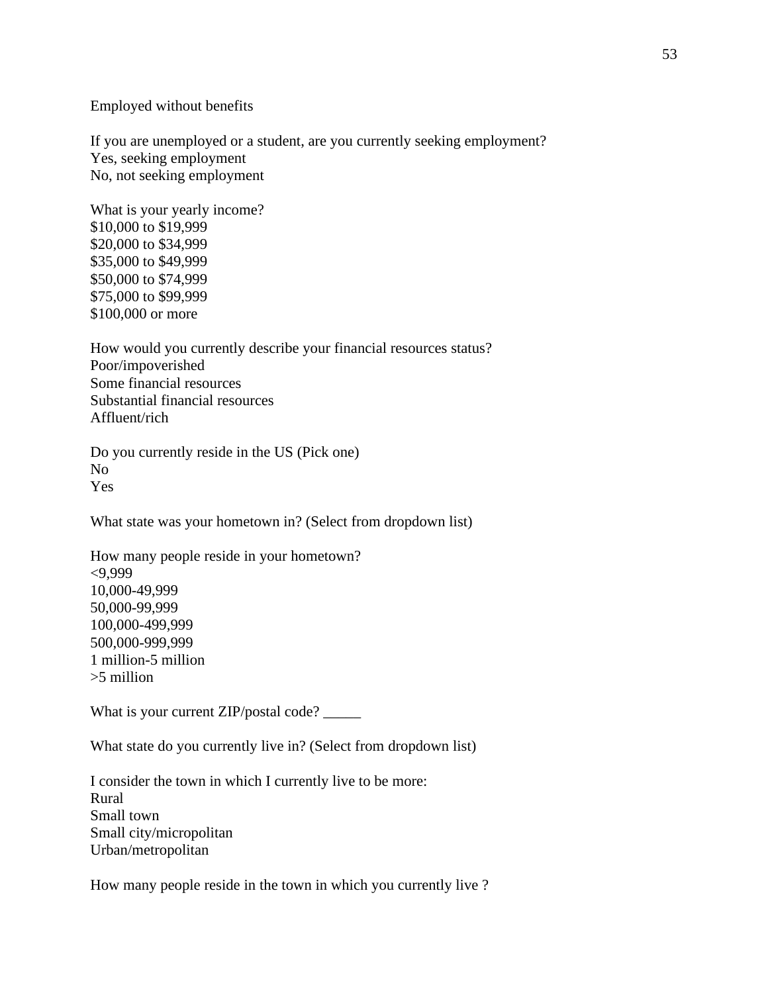Employed without benefits

If you are unemployed or a student, are you currently seeking employment? Yes, seeking employment No, not seeking employment

What is your yearly income? \$10,000 to \$19,999 \$20,000 to \$34,999 \$35,000 to \$49,999 \$50,000 to \$74,999 \$75,000 to \$99,999 \$100,000 or more

How would you currently describe your financial resources status? Poor/impoverished Some financial resources Substantial financial resources Affluent/rich

Do you currently reside in the US (Pick one) No Yes

What state was your hometown in? (Select from dropdown list)

How many people reside in your hometown? <9,999 10,000-49,999 50,000-99,999 100,000-499,999 500,000-999,999 1 million-5 million >5 million

What is your current ZIP/postal code? \_\_\_\_\_\_

What state do you currently live in? (Select from dropdown list)

I consider the town in which I currently live to be more: Rural Small town Small city/micropolitan Urban/metropolitan

How many people reside in the town in which you currently live ?